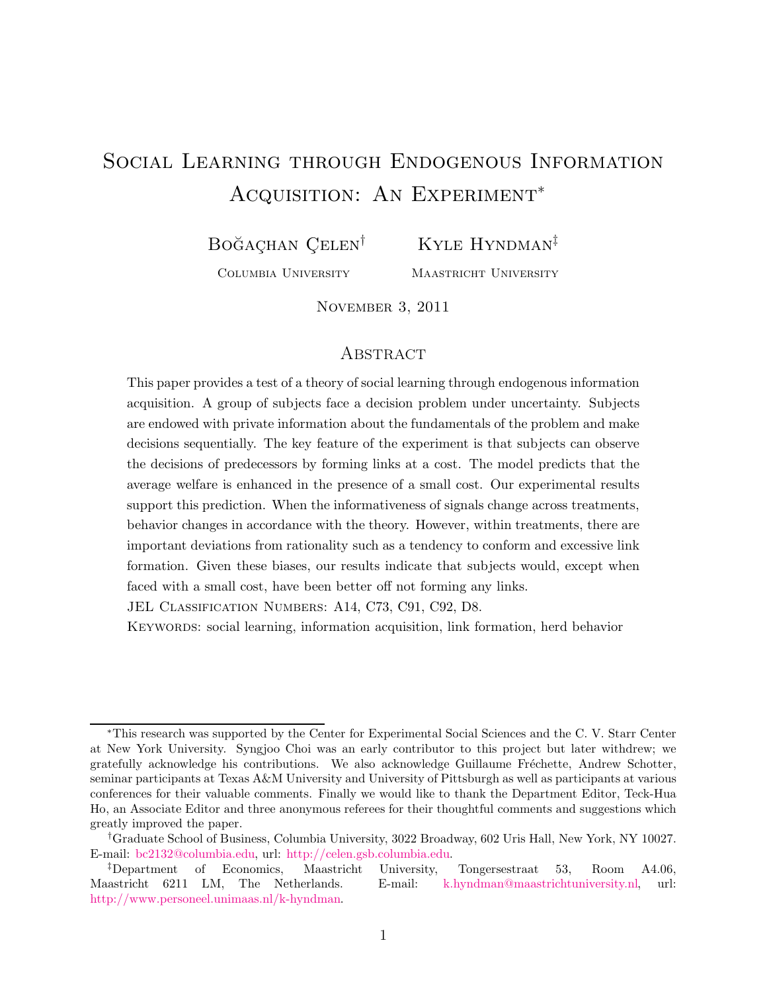# Social Learning through Endogenous Information Acquisition: An Experiment<sup>∗</sup>

BOĞAÇHAN CELEN<sup>†</sup>

Kyle Hyndman‡

Columbia University

Maastricht University

November 3, 2011

## **ABSTRACT**

This paper provides a test of a theory of social learning through endogenous information acquisition. A group of subjects face a decision problem under uncertainty. Subjects are endowed with private information about the fundamentals of the problem and make decisions sequentially. The key feature of the experiment is that subjects can observe the decisions of predecessors by forming links at a cost. The model predicts that the average welfare is enhanced in the presence of a small cost. Our experimental results support this prediction. When the informativeness of signals change across treatments, behavior changes in accordance with the theory. However, within treatments, there are important deviations from rationality such as a tendency to conform and excessive link formation. Given these biases, our results indicate that subjects would, except when faced with a small cost, have been better off not forming any links.

JEL Classification Numbers: A14, C73, C91, C92, D8.

Keywords: social learning, information acquisition, link formation, herd behavior

<sup>∗</sup>This research was supported by the Center for Experimental Social Sciences and the C. V. Starr Center at New York University. Syngjoo Choi was an early contributor to this project but later withdrew; we gratefully acknowledge his contributions. We also acknowledge Guillaume Fréchette, Andrew Schotter, seminar participants at Texas A&M University and University of Pittsburgh as well as participants at various conferences for their valuable comments. Finally we would like to thank the Department Editor, Teck-Hua Ho, an Associate Editor and three anonymous referees for their thoughtful comments and suggestions which greatly improved the paper.

<sup>†</sup>Graduate School of Business, Columbia University, 3022 Broadway, 602 Uris Hall, New York, NY 10027. E-mail: [bc2132@columbia.edu,](mailto:bc2132@columbia.edu) url: [http://celen.gsb.columbia.edu.](http://celen.gsb.columbia.edu/)

<sup>‡</sup>Department of Economics, Maastricht University, Tongersestraat 53, Room A4.06, Maastricht 6211 LM, The Netherlands. E-mail: [k.hyndman@maastrichtuniversity.nl,](mailto:k.hyndman@maastrichtuniversity.nl) url: [http://www.personeel.unimaas.nl/k-hyndman.](http://www.personeel.unimaas.nl/k-hyndman)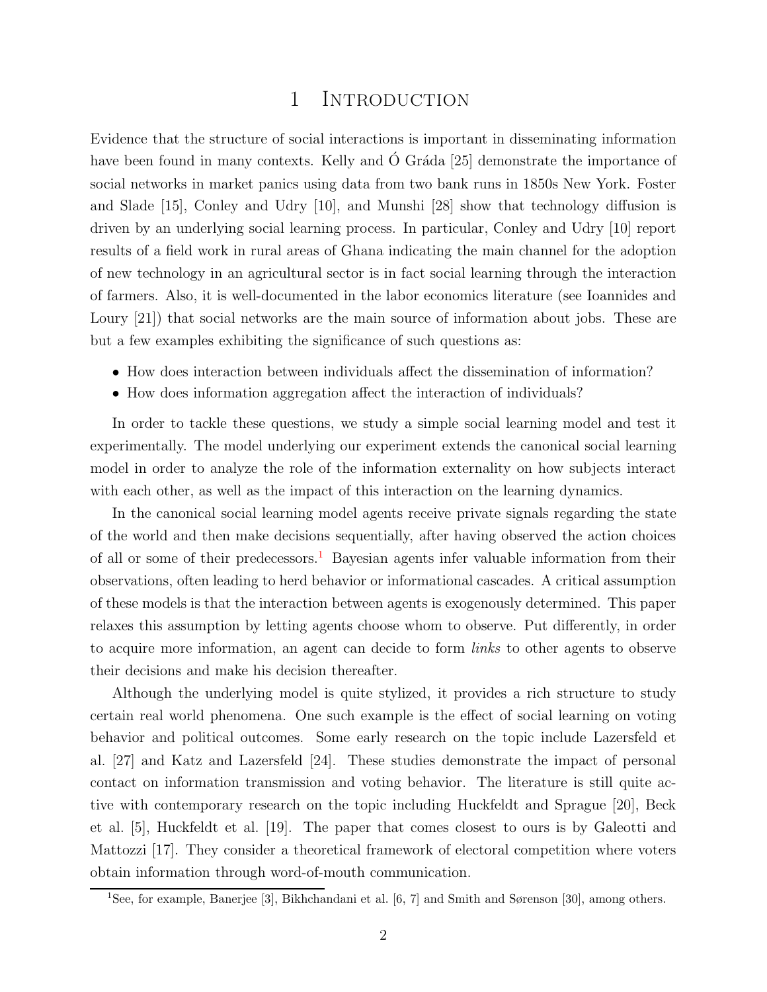# 1 Introduction

Evidence that the structure of social interactions is important in disseminating information have been found in many contexts. Kelly and  $\hat{O}$  Gráda [\[25\]](#page-36-0) demonstrate the importance of social networks in market panics using data from two bank runs in 1850s New York. Foster and Slade [\[15\]](#page-36-1), Conley and Udry [\[10\]](#page-35-0), and Munshi [\[28\]](#page-37-0) show that technology diffusion is driven by an underlying social learning process. In particular, Conley and Udry [\[10\]](#page-35-0) report results of a field work in rural areas of Ghana indicating the main channel for the adoption of new technology in an agricultural sector is in fact social learning through the interaction of farmers. Also, it is well-documented in the labor economics literature (see Ioannides and Loury [\[21\]](#page-36-2)) that social networks are the main source of information about jobs. These are but a few examples exhibiting the significance of such questions as:

- How does interaction between individuals affect the dissemination of information?
- How does information aggregation affect the interaction of individuals?

In order to tackle these questions, we study a simple social learning model and test it experimentally. The model underlying our experiment extends the canonical social learning model in order to analyze the role of the information externality on how subjects interact with each other, as well as the impact of this interaction on the learning dynamics.

In the canonical social learning model agents receive private signals regarding the state of the world and then make decisions sequentially, after having observed the action choices of all or some of their predecessors.<sup>[1](#page-1-0)</sup> Bayesian agents infer valuable information from their observations, often leading to herd behavior or informational cascades. A critical assumption of these models is that the interaction between agents is exogenously determined. This paper relaxes this assumption by letting agents choose whom to observe. Put differently, in order to acquire more information, an agent can decide to form *links* to other agents to observe their decisions and make his decision thereafter.

Although the underlying model is quite stylized, it provides a rich structure to study certain real world phenomena. One such example is the effect of social learning on voting behavior and political outcomes. Some early research on the topic include Lazersfeld et al. [\[27\]](#page-37-1) and Katz and Lazersfeld [\[24\]](#page-36-3). These studies demonstrate the impact of personal contact on information transmission and voting behavior. The literature is still quite active with contemporary research on the topic including Huckfeldt and Sprague [\[20\]](#page-36-4), Beck et al. [\[5\]](#page-35-1), Huckfeldt et al. [\[19\]](#page-36-5). The paper that comes closest to ours is by Galeotti and Mattozzi [\[17\]](#page-36-6). They consider a theoretical framework of electoral competition where voters obtain information through word-of-mouth communication.

<span id="page-1-0"></span><sup>&</sup>lt;sup>1</sup>See, for example, Banerjee [\[3\]](#page-35-2), Bikhchandani et al. [\[6,](#page-35-3) [7\]](#page-35-4) and Smith and Sørenson [\[30\]](#page-37-2), among others.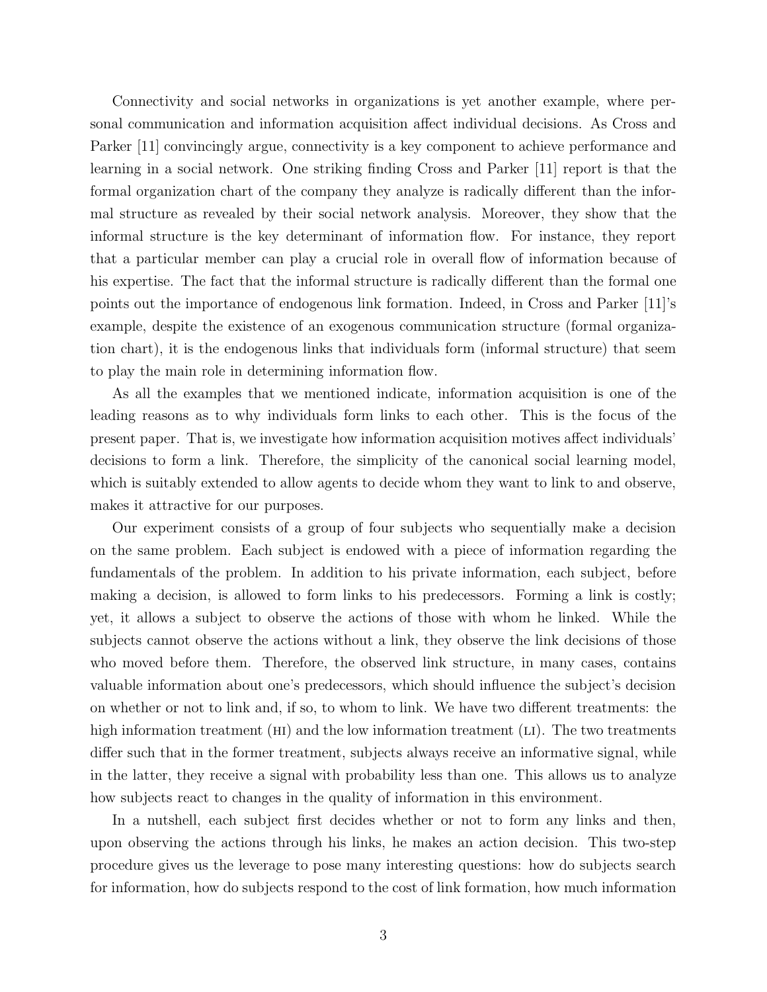Connectivity and social networks in organizations is yet another example, where personal communication and information acquisition affect individual decisions. As Cross and Parker [\[11\]](#page-35-5) convincingly argue, connectivity is a key component to achieve performance and learning in a social network. One striking finding Cross and Parker [\[11\]](#page-35-5) report is that the formal organization chart of the company they analyze is radically different than the informal structure as revealed by their social network analysis. Moreover, they show that the informal structure is the key determinant of information flow. For instance, they report that a particular member can play a crucial role in overall flow of information because of his expertise. The fact that the informal structure is radically different than the formal one points out the importance of endogenous link formation. Indeed, in Cross and Parker [\[11\]](#page-35-5)'s example, despite the existence of an exogenous communication structure (formal organization chart), it is the endogenous links that individuals form (informal structure) that seem to play the main role in determining information flow.

As all the examples that we mentioned indicate, information acquisition is one of the leading reasons as to why individuals form links to each other. This is the focus of the present paper. That is, we investigate how information acquisition motives affect individuals' decisions to form a link. Therefore, the simplicity of the canonical social learning model, which is suitably extended to allow agents to decide whom they want to link to and observe, makes it attractive for our purposes.

Our experiment consists of a group of four subjects who sequentially make a decision on the same problem. Each subject is endowed with a piece of information regarding the fundamentals of the problem. In addition to his private information, each subject, before making a decision, is allowed to form links to his predecessors. Forming a link is costly; yet, it allows a subject to observe the actions of those with whom he linked. While the subjects cannot observe the actions without a link, they observe the link decisions of those who moved before them. Therefore, the observed link structure, in many cases, contains valuable information about one's predecessors, which should influence the subject's decision on whether or not to link and, if so, to whom to link. We have two different treatments: the high information treatment  $(HI)$  and the low information treatment  $(LI)$ . The two treatments differ such that in the former treatment, subjects always receive an informative signal, while in the latter, they receive a signal with probability less than one. This allows us to analyze how subjects react to changes in the quality of information in this environment.

In a nutshell, each subject first decides whether or not to form any links and then, upon observing the actions through his links, he makes an action decision. This two-step procedure gives us the leverage to pose many interesting questions: how do subjects search for information, how do subjects respond to the cost of link formation, how much information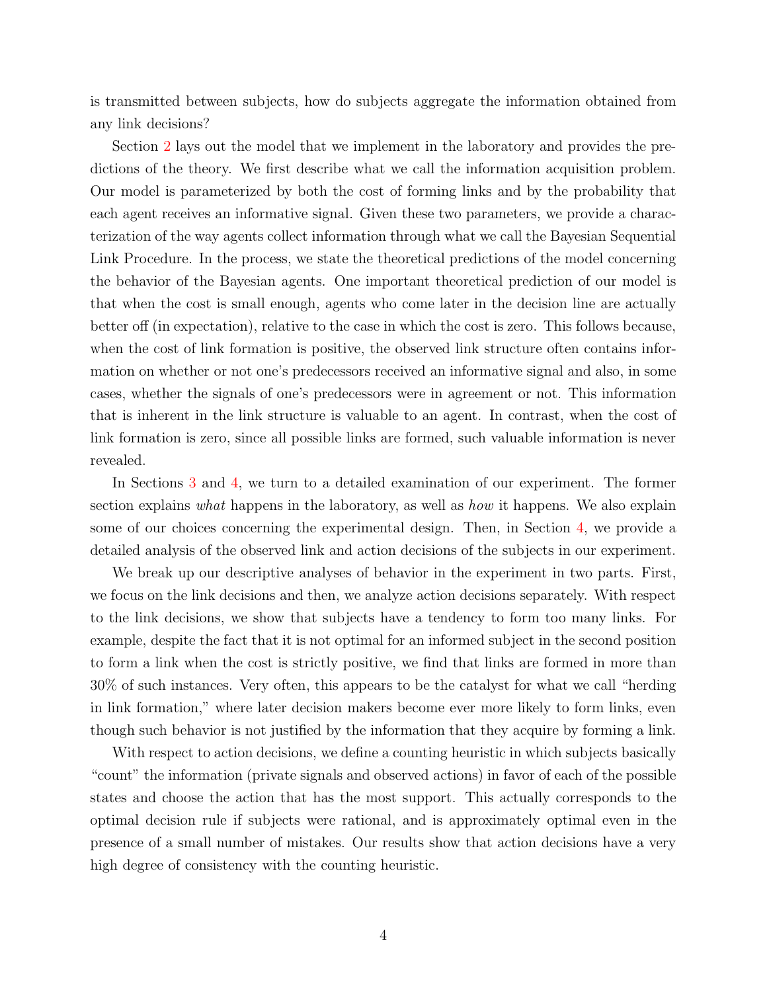is transmitted between subjects, how do subjects aggregate the information obtained from any link decisions?

Section [2](#page-6-0) lays out the model that we implement in the laboratory and provides the predictions of the theory. We first describe what we call the information acquisition problem. Our model is parameterized by both the cost of forming links and by the probability that each agent receives an informative signal. Given these two parameters, we provide a characterization of the way agents collect information through what we call the Bayesian Sequential Link Procedure. In the process, we state the theoretical predictions of the model concerning the behavior of the Bayesian agents. One important theoretical prediction of our model is that when the cost is small enough, agents who come later in the decision line are actually better off (in expectation), relative to the case in which the cost is zero. This follows because, when the cost of link formation is positive, the observed link structure often contains information on whether or not one's predecessors received an informative signal and also, in some cases, whether the signals of one's predecessors were in agreement or not. This information that is inherent in the link structure is valuable to an agent. In contrast, when the cost of link formation is zero, since all possible links are formed, such valuable information is never revealed.

In Sections [3](#page-14-0) and [4,](#page-16-0) we turn to a detailed examination of our experiment. The former section explains *what* happens in the laboratory, as well as *how* it happens. We also explain some of our choices concerning the experimental design. Then, in Section [4,](#page-16-0) we provide a detailed analysis of the observed link and action decisions of the subjects in our experiment.

We break up our descriptive analyses of behavior in the experiment in two parts. First, we focus on the link decisions and then, we analyze action decisions separately. With respect to the link decisions, we show that subjects have a tendency to form too many links. For example, despite the fact that it is not optimal for an informed subject in the second position to form a link when the cost is strictly positive, we find that links are formed in more than 30% of such instances. Very often, this appears to be the catalyst for what we call "herding in link formation," where later decision makers become ever more likely to form links, even though such behavior is not justified by the information that they acquire by forming a link.

With respect to action decisions, we define a counting heuristic in which subjects basically "count" the information (private signals and observed actions) in favor of each of the possible states and choose the action that has the most support. This actually corresponds to the optimal decision rule if subjects were rational, and is approximately optimal even in the presence of a small number of mistakes. Our results show that action decisions have a very high degree of consistency with the counting heuristic.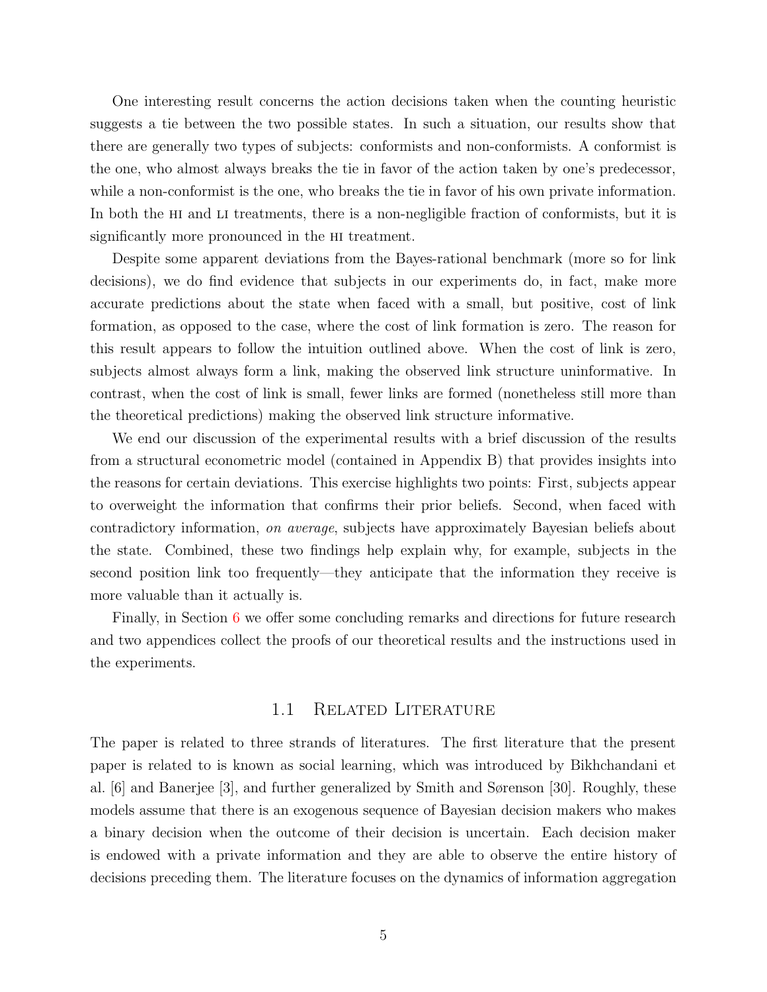One interesting result concerns the action decisions taken when the counting heuristic suggests a tie between the two possible states. In such a situation, our results show that there are generally two types of subjects: conformists and non-conformists. A conformist is the one, who almost always breaks the tie in favor of the action taken by one's predecessor, while a non-conformist is the one, who breaks the tie in favor of his own private information. In both the hi and li treatments, there is a non-negligible fraction of conformists, but it is significantly more pronounced in the hi treatment.

Despite some apparent deviations from the Bayes-rational benchmark (more so for link decisions), we do find evidence that subjects in our experiments do, in fact, make more accurate predictions about the state when faced with a small, but positive, cost of link formation, as opposed to the case, where the cost of link formation is zero. The reason for this result appears to follow the intuition outlined above. When the cost of link is zero, subjects almost always form a link, making the observed link structure uninformative. In contrast, when the cost of link is small, fewer links are formed (nonetheless still more than the theoretical predictions) making the observed link structure informative.

We end our discussion of the experimental results with a brief discussion of the results from a structural econometric model (contained in Appendix B) that provides insights into the reasons for certain deviations. This exercise highlights two points: First, subjects appear to overweight the information that confirms their prior beliefs. Second, when faced with contradictory information, *on average*, subjects have approximately Bayesian beliefs about the state. Combined, these two findings help explain why, for example, subjects in the second position link too frequently—they anticipate that the information they receive is more valuable than it actually is.

Finally, in Section [6](#page-33-0) we offer some concluding remarks and directions for future research and two appendices collect the proofs of our theoretical results and the instructions used in the experiments.

#### 1.1 Related Literature

The paper is related to three strands of literatures. The first literature that the present paper is related to is known as social learning, which was introduced by Bikhchandani et al. [\[6\]](#page-35-3) and Banerjee [\[3\]](#page-35-2), and further generalized by Smith and Sørenson [\[30\]](#page-37-2). Roughly, these models assume that there is an exogenous sequence of Bayesian decision makers who makes a binary decision when the outcome of their decision is uncertain. Each decision maker is endowed with a private information and they are able to observe the entire history of decisions preceding them. The literature focuses on the dynamics of information aggregation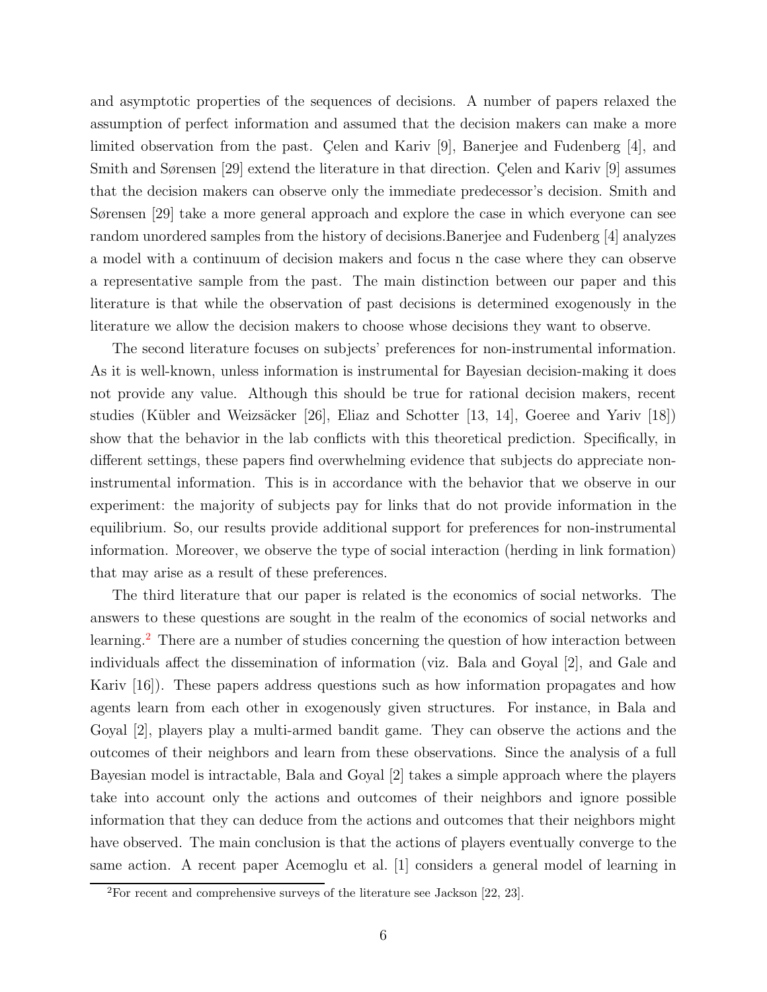and asymptotic properties of the sequences of decisions. A number of papers relaxed the assumption of perfect information and assumed that the decision makers can make a more limited observation from the past. Celen and Kariv  $[9]$ , Banerjee and Fudenberg  $[4]$ , and Smith and Sørensen [\[29\]](#page-37-3) extend the literature in that direction. Celen and Kariv [\[9\]](#page-35-6) assumes that the decision makers can observe only the immediate predecessor's decision. Smith and Sørensen [\[29\]](#page-37-3) take a more general approach and explore the case in which everyone can see random unordered samples from the history of decisions.Banerjee and Fudenberg [\[4\]](#page-35-7) analyzes a model with a continuum of decision makers and focus n the case where they can observe a representative sample from the past. The main distinction between our paper and this literature is that while the observation of past decisions is determined exogenously in the literature we allow the decision makers to choose whose decisions they want to observe.

The second literature focuses on subjects' preferences for non-instrumental information. As it is well-known, unless information is instrumental for Bayesian decision-making it does not provide any value. Although this should be true for rational decision makers, recent studies (Kübler and Weizsäcker [\[26\]](#page-37-4), Eliaz and Schotter [\[13,](#page-36-7) [14\]](#page-36-8), Goeree and Yariv [\[18\]](#page-36-9)) show that the behavior in the lab conflicts with this theoretical prediction. Specifically, in different settings, these papers find overwhelming evidence that subjects do appreciate noninstrumental information. This is in accordance with the behavior that we observe in our experiment: the majority of subjects pay for links that do not provide information in the equilibrium. So, our results provide additional support for preferences for non-instrumental information. Moreover, we observe the type of social interaction (herding in link formation) that may arise as a result of these preferences.

The third literature that our paper is related is the economics of social networks. The answers to these questions are sought in the realm of the economics of social networks and learning.<sup>[2](#page-5-0)</sup> There are a number of studies concerning the question of how interaction between individuals affect the dissemination of information (viz. Bala and Goyal [\[2\]](#page-35-8), and Gale and Kariv [\[16\]](#page-36-10)). These papers address questions such as how information propagates and how agents learn from each other in exogenously given structures. For instance, in Bala and Goyal [\[2\]](#page-35-8), players play a multi-armed bandit game. They can observe the actions and the outcomes of their neighbors and learn from these observations. Since the analysis of a full Bayesian model is intractable, Bala and Goyal [\[2\]](#page-35-8) takes a simple approach where the players take into account only the actions and outcomes of their neighbors and ignore possible information that they can deduce from the actions and outcomes that their neighbors might have observed. The main conclusion is that the actions of players eventually converge to the same action. A recent paper Acemoglu et al. [\[1\]](#page-35-9) considers a general model of learning in

<span id="page-5-0"></span> ${}^{2}$ For recent and comprehensive surveys of the literature see Jackson [\[22,](#page-36-11) [23\]](#page-36-12).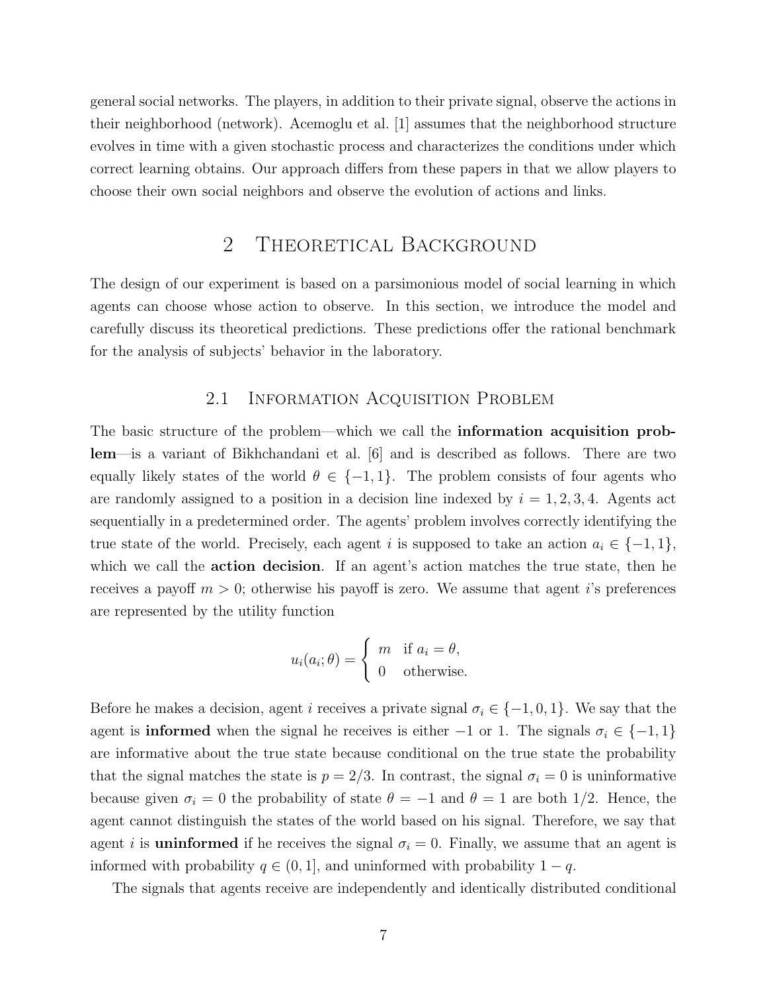general social networks. The players, in addition to their private signal, observe the actions in their neighborhood (network). Acemoglu et al. [\[1\]](#page-35-9) assumes that the neighborhood structure evolves in time with a given stochastic process and characterizes the conditions under which correct learning obtains. Our approach differs from these papers in that we allow players to choose their own social neighbors and observe the evolution of actions and links.

# 2 THEORETICAL BACKGROUND

<span id="page-6-0"></span>The design of our experiment is based on a parsimonious model of social learning in which agents can choose whose action to observe. In this section, we introduce the model and carefully discuss its theoretical predictions. These predictions offer the rational benchmark for the analysis of subjects' behavior in the laboratory.

## 2.1 Information Acquisition Problem

<span id="page-6-1"></span>The basic structure of the problem—which we call the information acquisition problem—is a variant of Bikhchandani et al. [\[6\]](#page-35-3) and is described as follows. There are two equally likely states of the world  $\theta \in \{-1,1\}$ . The problem consists of four agents who are randomly assigned to a position in a decision line indexed by  $i = 1, 2, 3, 4$ . Agents act sequentially in a predetermined order. The agents' problem involves correctly identifying the true state of the world. Precisely, each agent i is supposed to take an action  $a_i \in \{-1, 1\}$ , which we call the **action decision**. If an agent's action matches the true state, then he receives a payoff  $m > 0$ ; otherwise his payoff is zero. We assume that agent *i*'s preferences are represented by the utility function

$$
u_i(a_i; \theta) = \begin{cases} m & \text{if } a_i = \theta, \\ 0 & \text{otherwise.} \end{cases}
$$

Before he makes a decision, agent *i* receives a private signal  $\sigma_i \in \{-1, 0, 1\}$ . We say that the agent is **informed** when the signal he receives is either  $-1$  or 1. The signals  $\sigma_i \in \{-1, 1\}$ are informative about the true state because conditional on the true state the probability that the signal matches the state is  $p = 2/3$ . In contrast, the signal  $\sigma_i = 0$  is uninformative because given  $\sigma_i = 0$  the probability of state  $\theta = -1$  and  $\theta = 1$  are both 1/2. Hence, the agent cannot distinguish the states of the world based on his signal. Therefore, we say that agent *i* is **uninformed** if he receives the signal  $\sigma_i = 0$ . Finally, we assume that an agent is informed with probability  $q \in (0, 1]$ , and uninformed with probability  $1 - q$ .

The signals that agents receive are independently and identically distributed conditional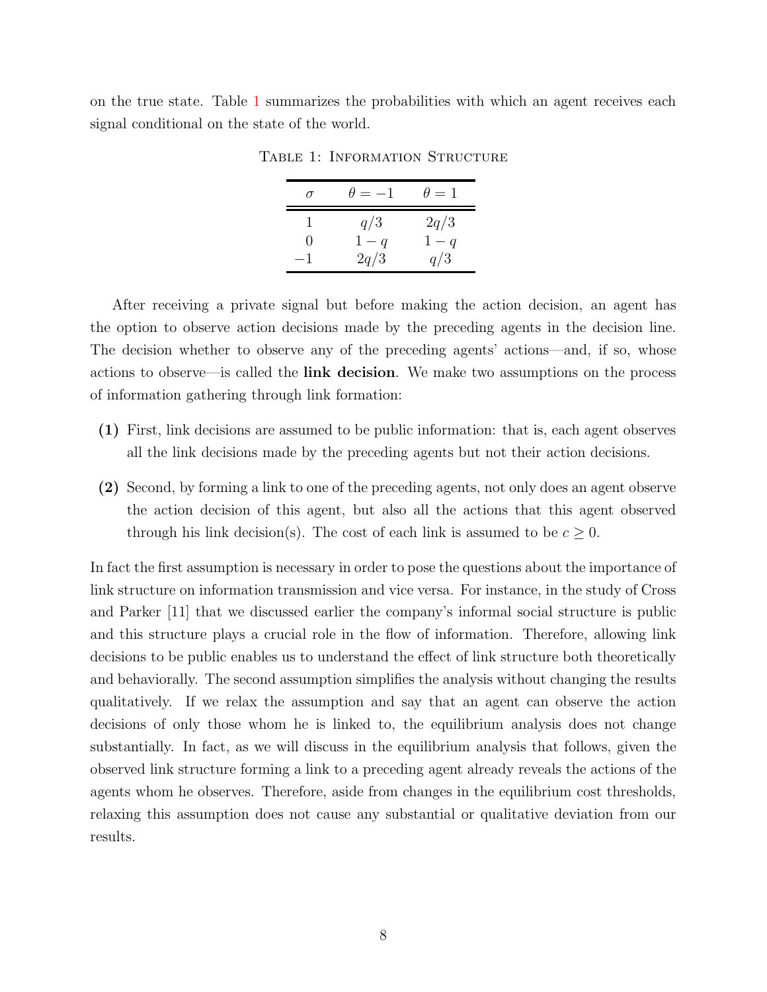<span id="page-7-0"></span>on the true state. Table [1](#page-7-0) summarizes the probabilities with which an agent receives each signal conditional on the state of the world.

| $\sigma$ | $\theta = -1$ | $\theta=1$ |
|----------|---------------|------------|
|          | q/3           | 2q/3       |
| 0        | $1-q$         | $1-q$      |
| — 1      | 2q/3          | q/3        |

TABLE 1: INFORMATION STRUCTURE

After receiving a private signal but before making the action decision, an agent has the option to observe action decisions made by the preceding agents in the decision line. The decision whether to observe any of the preceding agents' actions—and, if so, whose actions to observe—is called the link decision. We make two assumptions on the process of information gathering through link formation:

- (1) First, link decisions are assumed to be public information: that is, each agent observes all the link decisions made by the preceding agents but not their action decisions.
- (2) Second, by forming a link to one of the preceding agents, not only does an agent observe the action decision of this agent, but also all the actions that this agent observed through his link decision(s). The cost of each link is assumed to be  $c \geq 0$ .

In fact the first assumption is necessary in order to pose the questions about the importance of link structure on information transmission and vice versa. For instance, in the study of Cross and Parker [\[11\]](#page-35-5) that we discussed earlier the company's informal social structure is public and this structure plays a crucial role in the flow of information. Therefore, allowing link decisions to be public enables us to understand the effect of link structure both theoretically and behaviorally. The second assumption simplifies the analysis without changing the results qualitatively. If we relax the assumption and say that an agent can observe the action decisions of only those whom he is linked to, the equilibrium analysis does not change substantially. In fact, as we will discuss in the equilibrium analysis that follows, given the observed link structure forming a link to a preceding agent already reveals the actions of the agents whom he observes. Therefore, aside from changes in the equilibrium cost thresholds, relaxing this assumption does not cause any substantial or qualitative deviation from our results.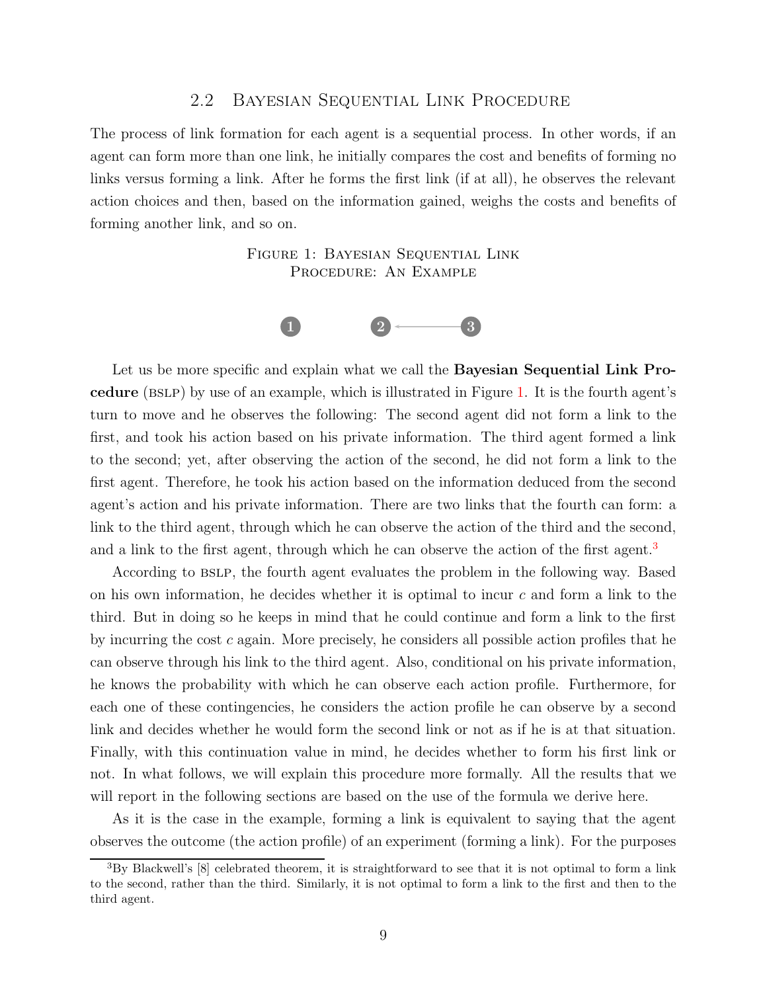#### 2.2 Bayesian Sequential Link Procedure

<span id="page-8-0"></span>The process of link formation for each agent is a sequential process. In other words, if an agent can form more than one link, he initially compares the cost and benefits of forming no links versus forming a link. After he forms the first link (if at all), he observes the relevant action choices and then, based on the information gained, weighs the costs and benefits of forming another link, and so on.

> Figure 1: Bayesian Sequential Link PROCEDURE: AN EXAMPLE



Let us be more specific and explain what we call the **Bayesian Sequential Link Pro-**cedure (BSLP) by use of an example, which is illustrated in Figure [1.](#page-8-0) It is the fourth agent's turn to move and he observes the following: The second agent did not form a link to the first, and took his action based on his private information. The third agent formed a link to the second; yet, after observing the action of the second, he did not form a link to the first agent. Therefore, he took his action based on the information deduced from the second agent's action and his private information. There are two links that the fourth can form: a link to the third agent, through which he can observe the action of the third and the second, and a link to the first agent, through which he can observe the action of the first agent.<sup>[3](#page-8-1)</sup>

According to BSLP, the fourth agent evaluates the problem in the following way. Based on his own information, he decides whether it is optimal to incur c and form a link to the third. But in doing so he keeps in mind that he could continue and form a link to the first by incurring the cost  $c$  again. More precisely, he considers all possible action profiles that he can observe through his link to the third agent. Also, conditional on his private information, he knows the probability with which he can observe each action profile. Furthermore, for each one of these contingencies, he considers the action profile he can observe by a second link and decides whether he would form the second link or not as if he is at that situation. Finally, with this continuation value in mind, he decides whether to form his first link or not. In what follows, we will explain this procedure more formally. All the results that we will report in the following sections are based on the use of the formula we derive here.

As it is the case in the example, forming a link is equivalent to saying that the agent observes the outcome (the action profile) of an experiment (forming a link). For the purposes

<span id="page-8-1"></span> $3By$  Blackwell's  $[8]$  celebrated theorem, it is straightforward to see that it is not optimal to form a link to the second, rather than the third. Similarly, it is not optimal to form a link to the first and then to the third agent.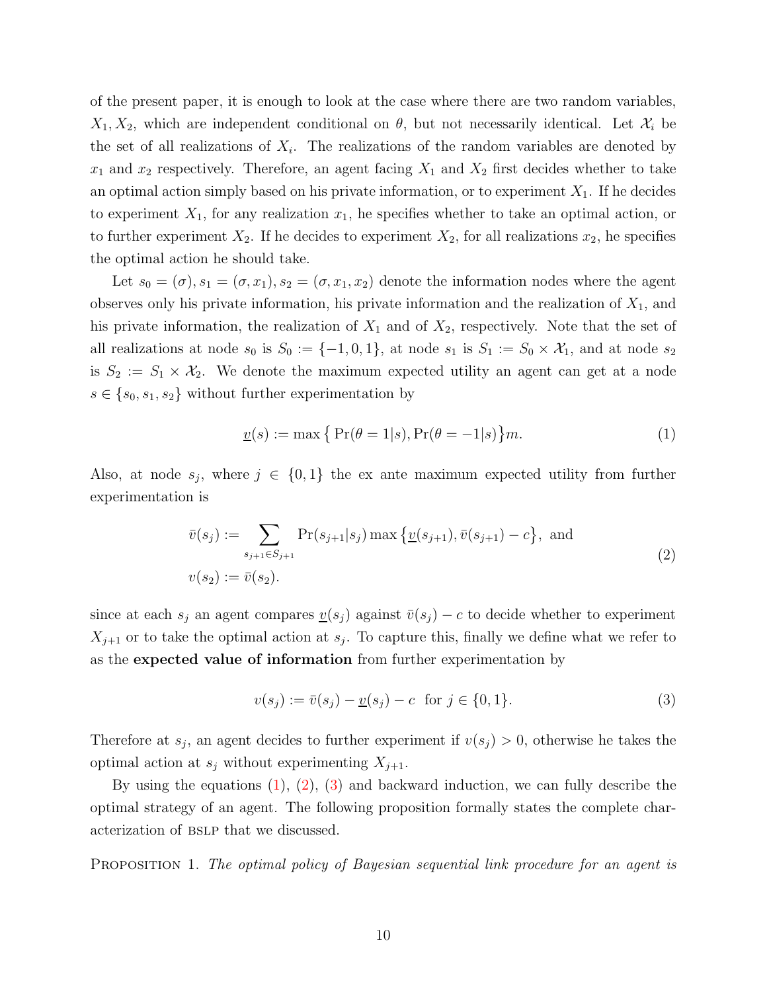of the present paper, it is enough to look at the case where there are two random variables,  $X_1, X_2$ , which are independent conditional on  $\theta$ , but not necessarily identical. Let  $\mathcal{X}_i$  be the set of all realizations of  $X_i$ . The realizations of the random variables are denoted by  $x_1$  and  $x_2$  respectively. Therefore, an agent facing  $X_1$  and  $X_2$  first decides whether to take an optimal action simply based on his private information, or to experiment  $X_1$ . If he decides to experiment  $X_1$ , for any realization  $x_1$ , he specifies whether to take an optimal action, or to further experiment  $X_2$ . If he decides to experiment  $X_2$ , for all realizations  $x_2$ , he specifies the optimal action he should take.

Let  $s_0 = (\sigma, s_1) = (\sigma, x_1), s_2 = (\sigma, x_1, x_2)$  denote the information nodes where the agent observes only his private information, his private information and the realization of  $X_1$ , and his private information, the realization of  $X_1$  and of  $X_2$ , respectively. Note that the set of all realizations at node  $s_0$  is  $S_0 := \{-1, 0, 1\}$ , at node  $s_1$  is  $S_1 := S_0 \times \mathcal{X}_1$ , and at node  $s_2$ is  $S_2 := S_1 \times \mathcal{X}_2$ . We denote the maximum expected utility an agent can get at a node  $s \in \{s_0, s_1, s_2\}$  without further experimentation by

<span id="page-9-0"></span>
$$
\underline{v}(s) := \max\left\{ \Pr(\theta = 1|s), \Pr(\theta = -1|s) \right\} m. \tag{1}
$$

Also, at node  $s_j$ , where  $j \in \{0,1\}$  the ex ante maximum expected utility from further experimentation is

$$
\bar{v}(s_j) := \sum_{s_{j+1} \in S_{j+1}} \Pr(s_{j+1}|s_j) \max\{\underline{v}(s_{j+1}), \bar{v}(s_{j+1}) - c\}, \text{ and}
$$
\n
$$
v(s_2) := \bar{v}(s_2).
$$
\n(2)

<span id="page-9-1"></span>since at each  $s_j$  an agent compares  $\underline{v}(s_j)$  against  $\overline{v}(s_j) - c$  to decide whether to experiment  $X_{j+1}$  or to take the optimal action at  $s_j$ . To capture this, finally we define what we refer to as the expected value of information from further experimentation by

<span id="page-9-2"></span>
$$
v(s_j) := \bar{v}(s_j) - \underline{v}(s_j) - c \text{ for } j \in \{0, 1\}.
$$
 (3)

Therefore at  $s_j$ , an agent decides to further experiment if  $v(s_j) > 0$ , otherwise he takes the optimal action at  $s_j$  without experimenting  $X_{j+1}$ .

By using the equations [\(1\)](#page-9-0), [\(2\)](#page-9-1), [\(3\)](#page-9-2) and backward induction, we can fully describe the optimal strategy of an agent. The following proposition formally states the complete characterization of BSLP that we discussed.

<span id="page-9-3"></span>Proposition 1. *The optimal policy of Bayesian sequential link procedure for an agent is*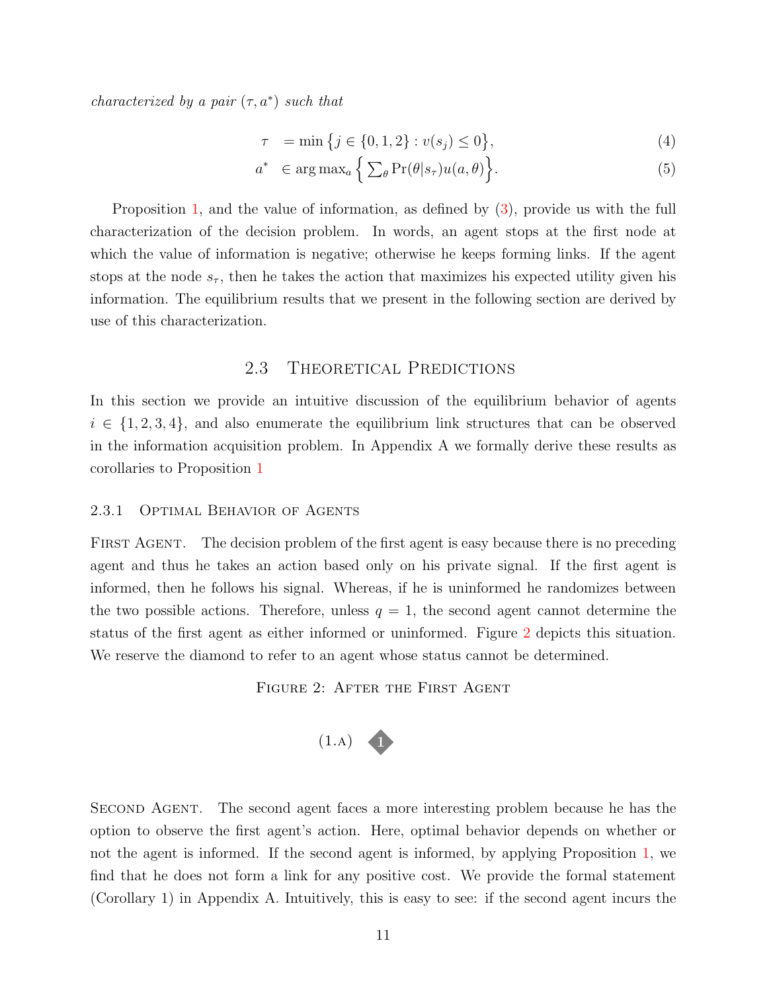*characterized by a pair*  $(\tau, a^*)$  *such that* 

$$
\tau = \min \left\{ j \in \{0, 1, 2\} : v(s_j) \le 0 \right\},\tag{4}
$$

$$
a^* \in \arg \max_{a} \left\{ \sum_{\theta} \Pr(\theta | s_{\tau}) u(a, \theta) \right\}.
$$
 (5)

Proposition [1,](#page-9-3) and the value of information, as defined by [\(3\)](#page-9-2), provide us with the full characterization of the decision problem. In words, an agent stops at the first node at which the value of information is negative; otherwise he keeps forming links. If the agent stops at the node  $s_{\tau}$ , then he takes the action that maximizes his expected utility given his information. The equilibrium results that we present in the following section are derived by use of this characterization.

## 2.3 THEORETICAL PREDICTIONS

<span id="page-10-1"></span>In this section we provide an intuitive discussion of the equilibrium behavior of agents  $i \in \{1, 2, 3, 4\}$ , and also enumerate the equilibrium link structures that can be observed in the information acquisition problem. In Appendix A we formally derive these results as corollaries to Proposition [1](#page-9-3)

#### 2.3.1 Optimal Behavior of Agents

<span id="page-10-0"></span>FIRST AGENT. The decision problem of the first agent is easy because there is no preceding agent and thus he takes an action based only on his private signal. If the first agent is informed, then he follows his signal. Whereas, if he is uninformed he randomizes between the two possible actions. Therefore, unless  $q = 1$ , the second agent cannot determine the status of the first agent as either informed or uninformed. Figure [2](#page-10-0) depicts this situation. We reserve the diamond to refer to an agent whose status cannot be determined.

FIGURE 2: AFTER THE FIRST AGENT



Second Agent. The second agent faces a more interesting problem because he has the option to observe the first agent's action. Here, optimal behavior depends on whether or not the agent is informed. If the second agent is informed, by applying Proposition [1,](#page-9-3) we find that he does not form a link for any positive cost. We provide the formal statement (Corollary 1) in Appendix A. Intuitively, this is easy to see: if the second agent incurs the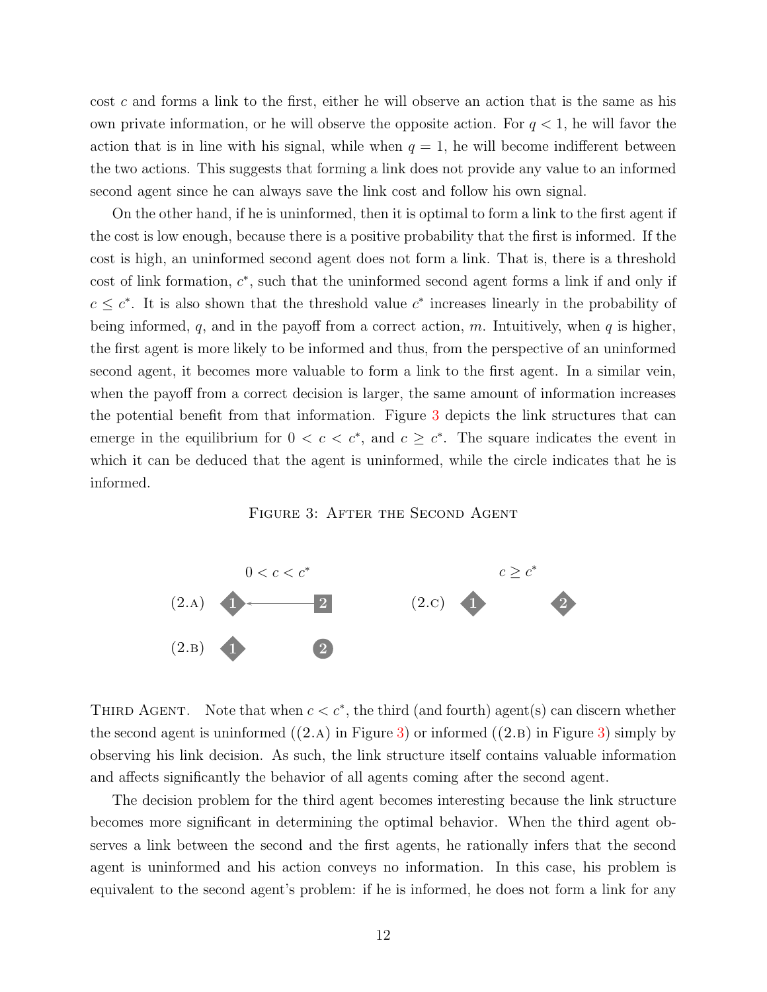cost c and forms a link to the first, either he will observe an action that is the same as his own private information, or he will observe the opposite action. For  $q < 1$ , he will favor the action that is in line with his signal, while when  $q = 1$ , he will become indifferent between the two actions. This suggests that forming a link does not provide any value to an informed second agent since he can always save the link cost and follow his own signal.

On the other hand, if he is uninformed, then it is optimal to form a link to the first agent if the cost is low enough, because there is a positive probability that the first is informed. If the cost is high, an uninformed second agent does not form a link. That is, there is a threshold  $\cos t$  of link formation,  $c^*$ , such that the uninformed second agent forms a link if and only if  $c \leq c^*$ . It is also shown that the threshold value  $c^*$  increases linearly in the probability of being informed, q, and in the payoff from a correct action,  $m$ . Intuitively, when  $q$  is higher, the first agent is more likely to be informed and thus, from the perspective of an uninformed second agent, it becomes more valuable to form a link to the first agent. In a similar vein, when the payoff from a correct decision is larger, the same amount of information increases the potential benefit from that information. Figure [3](#page-11-0) depicts the link structures that can emerge in the equilibrium for  $0 < c < c^*$ , and  $c \geq c^*$ . The square indicates the event in which it can be deduced that the agent is uninformed, while the circle indicates that he is informed.

#### FIGURE 3: AFTER THE SECOND AGENT

<span id="page-11-0"></span>

THIRD AGENT. Note that when  $c < c^*$ , the third (and fourth) agent(s) can discern whether the second agent is uninformed  $((2.A)$  in Figure [3\)](#page-11-0) or informed  $((2.B)$  in Figure 3) simply by observing his link decision. As such, the link structure itself contains valuable information and affects significantly the behavior of all agents coming after the second agent.

The decision problem for the third agent becomes interesting because the link structure becomes more significant in determining the optimal behavior. When the third agent observes a link between the second and the first agents, he rationally infers that the second agent is uninformed and his action conveys no information. In this case, his problem is equivalent to the second agent's problem: if he is informed, he does not form a link for any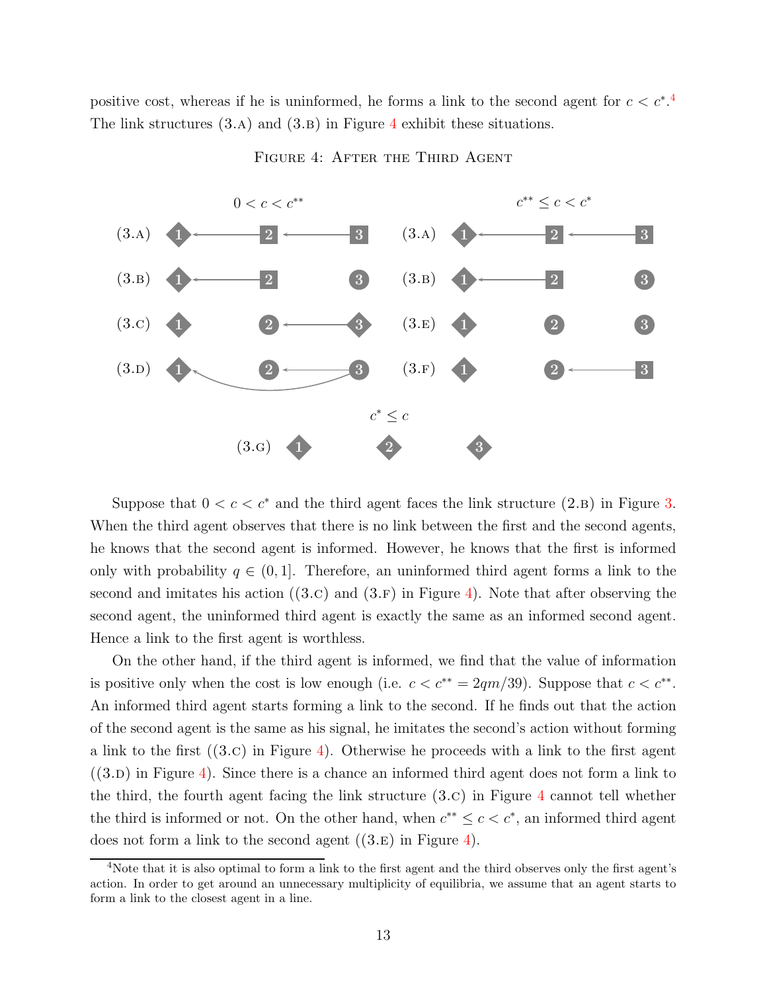<span id="page-12-1"></span>positive cost, whereas if he is uninformed, he forms a link to the second agent for  $c < c^*$ . The link structures  $(3.A)$  and  $(3.B)$  in Figure [4](#page-12-1) exhibit these situations.



#### FIGURE 4: AFTER THE THIRD AGENT

Suppose that  $0 < c < c^*$  and the third agent faces the link structure (2.b) in Figure [3.](#page-11-0) When the third agent observes that there is no link between the first and the second agents, he knows that the second agent is informed. However, he knows that the first is informed only with probability  $q \in (0, 1]$ . Therefore, an uninformed third agent forms a link to the second and imitates his action  $((3.c)$  and  $(3.F)$  in Figure [4\)](#page-12-1). Note that after observing the second agent, the uninformed third agent is exactly the same as an informed second agent. Hence a link to the first agent is worthless.

On the other hand, if the third agent is informed, we find that the value of information is positive only when the cost is low enough (i.e.  $c < c^{**} = 2qm/39$ ). Suppose that  $c < c^{**}$ . An informed third agent starts forming a link to the second. If he finds out that the action of the second agent is the same as his signal, he imitates the second's action without forming a link to the first  $((3.c)$  in Figure [4\)](#page-12-1). Otherwise he proceeds with a link to the first agent  $(3.D)$  in Figure [4\)](#page-12-1). Since there is a chance an informed third agent does not form a link to the third, the fourth agent facing the link structure  $(3.c)$  in Figure [4](#page-12-1) cannot tell whether the third is informed or not. On the other hand, when  $c^{**} \leq c < c^*$ , an informed third agent does not form a link to the second agent  $((3.E)$  in Figure [4\)](#page-12-1).

<span id="page-12-0"></span><sup>4</sup>Note that it is also optimal to form a link to the first agent and the third observes only the first agent's action. In order to get around an unnecessary multiplicity of equilibria, we assume that an agent starts to form a link to the closest agent in a line.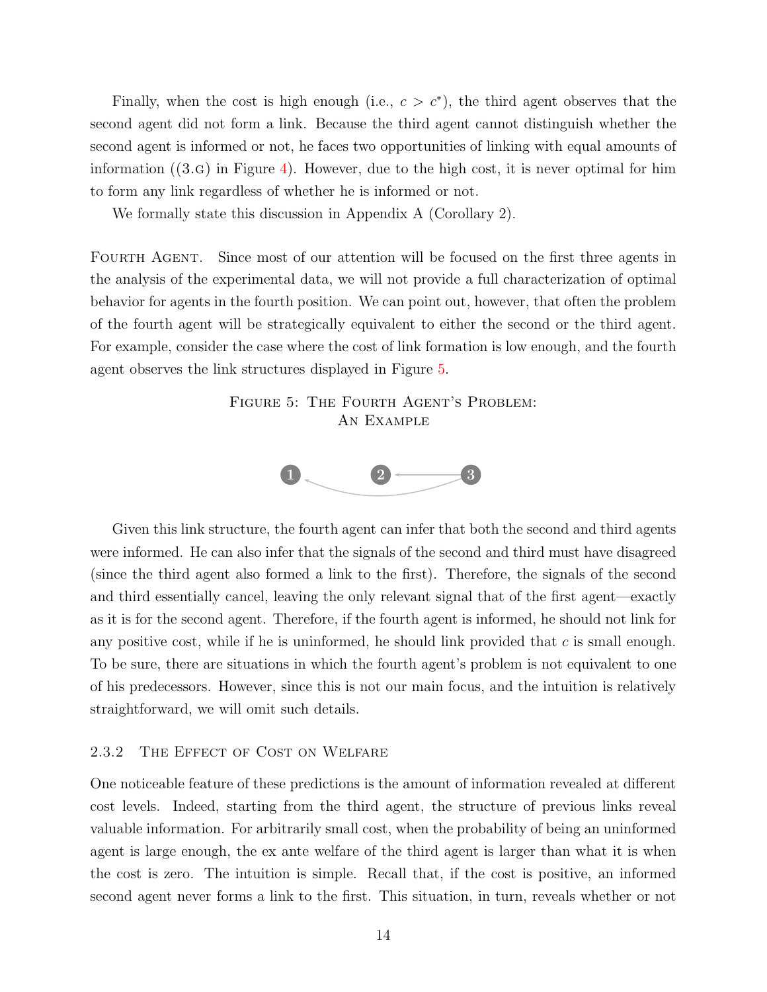Finally, when the cost is high enough (i.e.,  $c > c^*$ ), the third agent observes that the second agent did not form a link. Because the third agent cannot distinguish whether the second agent is informed or not, he faces two opportunities of linking with equal amounts of information  $((3.6)$  in Figure [4\)](#page-12-1). However, due to the high cost, it is never optimal for him to form any link regardless of whether he is informed or not.

We formally state this discussion in Appendix A (Corollary 2).

<span id="page-13-0"></span>FOURTH AGENT. Since most of our attention will be focused on the first three agents in the analysis of the experimental data, we will not provide a full characterization of optimal behavior for agents in the fourth position. We can point out, however, that often the problem of the fourth agent will be strategically equivalent to either the second or the third agent. For example, consider the case where the cost of link formation is low enough, and the fourth agent observes the link structures displayed in Figure [5.](#page-13-0)





Given this link structure, the fourth agent can infer that both the second and third agents were informed. He can also infer that the signals of the second and third must have disagreed (since the third agent also formed a link to the first). Therefore, the signals of the second and third essentially cancel, leaving the only relevant signal that of the first agent—exactly as it is for the second agent. Therefore, if the fourth agent is informed, he should not link for any positive cost, while if he is uninformed, he should link provided that  $c$  is small enough. To be sure, there are situations in which the fourth agent's problem is not equivalent to one of his predecessors. However, since this is not our main focus, and the intuition is relatively straightforward, we will omit such details.

#### 2.3.2 The Effect of Cost on Welfare

One noticeable feature of these predictions is the amount of information revealed at different cost levels. Indeed, starting from the third agent, the structure of previous links reveal valuable information. For arbitrarily small cost, when the probability of being an uninformed agent is large enough, the ex ante welfare of the third agent is larger than what it is when the cost is zero. The intuition is simple. Recall that, if the cost is positive, an informed second agent never forms a link to the first. This situation, in turn, reveals whether or not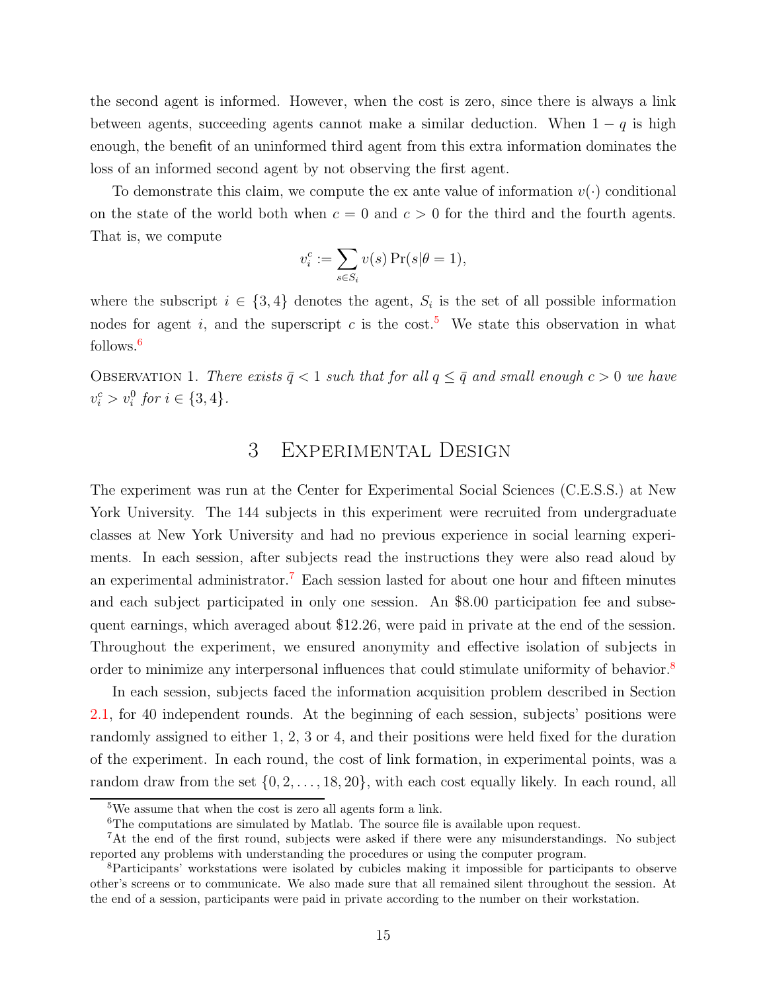the second agent is informed. However, when the cost is zero, since there is always a link between agents, succeeding agents cannot make a similar deduction. When  $1 - q$  is high enough, the benefit of an uninformed third agent from this extra information dominates the loss of an informed second agent by not observing the first agent.

To demonstrate this claim, we compute the ex ante value of information  $v(\cdot)$  conditional on the state of the world both when  $c = 0$  and  $c > 0$  for the third and the fourth agents. That is, we compute

$$
v_i^c := \sum_{s \in S_i} v(s) \Pr(s | \theta = 1),
$$

where the subscript  $i \in \{3, 4\}$  denotes the agent,  $S_i$  is the set of all possible information nodes for agent i, and the superscript c is the cost.<sup>[5](#page-14-1)</sup> We state this observation in what follows.[6](#page-14-2)

<span id="page-14-5"></span><span id="page-14-0"></span>OBSERVATION 1. *There exists*  $\bar{q} < 1$  *such that for all*  $q \leq \bar{q}$  *and small enough*  $c > 0$  *we have*  $v_i^c > v_i^0$  for  $i \in \{3, 4\}.$ 

# 3 Experimental Design

The experiment was run at the Center for Experimental Social Sciences (C.E.S.S.) at New York University. The 144 subjects in this experiment were recruited from undergraduate classes at New York University and had no previous experience in social learning experiments. In each session, after subjects read the instructions they were also read aloud by an experimental administrator.[7](#page-14-3) Each session lasted for about one hour and fifteen minutes and each subject participated in only one session. An \$8.00 participation fee and subsequent earnings, which averaged about \$12.26, were paid in private at the end of the session. Throughout the experiment, we ensured anonymity and effective isolation of subjects in order to minimize any interpersonal influences that could stimulate uniformity of behavior.[8](#page-14-4)

In each session, subjects faced the information acquisition problem described in Section [2.1,](#page-6-1) for 40 independent rounds. At the beginning of each session, subjects' positions were randomly assigned to either 1, 2, 3 or 4, and their positions were held fixed for the duration of the experiment. In each round, the cost of link formation, in experimental points, was a random draw from the set  $\{0, 2, \ldots, 18, 20\}$ , with each cost equally likely. In each round, all

<sup>5</sup>We assume that when the cost is zero all agents form a link.

<span id="page-14-2"></span><span id="page-14-1"></span><sup>&</sup>lt;sup>6</sup>The computations are simulated by Matlab. The source file is available upon request.

<span id="page-14-3"></span><sup>&</sup>lt;sup>7</sup>At the end of the first round, subjects were asked if there were any misunderstandings. No subject reported any problems with understanding the procedures or using the computer program.

<span id="page-14-4"></span><sup>8</sup>Participants' workstations were isolated by cubicles making it impossible for participants to observe other's screens or to communicate. We also made sure that all remained silent throughout the session. At the end of a session, participants were paid in private according to the number on their workstation.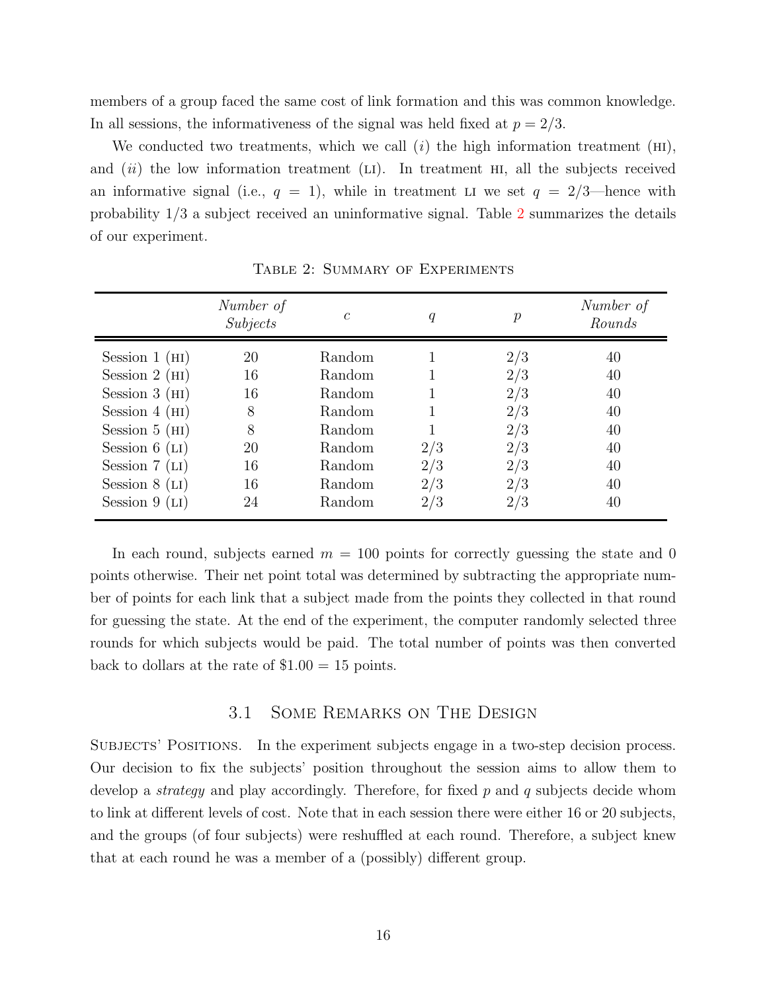members of a group faced the same cost of link formation and this was common knowledge. In all sessions, the informativeness of the signal was held fixed at  $p = 2/3$ .

We conducted two treatments, which we call  $(i)$  the high information treatment  $(HI)$ , and  $(ii)$  the low information treatment  $(LI)$ . In treatment HI, all the subjects received an informative signal (i.e.,  $q = 1$ ), while in treatment LI we set  $q = 2/3$ —hence with probability 1/3 a subject received an uninformative signal. Table [2](#page-15-0) summarizes the details of our experiment.

<span id="page-15-0"></span>

|                            | Number of<br>Subjects | $\mathcal{C}$ |     |     | Number of<br>Rounds |
|----------------------------|-----------------------|---------------|-----|-----|---------------------|
| Session $1$ (HI)           | 20                    | Random        |     | 2/3 | 40                  |
| Session $2$ (HI)           | 16                    | Random        |     | 2/3 | 40                  |
| Session $3$ (HI)           | 16                    | Random        |     | 2/3 | 40                  |
| Session $4 \, (\text{HI})$ | 8                     | Random        |     | 2/3 | 40                  |
| Session $5$ (HI)           | 8                     | Random        |     | 2/3 | 40                  |
| Session $6(LI)$            | 20                    | Random        | 2/3 | 2/3 | 40                  |
| Session $7(LI)$            | 16                    | Random        | 2/3 | 2/3 | 40                  |
| Session $8$ (LI)           | 16                    | Random        | 2/3 | 2/3 | 40                  |
| Session $9(LI)$            | 24                    | Random        | 2/3 | 2/3 | 40                  |

Table 2: Summary of Experiments

In each round, subjects earned  $m = 100$  points for correctly guessing the state and 0 points otherwise. Their net point total was determined by subtracting the appropriate number of points for each link that a subject made from the points they collected in that round for guessing the state. At the end of the experiment, the computer randomly selected three rounds for which subjects would be paid. The total number of points was then converted back to dollars at the rate of  $$1.00 = 15$  points.

## 3.1 Some Remarks on The Design

SUBJECTS' POSITIONS. In the experiment subjects engage in a two-step decision process. Our decision to fix the subjects' position throughout the session aims to allow them to develop a *strategy* and play accordingly. Therefore, for fixed p and q subjects decide whom to link at different levels of cost. Note that in each session there were either 16 or 20 subjects, and the groups (of four subjects) were reshuffled at each round. Therefore, a subject knew that at each round he was a member of a (possibly) different group.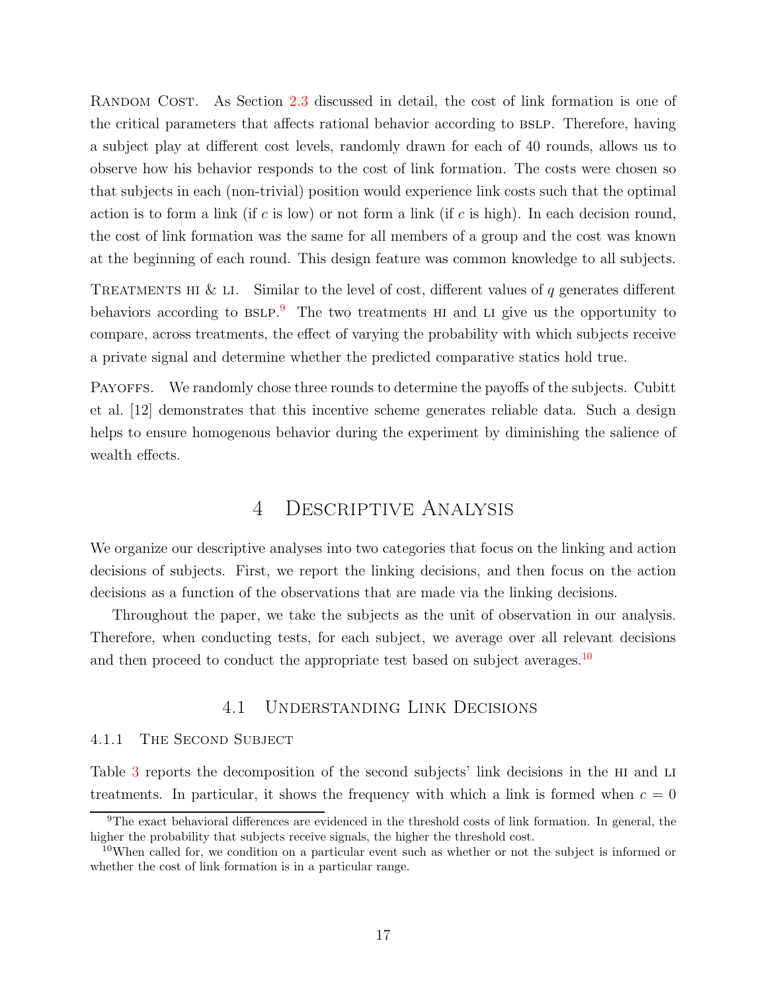RANDOM COST. As Section [2.3](#page-10-1) discussed in detail, the cost of link formation is one of the critical parameters that affects rational behavior according to BSLP. Therefore, having a subject play at different cost levels, randomly drawn for each of 40 rounds, allows us to observe how his behavior responds to the cost of link formation. The costs were chosen so that subjects in each (non-trivial) position would experience link costs such that the optimal action is to form a link (if c is low) or not form a link (if c is high). In each decision round, the cost of link formation was the same for all members of a group and the cost was known at the beginning of each round. This design feature was common knowledge to all subjects.

TREATMENTS HI & LI. Similar to the level of cost, different values of q generates different behaviors according to BSLP.<sup>[9](#page-16-1)</sup> The two treatments HI and LI give us the opportunity to compare, across treatments, the effect of varying the probability with which subjects receive a private signal and determine whether the predicted comparative statics hold true.

Payoffs. We randomly chose three rounds to determine the payoffs of the subjects. Cubitt et al. [\[12\]](#page-35-11) demonstrates that this incentive scheme generates reliable data. Such a design helps to ensure homogenous behavior during the experiment by diminishing the salience of wealth effects.

# 4 Descriptive Analysis

<span id="page-16-0"></span>We organize our descriptive analyses into two categories that focus on the linking and action decisions of subjects. First, we report the linking decisions, and then focus on the action decisions as a function of the observations that are made via the linking decisions.

Throughout the paper, we take the subjects as the unit of observation in our analysis. Therefore, when conducting tests, for each subject, we average over all relevant decisions and then proceed to conduct the appropriate test based on subject averages.<sup>[10](#page-16-2)</sup>

## 4.1 Understanding Link Decisions

#### 4.1.1 THE SECOND SUBJECT

Table [3](#page-17-0) reports the decomposition of the second subjects' link decisions in the hi and li treatments. In particular, it shows the frequency with which a link is formed when  $c = 0$ 

<span id="page-16-1"></span><sup>&</sup>lt;sup>9</sup>The exact behavioral differences are evidenced in the threshold costs of link formation. In general, the higher the probability that subjects receive signals, the higher the threshold cost.

<span id="page-16-2"></span> $10$ When called for, we condition on a particular event such as whether or not the subject is informed or whether the cost of link formation is in a particular range.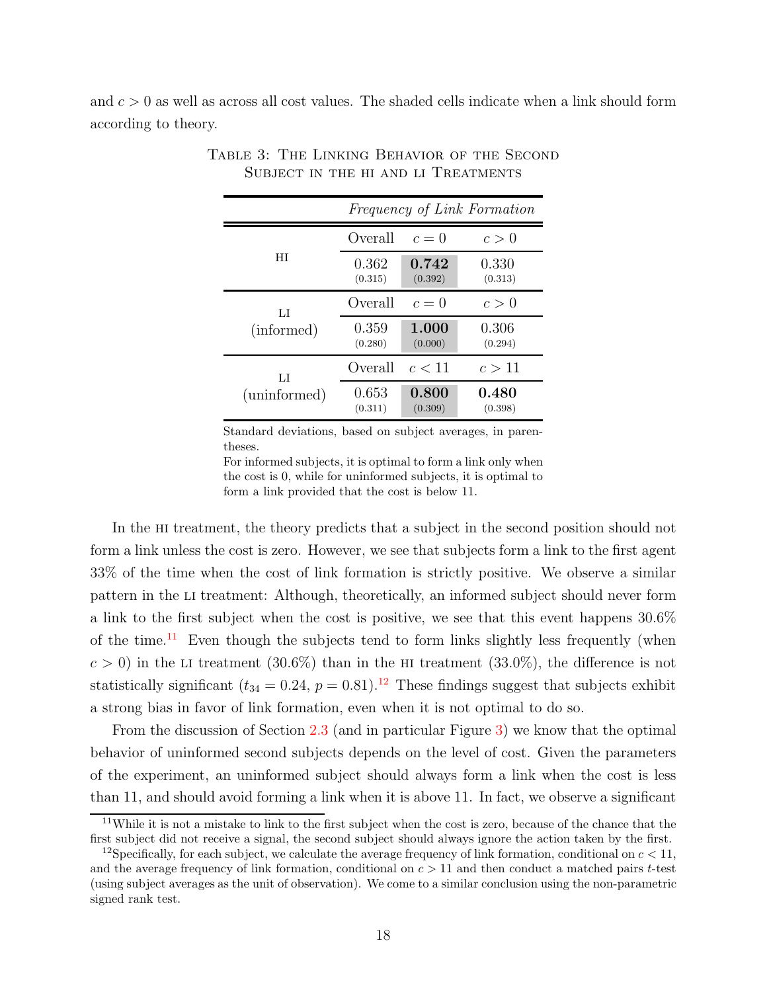<span id="page-17-0"></span>and  $c > 0$  as well as across all cost values. The shaded cells indicate when a link should form according to theory.

|              |                  |                  | Frequency of Link Formation |
|--------------|------------------|------------------|-----------------------------|
|              | Overall          | $c=0$            | c>0                         |
| НI           | 0.362<br>(0.315) | 0.742<br>(0.392) | 0.330<br>(0.313)            |
| LI           | Overall          | $c=0$            | c>0                         |
| (informed)   | 0.359<br>(0.280) | 1.000<br>(0.000) | 0.306<br>(0.294)            |
| LI           | Overall          | c < 11           | c > 11                      |
| (uninformed) | 0.653<br>(0.311) | 0.800<br>(0.309) | 0.480<br>(0.398)            |

Table 3: The Linking Behavior of the Second SUBJECT IN THE HI AND LI TREATMENTS

Standard deviations, based on subject averages, in parentheses.

For informed subjects, it is optimal to form a link only when the cost is 0, while for uninformed subjects, it is optimal to form a link provided that the cost is below 11.

In the hi treatment, the theory predicts that a subject in the second position should not form a link unless the cost is zero. However, we see that subjects form a link to the first agent 33% of the time when the cost of link formation is strictly positive. We observe a similar pattern in the li treatment: Although, theoretically, an informed subject should never form a link to the first subject when the cost is positive, we see that this event happens 30.6% of the time.<sup>[11](#page-17-1)</sup> Even though the subjects tend to form links slightly less frequently (when  $c > 0$ ) in the LI treatment (30.6%) than in the HI treatment (33.0%), the difference is not statistically significant  $(t_{34} = 0.24, p = 0.81).^{12}$  $(t_{34} = 0.24, p = 0.81).^{12}$  $(t_{34} = 0.24, p = 0.81).^{12}$  These findings suggest that subjects exhibit a strong bias in favor of link formation, even when it is not optimal to do so.

From the discussion of Section [2.3](#page-10-1) (and in particular Figure [3\)](#page-11-0) we know that the optimal behavior of uninformed second subjects depends on the level of cost. Given the parameters of the experiment, an uninformed subject should always form a link when the cost is less than 11, and should avoid forming a link when it is above 11. In fact, we observe a significant

<span id="page-17-1"></span><sup>&</sup>lt;sup>11</sup>While it is not a mistake to link to the first subject when the cost is zero, because of the chance that the first subject did not receive a signal, the second subject should always ignore the action taken by the first.

<span id="page-17-2"></span><sup>&</sup>lt;sup>12</sup>Specifically, for each subject, we calculate the average frequency of link formation, conditional on  $c < 11$ , and the average frequency of link formation, conditional on  $c > 11$  and then conduct a matched pairs t-test (using subject averages as the unit of observation). We come to a similar conclusion using the non-parametric signed rank test.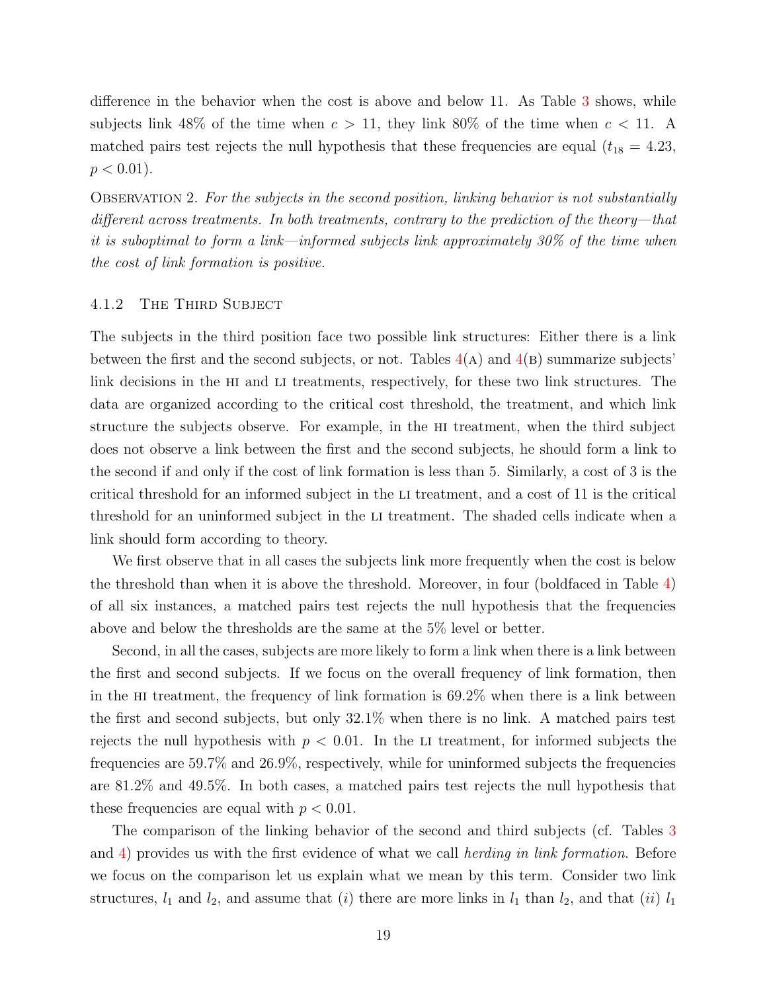difference in the behavior when the cost is above and below 11. As Table [3](#page-17-0) shows, while subjects link 48% of the time when  $c > 11$ , they link 80% of the time when  $c < 11$ . A matched pairs test rejects the null hypothesis that these frequencies are equal ( $t_{18} = 4.23$ ,  $p < 0.01$ ).

Observation 2. *For the subjects in the second position, linking behavior is not substantially different across treatments. In both treatments, contrary to the prediction of the theory—that it is suboptimal to form a link—informed subjects link approximately 30% of the time when the cost of link formation is positive.*

#### 4.1.2 The Third Subject

The subjects in the third position face two possible link structures: Either there is a link between the first and the second subjects, or not. Tables  $4(A)$  $4(A)$  and  $4(B)$  summarize subjects' link decisions in the hi and li treatments, respectively, for these two link structures. The data are organized according to the critical cost threshold, the treatment, and which link structure the subjects observe. For example, in the HI treatment, when the third subject does not observe a link between the first and the second subjects, he should form a link to the second if and only if the cost of link formation is less than 5. Similarly, a cost of 3 is the critical threshold for an informed subject in the li treatment, and a cost of 11 is the critical threshold for an uninformed subject in the li treatment. The shaded cells indicate when a link should form according to theory.

We first observe that in all cases the subjects link more frequently when the cost is below the threshold than when it is above the threshold. Moreover, in four (boldfaced in Table [4\)](#page-20-0) of all six instances, a matched pairs test rejects the null hypothesis that the frequencies above and below the thresholds are the same at the 5% level or better.

Second, in all the cases, subjects are more likely to form a link when there is a link between the first and second subjects. If we focus on the overall frequency of link formation, then in the HI treatment, the frequency of link formation is  $69.2\%$  when there is a link between the first and second subjects, but only 32.1% when there is no link. A matched pairs test rejects the null hypothesis with  $p < 0.01$ . In the LI treatment, for informed subjects the frequencies are 59.7% and 26.9%, respectively, while for uninformed subjects the frequencies are 81.2% and 49.5%. In both cases, a matched pairs test rejects the null hypothesis that these frequencies are equal with  $p < 0.01$ .

The comparison of the linking behavior of the second and third subjects (cf. Tables [3](#page-17-0) and [4\)](#page-20-0) provides us with the first evidence of what we call *herding in link formation*. Before we focus on the comparison let us explain what we mean by this term. Consider two link structures,  $l_1$  and  $l_2$ , and assume that (i) there are more links in  $l_1$  than  $l_2$ , and that (ii)  $l_1$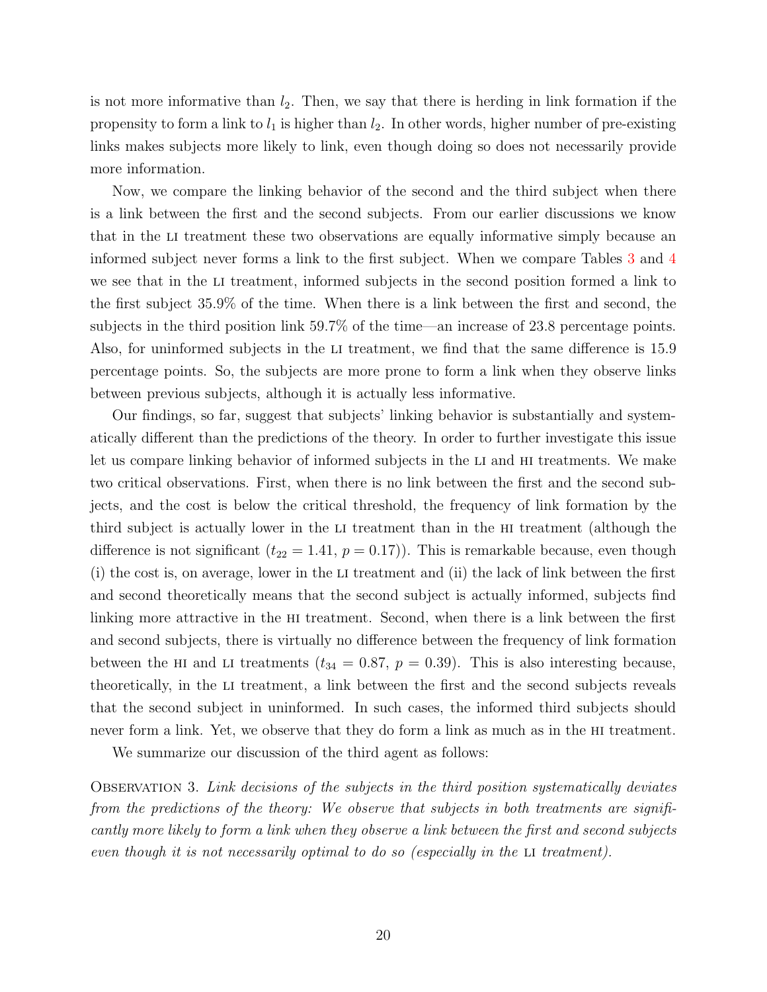is not more informative than  $l_2$ . Then, we say that there is herding in link formation if the propensity to form a link to  $l_1$  is higher than  $l_2$ . In other words, higher number of pre-existing links makes subjects more likely to link, even though doing so does not necessarily provide more information.

Now, we compare the linking behavior of the second and the third subject when there is a link between the first and the second subjects. From our earlier discussions we know that in the li treatment these two observations are equally informative simply because an informed subject never forms a link to the first subject. When we compare Tables [3](#page-17-0) and [4](#page-20-0) we see that in the li treatment, informed subjects in the second position formed a link to the first subject 35.9% of the time. When there is a link between the first and second, the subjects in the third position link 59.7% of the time—an increase of 23.8 percentage points. Also, for uninformed subjects in the li treatment, we find that the same difference is 15.9 percentage points. So, the subjects are more prone to form a link when they observe links between previous subjects, although it is actually less informative.

Our findings, so far, suggest that subjects' linking behavior is substantially and systematically different than the predictions of the theory. In order to further investigate this issue let us compare linking behavior of informed subjects in the li and hi treatments. We make two critical observations. First, when there is no link between the first and the second subjects, and the cost is below the critical threshold, the frequency of link formation by the third subject is actually lower in the li treatment than in the hi treatment (although the difference is not significant  $(t_{22} = 1.41, p = 0.17)$ . This is remarkable because, even though (i) the cost is, on average, lower in the li treatment and (ii) the lack of link between the first and second theoretically means that the second subject is actually informed, subjects find linking more attractive in the hi treatment. Second, when there is a link between the first and second subjects, there is virtually no difference between the frequency of link formation between the HI and LI treatments ( $t_{34} = 0.87$ ,  $p = 0.39$ ). This is also interesting because, theoretically, in the li treatment, a link between the first and the second subjects reveals that the second subject in uninformed. In such cases, the informed third subjects should never form a link. Yet, we observe that they do form a link as much as in the hi treatment.

We summarize our discussion of the third agent as follows:

Observation 3. *Link decisions of the subjects in the third position systematically deviates from the predictions of the theory: We observe that subjects in both treatments are significantly more likely to form a link when they observe a link between the first and second subjects even though it is not necessarily optimal to do so (especially in the* LI *treatment*).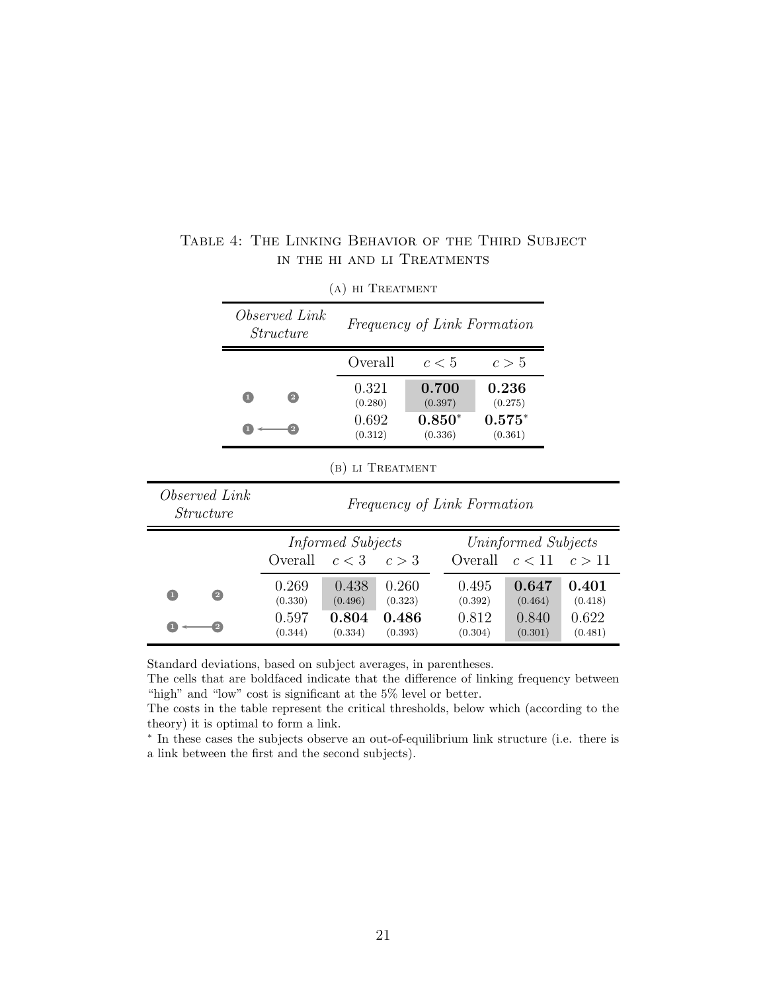<span id="page-20-0"></span>

|                                   |   | Observed Link<br><i>Structure</i> |                          | Frequency of Link Formation |                     |                                    |                     |                  |
|-----------------------------------|---|-----------------------------------|--------------------------|-----------------------------|---------------------|------------------------------------|---------------------|------------------|
|                                   |   |                                   | Overall                  |                             | c < 5               |                                    | c > 5               |                  |
|                                   | Ω | Ω                                 | 0.321<br>(0.280)         |                             | 0.700<br>(0.397)    |                                    | 0.236<br>(0.275)    |                  |
|                                   |   |                                   | 0.692<br>(0.312)         |                             | $0.850*$<br>(0.336) |                                    | $0.575*$<br>(0.361) |                  |
|                                   |   |                                   | (B) LI TREATMENT         |                             |                     |                                    |                     |                  |
| Observed Link<br><i>Structure</i> |   |                                   |                          |                             |                     | <i>Frequency of Link Formation</i> |                     |                  |
|                                   |   |                                   | <i>Informed Subjects</i> |                             |                     |                                    | Uninformed Subjects |                  |
|                                   |   | Overall                           |                          | $c < 3$ $c > 3$             |                     | Overall                            | $c < 11$ $c > 11$   |                  |
| $\mathbf{z}$                      |   | 0.269<br>(0.330)                  | 0.438<br>(0.496)         | 0.260<br>(0.323)            |                     | 0.495<br>(0.392)                   | 0.647<br>(0.464)    | 0.401<br>(0.418) |
|                                   |   | 0.597<br>(0.344)                  | 0.804<br>(0.334)         | 0.486<br>(0.393)            |                     | 0.812<br>(0.304)                   | 0.840<br>(0.301)    | 0.622<br>(0.481) |

# Table 4: The Linking Behavior of the Third Subject in the hi and li Treatments

(A) HI TREATMENT

Standard deviations, based on subject averages, in parentheses.

The cells that are boldfaced indicate that the difference of linking frequency between "high" and "low" cost is significant at the  $5\%$  level or better.

The costs in the table represent the critical thresholds, below which (according to the theory) it is optimal to form a link.

∗ In these cases the subjects observe an out-of-equilibrium link structure (i.e. there is a link between the first and the second subjects).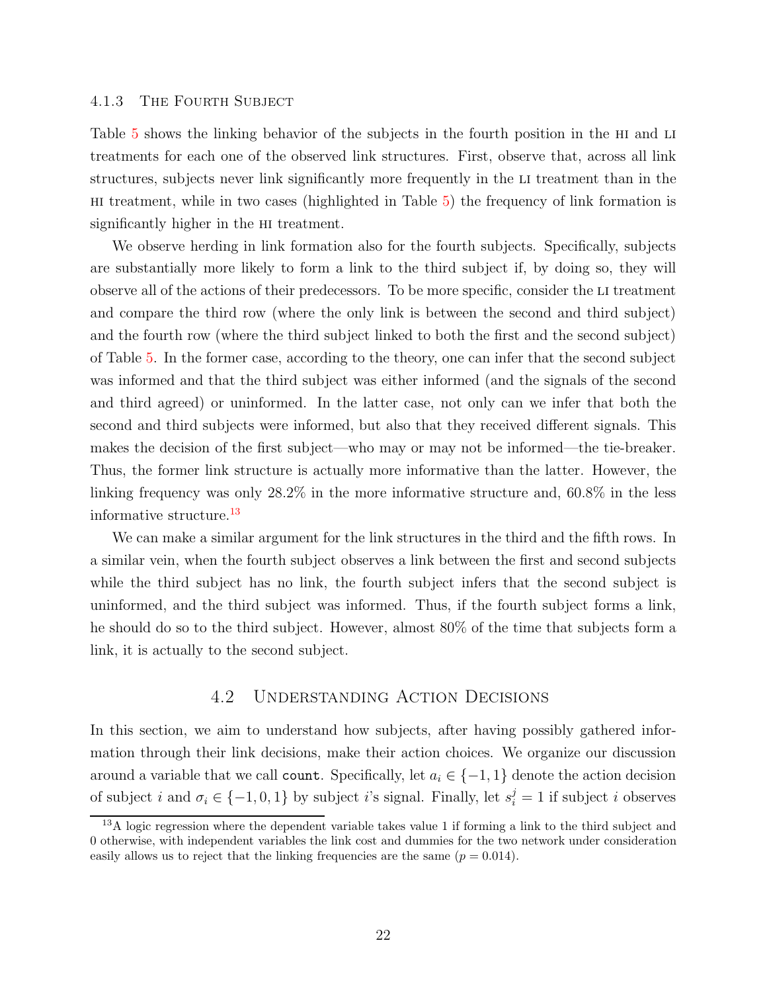#### 4.1.3 The Fourth Subject

Table [5](#page-22-0) shows the linking behavior of the subjects in the fourth position in the HI and LI treatments for each one of the observed link structures. First, observe that, across all link structures, subjects never link significantly more frequently in the li treatment than in the hi treatment, while in two cases (highlighted in Table [5\)](#page-22-0) the frequency of link formation is significantly higher in the hi treatment.

We observe herding in link formation also for the fourth subjects. Specifically, subjects are substantially more likely to form a link to the third subject if, by doing so, they will observe all of the actions of their predecessors. To be more specific, consider the li treatment and compare the third row (where the only link is between the second and third subject) and the fourth row (where the third subject linked to both the first and the second subject) of Table [5.](#page-22-0) In the former case, according to the theory, one can infer that the second subject was informed and that the third subject was either informed (and the signals of the second and third agreed) or uninformed. In the latter case, not only can we infer that both the second and third subjects were informed, but also that they received different signals. This makes the decision of the first subject—who may or may not be informed—the tie-breaker. Thus, the former link structure is actually more informative than the latter. However, the linking frequency was only 28.2% in the more informative structure and, 60.8% in the less informative structure.<sup>[13](#page-21-0)</sup>

We can make a similar argument for the link structures in the third and the fifth rows. In a similar vein, when the fourth subject observes a link between the first and second subjects while the third subject has no link, the fourth subject infers that the second subject is uninformed, and the third subject was informed. Thus, if the fourth subject forms a link, he should do so to the third subject. However, almost 80% of the time that subjects form a link, it is actually to the second subject.

## 4.2 Understanding Action Decisions

In this section, we aim to understand how subjects, after having possibly gathered information through their link decisions, make their action choices. We organize our discussion around a variable that we call count. Specifically, let  $a_i \in \{-1, 1\}$  denote the action decision of subject i and  $\sigma_i \in \{-1, 0, 1\}$  by subject i's signal. Finally, let  $s_i^j = 1$  if subject i observes

<span id="page-21-0"></span><sup>&</sup>lt;sup>13</sup>A logic regression where the dependent variable takes value 1 if forming a link to the third subject and 0 otherwise, with independent variables the link cost and dummies for the two network under consideration easily allows us to reject that the linking frequencies are the same  $(p = 0.014)$ .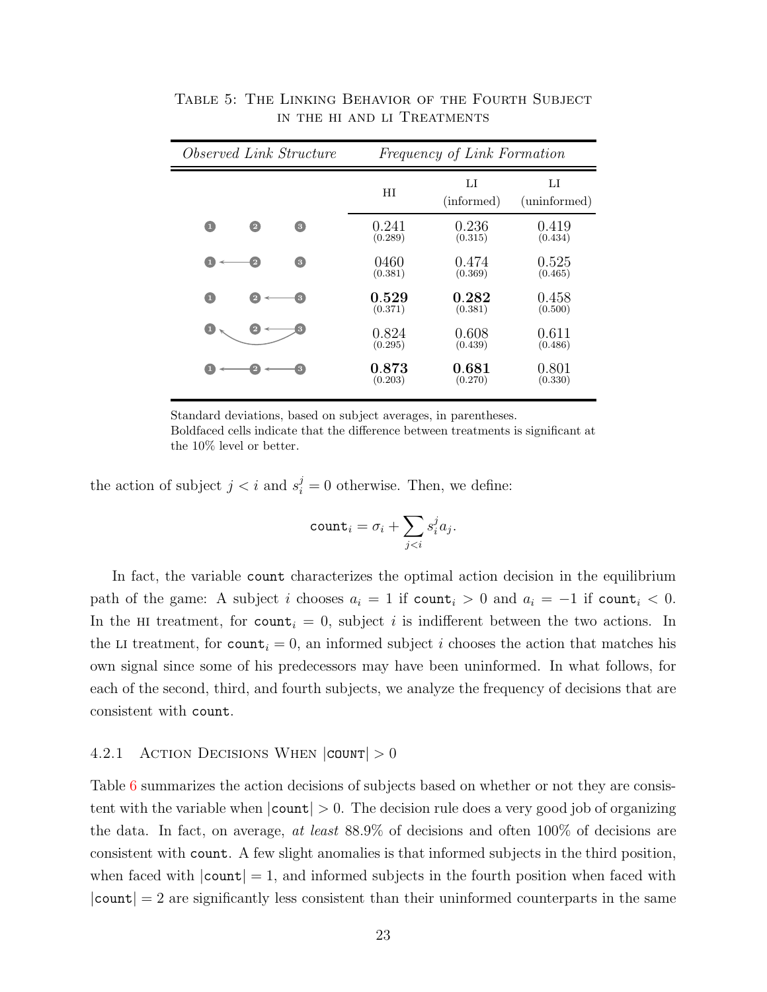| <i><b>Observed Link Structure</b></i> |              | Frequency of Link Formation |                  |                    |  |  |
|---------------------------------------|--------------|-----------------------------|------------------|--------------------|--|--|
|                                       |              | $_{\rm HI}$                 | LI<br>(informed) | LI<br>(uninformed) |  |  |
| 2<br>O                                | 3            | 0.241<br>(0.289)            | 0.236<br>(0.315) | 0.419<br>(0.434)   |  |  |
| $\overline{2}$                        | ❸            | 0460<br>(0.381)             | 0.474<br>(0.369) | 0.525<br>(0.465)   |  |  |
| O<br>$\bullet$                        | $\mathbf{3}$ | 0.529<br>(0.371)            | 0.282<br>(0.381) | 0.458<br>(0.500)   |  |  |
| $\overline{2}$<br>Φ                   |              | 0.824<br>(0.295)            | 0.608<br>(0.439) | 0.611<br>(0.486)   |  |  |
|                                       |              | 0.873<br>(0.203)            | 0.681<br>(0.270) | 0.801<br>(0.330)   |  |  |

<span id="page-22-0"></span>Table 5: The Linking Behavior of the Fourth Subject in the hi and li Treatments

Standard deviations, based on subject averages, in parentheses. Boldfaced cells indicate that the difference between treatments is significant at the 10% level or better.

the action of subject  $j < i$  and  $s_i^j = 0$  otherwise. Then, we define:

$$
\texttt{count}_i = \sigma_i + \sum_{j
$$

In fact, the variable count characterizes the optimal action decision in the equilibrium path of the game: A subject i chooses  $a_i = 1$  if count $i > 0$  and  $a_i = -1$  if count $i < 0$ . In the HI treatment, for count<sub>i</sub> = 0, subject *i* is indifferent between the two actions. In the LI treatment, for count<sub>i</sub> = 0, an informed subject i chooses the action that matches his own signal since some of his predecessors may have been uninformed. In what follows, for each of the second, third, and fourth subjects, we analyze the frequency of decisions that are consistent with count.

#### 4.2.1 ACTION DECISIONS WHEN  $|{\tt COUNT}| > 0$

Table [6](#page-24-0) summarizes the action decisions of subjects based on whether or not they are consistent with the variable when  $|count| > 0$ . The decision rule does a very good job of organizing the data. In fact, on average, *at least* 88.9% of decisions and often 100% of decisions are consistent with count. A few slight anomalies is that informed subjects in the third position, when faced with  $|count| = 1$ , and informed subjects in the fourth position when faced with  $|count| = 2$  are significantly less consistent than their uninformed counterparts in the same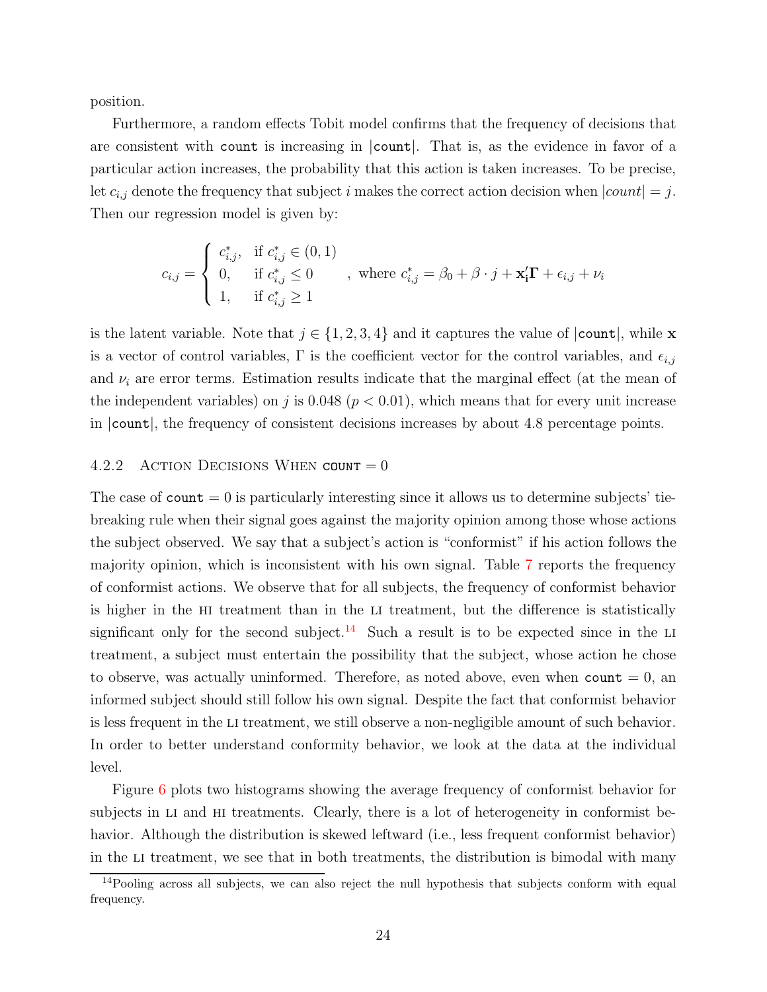position.

Furthermore, a random effects Tobit model confirms that the frequency of decisions that are consistent with count is increasing in  $|count|$ . That is, as the evidence in favor of a particular action increases, the probability that this action is taken increases. To be precise, let  $c_{i,j}$  denote the frequency that subject i makes the correct action decision when  $|count| = j$ . Then our regression model is given by:

$$
c_{i,j} = \begin{cases} c_{i,j}^*, & \text{if } c_{i,j}^* \in (0,1) \\ 0, & \text{if } c_{i,j}^* \le 0 \\ 1, & \text{if } c_{i,j}^* \ge 1 \end{cases}, \text{ where } c_{i,j}^* = \beta_0 + \beta \cdot j + \mathbf{x}_i' \mathbf{\Gamma} + \epsilon_{i,j} + \nu_i
$$

is the latent variable. Note that  $j \in \{1, 2, 3, 4\}$  and it captures the value of  $|\text{count}|$ , while **x** is a vector of control variables,  $\Gamma$  is the coefficient vector for the control variables, and  $\epsilon_{i,j}$ and  $\nu_i$  are error terms. Estimation results indicate that the marginal effect (at the mean of the independent variables) on j is 0.048 ( $p < 0.01$ ), which means that for every unit increase in |count|, the frequency of consistent decisions increases by about 4.8 percentage points.

#### 4.2.2 ACTION DECISIONS WHEN COUNT  $= 0$

The case of  $count = 0$  is particularly interesting since it allows us to determine subjects' tiebreaking rule when their signal goes against the majority opinion among those whose actions the subject observed. We say that a subject's action is "conformist" if his action follows the majority opinion, which is inconsistent with his own signal. Table [7](#page-25-0) reports the frequency of conformist actions. We observe that for all subjects, the frequency of conformist behavior is higher in the hi treatment than in the li treatment, but the difference is statistically significant only for the second subject.<sup>[14](#page-23-0)</sup> Such a result is to be expected since in the LI treatment, a subject must entertain the possibility that the subject, whose action he chose to observe, was actually uninformed. Therefore, as noted above, even when  $count = 0$ , an informed subject should still follow his own signal. Despite the fact that conformist behavior is less frequent in the li treatment, we still observe a non-negligible amount of such behavior. In order to better understand conformity behavior, we look at the data at the individual level.

Figure [6](#page-25-1) plots two histograms showing the average frequency of conformist behavior for subjects in li and hi treatments. Clearly, there is a lot of heterogeneity in conformist behavior. Although the distribution is skewed leftward (i.e., less frequent conformist behavior) in the li treatment, we see that in both treatments, the distribution is bimodal with many

<span id="page-23-0"></span><sup>&</sup>lt;sup>14</sup>Pooling across all subjects, we can also reject the null hypothesis that subjects conform with equal frequency.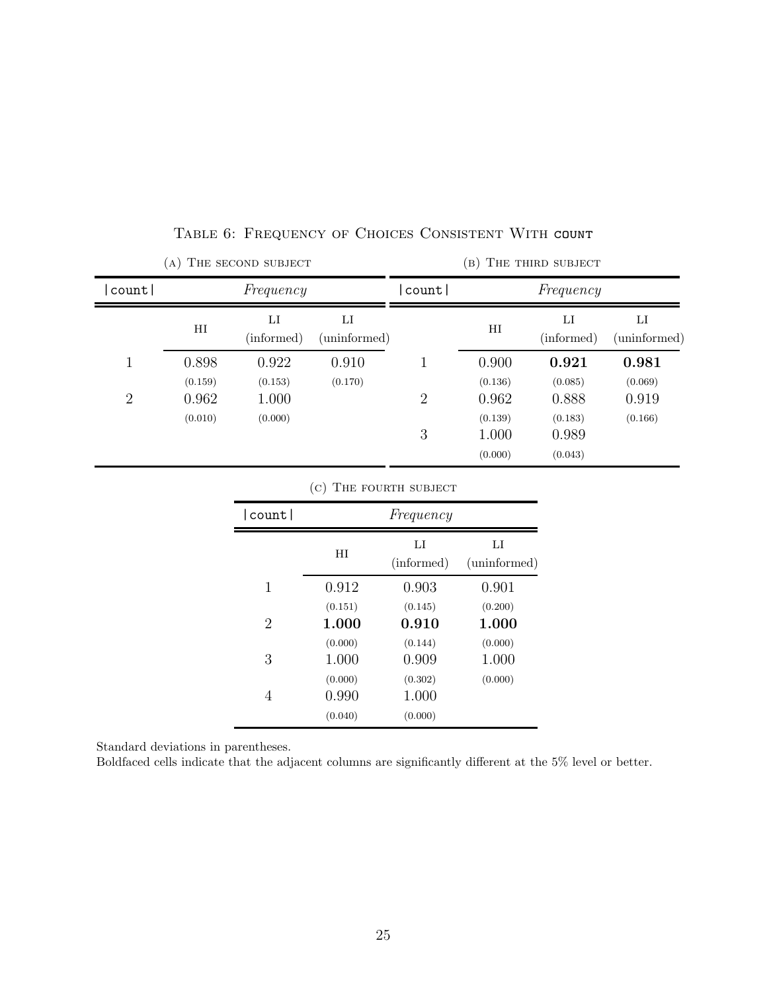|                | (A)              | THE SECOND SUBJECT        |                   |                | (B)                         | THE THIRD SUBJECT           |                             |  |
|----------------|------------------|---------------------------|-------------------|----------------|-----------------------------|-----------------------------|-----------------------------|--|
| count          |                  | Frequency                 |                   | count          | Frequency                   |                             |                             |  |
|                | HI               | $_{\rm LI}$<br>(informed) | Ы<br>(uninformed) |                | HI                          | LI<br>(informed)            | LI<br>$(\text{uninformed})$ |  |
| 1              | 0.898            | 0.922                     | 0.910             | 1              | 0.900                       | 0.921                       | 0.981                       |  |
| $\overline{2}$ | (0.159)<br>0.962 | (0.153)<br>1.000          | (0.170)           | $\overline{2}$ | (0.136)<br>0.962            | (0.085)<br>0.888            | (0.069)<br>0.919            |  |
|                | (0.010)          | (0.000)                   |                   | 3              | (0.139)<br>1.000<br>(0.000) | (0.183)<br>0.989<br>(0.043) | (0.166)                     |  |

Table 6: Frequency of Choices Consistent With count

#### (c) The fourth subject

<span id="page-24-0"></span>

| count |                  | Frequency        |                    |  |  |  |  |
|-------|------------------|------------------|--------------------|--|--|--|--|
|       | HI               | LI<br>(informed) | LI<br>(uninformed) |  |  |  |  |
| 1     | 0.912            | 0.903            | 0.901              |  |  |  |  |
| 2     | (0.151)<br>1.000 | (0.145)<br>0.910 | (0.200)<br>1.000   |  |  |  |  |
| 3     | (0.000)<br>1.000 | (0.144)<br>0.909 | (0.000)<br>1.000   |  |  |  |  |
| 4     | (0.000)<br>0.990 | (0.302)<br>1.000 | (0.000)            |  |  |  |  |
|       | (0.040)          | (0.000)          |                    |  |  |  |  |

Standard deviations in parentheses.

Boldfaced cells indicate that the adjacent columns are significantly different at the 5% level or better.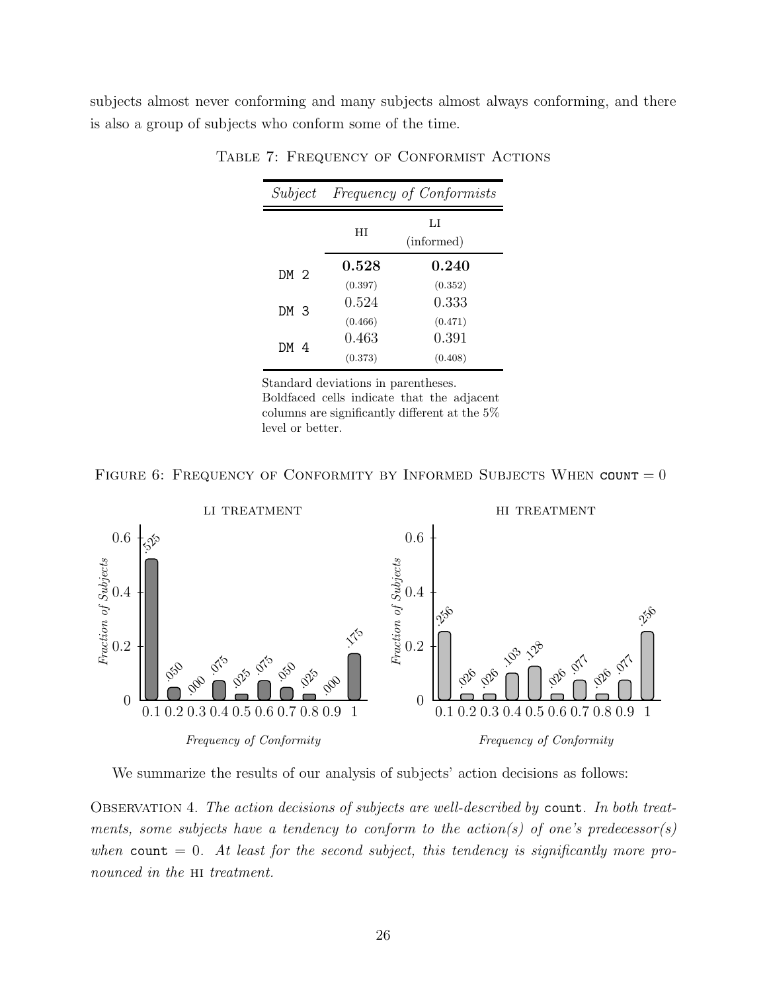<span id="page-25-0"></span>subjects almost never conforming and many subjects almost always conforming, and there is also a group of subjects who conform some of the time.

|      |         | Subject Frequency of Conformists |
|------|---------|----------------------------------|
|      | ΗI      | LI<br>(informed)                 |
| DM 2 | 0.528   | 0.240                            |
|      | (0.397) | (0.352)                          |
| DM 3 | 0.524   | 0.333                            |
|      | (0.466) | (0.471)                          |
| DM 4 | 0.463   | 0.391                            |
|      | (0.373) | (0.408)                          |

Table 7: Frequency of Conformist Actions

Standard deviations in parentheses. Boldfaced cells indicate that the adjacent columns are significantly different at the 5% level or better.

<span id="page-25-1"></span>



We summarize the results of our analysis of subjects' action decisions as follows:

Observation 4. *The action decisions of subjects are well-described by* count*. In both treatments, some subjects have a tendency to conform to the action(s) of one's predecessor(s)* when  $count = 0$ . At least for the second subject, this tendency is significantly more pro*nounced in the* hi *treatment.*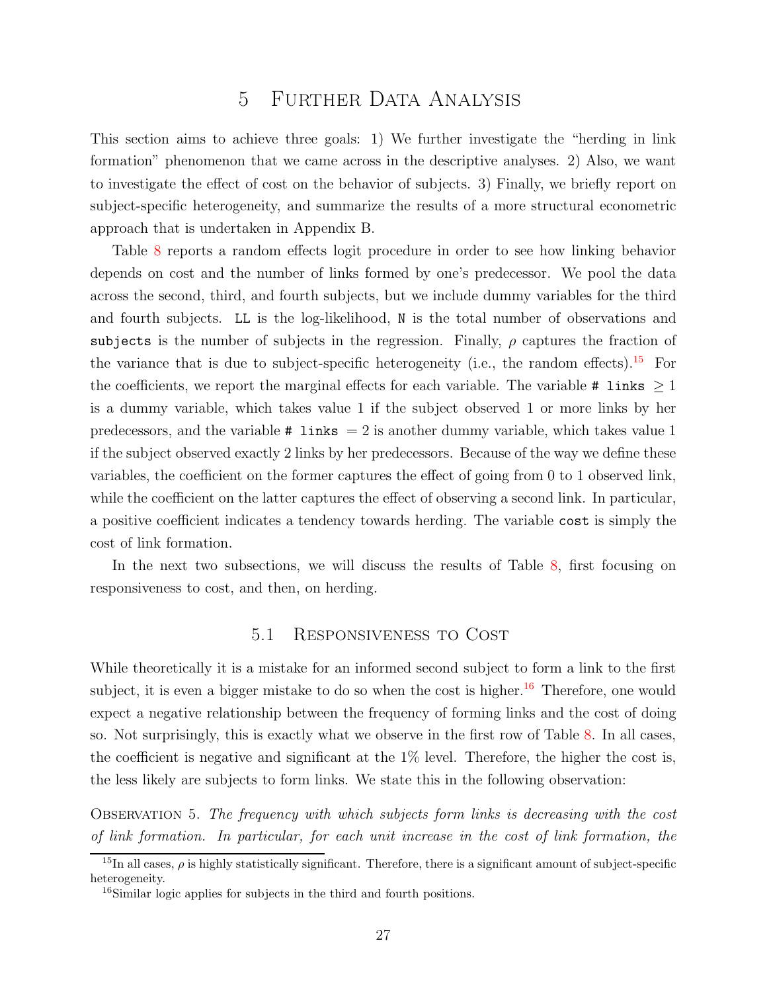# 5 Further Data Analysis

This section aims to achieve three goals: 1) We further investigate the "herding in link formation" phenomenon that we came across in the descriptive analyses. 2) Also, we want to investigate the effect of cost on the behavior of subjects. 3) Finally, we briefly report on subject-specific heterogeneity, and summarize the results of a more structural econometric approach that is undertaken in Appendix B.

Table [8](#page-27-0) reports a random effects logit procedure in order to see how linking behavior depends on cost and the number of links formed by one's predecessor. We pool the data across the second, third, and fourth subjects, but we include dummy variables for the third and fourth subjects. LL is the log-likelihood, N is the total number of observations and subjects is the number of subjects in the regression. Finally,  $\rho$  captures the fraction of the variance that is due to subject-specific heterogeneity (i.e., the random effects).<sup>[15](#page-26-0)</sup> For the coefficients, we report the marginal effects for each variable. The variable  $\#$  links  $\geq 1$ is a dummy variable, which takes value 1 if the subject observed 1 or more links by her predecessors, and the variable  $\#$  links = 2 is another dummy variable, which takes value 1 if the subject observed exactly 2 links by her predecessors. Because of the way we define these variables, the coefficient on the former captures the effect of going from 0 to 1 observed link, while the coefficient on the latter captures the effect of observing a second link. In particular, a positive coefficient indicates a tendency towards herding. The variable cost is simply the cost of link formation.

In the next two subsections, we will discuss the results of Table [8,](#page-27-0) first focusing on responsiveness to cost, and then, on herding.

#### 5.1 Responsiveness to Cost

While theoretically it is a mistake for an informed second subject to form a link to the first subject, it is even a bigger mistake to do so when the cost is higher.<sup>[16](#page-26-1)</sup> Therefore, one would expect a negative relationship between the frequency of forming links and the cost of doing so. Not surprisingly, this is exactly what we observe in the first row of Table [8.](#page-27-0) In all cases, the coefficient is negative and significant at the  $1\%$  level. Therefore, the higher the cost is, the less likely are subjects to form links. We state this in the following observation:

Observation 5. *The frequency with which subjects form links is decreasing with the cost of link formation. In particular, for each unit increase in the cost of link formation, the*

 $15$ In all cases,  $\rho$  is highly statistically significant. Therefore, there is a significant amount of subject-specific heterogeneity.

<span id="page-26-1"></span><span id="page-26-0"></span><sup>&</sup>lt;sup>16</sup>Similar logic applies for subjects in the third and fourth positions.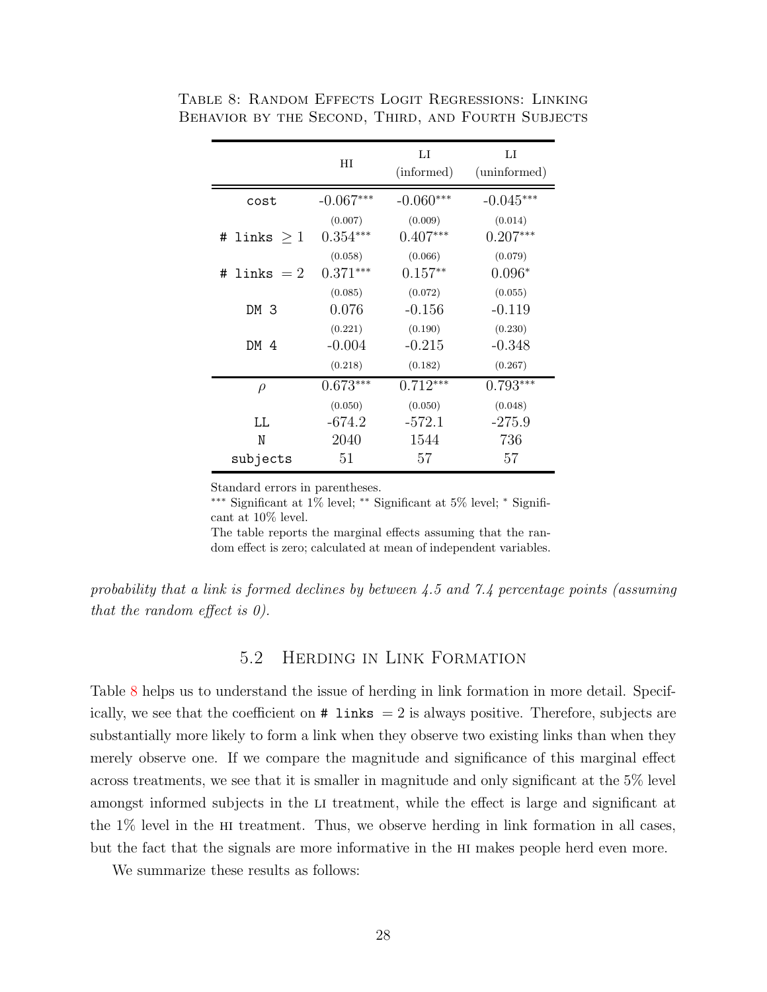|                 | $_{\rm HI}$ | LI<br>(informed) | LI<br>(uninformed) |
|-----------------|-------------|------------------|--------------------|
| cost            | $-0.067***$ | $-0.060***$      | $-0.045***$        |
|                 | (0.007)     | (0.009)          | (0.014)            |
| # links $>1$    | $0.354***$  | $0.407***$       | $0.207***$         |
|                 | (0.058)     | (0.066)          | (0.079)            |
| links $=2$<br># | $0.371***$  | $0.157**$        | $0.096*$           |
|                 | (0.085)     | (0.072)          | (0.055)            |
| DM 3            | 0.076       | $-0.156$         | $-0.119$           |
|                 | (0.221)     | (0.190)          | (0.230)            |
| DM 4            | $-0.004$    | $-0.215$         | $-0.348$           |
|                 | (0.218)     | (0.182)          | (0.267)            |
| $\rho$          | $0.673***$  | $0.712***$       | $0.793***$         |
|                 | (0.050)     | (0.050)          | (0.048)            |
| LL              | $-674.2$    | $-572.1$         | $-275.9$           |
| N               | 2040        | 1544             | 736                |
| subjects        | 51          | 57               | 57                 |

<span id="page-27-0"></span>Table 8: Random Effects Logit Regressions: Linking Behavior by the Second, Third, and Fourth Subjects

Standard errors in parentheses.

∗∗∗ Significant at 1% level; ∗∗ Significant at 5% level; <sup>∗</sup> Significant at 10% level.

The table reports the marginal effects assuming that the random effect is zero; calculated at mean of independent variables.

*probability that a link is formed declines by between 4.5 and 7.4 percentage points (assuming that the random effect is 0).*

## 5.2 Herding in Link Formation

Table [8](#page-27-0) helps us to understand the issue of herding in link formation in more detail. Specifically, we see that the coefficient on  $\#$  links  $= 2$  is always positive. Therefore, subjects are substantially more likely to form a link when they observe two existing links than when they merely observe one. If we compare the magnitude and significance of this marginal effect across treatments, we see that it is smaller in magnitude and only significant at the 5% level amongst informed subjects in the li treatment, while the effect is large and significant at the  $1\%$  level in the HI treatment. Thus, we observe herding in link formation in all cases, but the fact that the signals are more informative in the hi makes people herd even more.

We summarize these results as follows: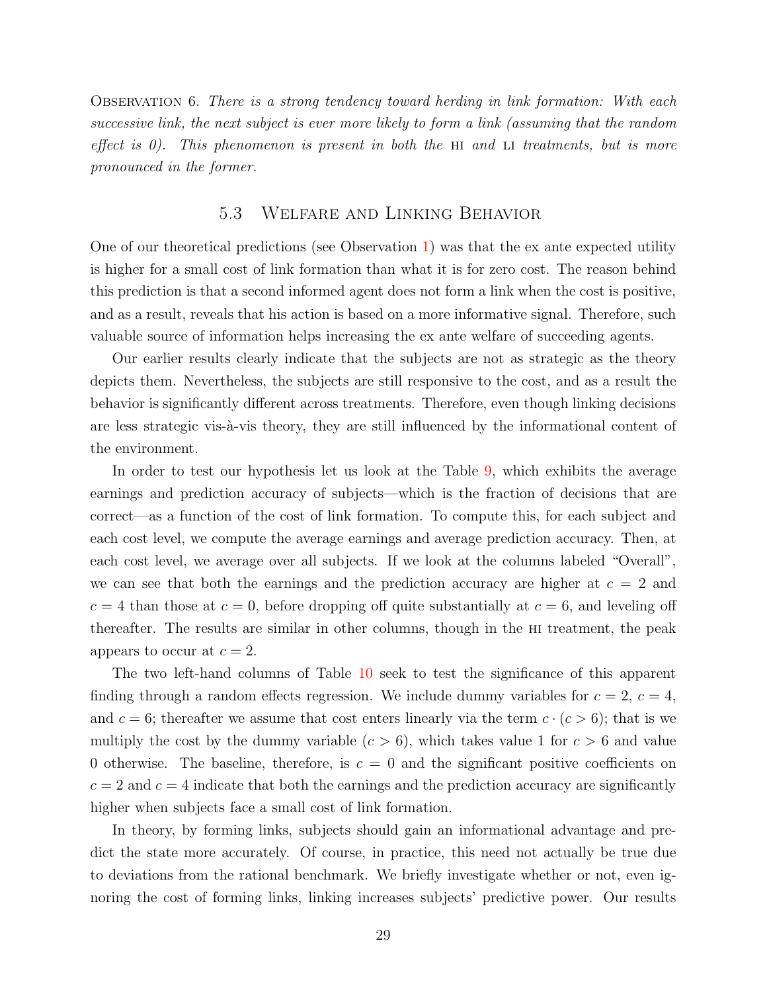Observation 6. *There is a strong tendency toward herding in link formation: With each successive link, the next subject is ever more likely to form a link (assuming that the random effect is 0). This phenomenon is present in both the* hi *and* li *treatments, but is more pronounced in the former.*

## 5.3 Welfare and Linking Behavior

One of our theoretical predictions (see Observation [1\)](#page-14-5) was that the ex ante expected utility is higher for a small cost of link formation than what it is for zero cost. The reason behind this prediction is that a second informed agent does not form a link when the cost is positive, and as a result, reveals that his action is based on a more informative signal. Therefore, such valuable source of information helps increasing the ex ante welfare of succeeding agents.

Our earlier results clearly indicate that the subjects are not as strategic as the theory depicts them. Nevertheless, the subjects are still responsive to the cost, and as a result the behavior is significantly different across treatments. Therefore, even though linking decisions are less strategic vis-à-vis theory, they are still influenced by the informational content of the environment.

In order to test our hypothesis let us look at the Table [9,](#page-29-0) which exhibits the average earnings and prediction accuracy of subjects—which is the fraction of decisions that are correct—as a function of the cost of link formation. To compute this, for each subject and each cost level, we compute the average earnings and average prediction accuracy. Then, at each cost level, we average over all subjects. If we look at the columns labeled "Overall", we can see that both the earnings and the prediction accuracy are higher at  $c = 2$  and  $c = 4$  than those at  $c = 0$ , before dropping off quite substantially at  $c = 6$ , and leveling off thereafter. The results are similar in other columns, though in the hi treatment, the peak appears to occur at  $c = 2$ .

The two left-hand columns of Table [10](#page-30-0) seek to test the significance of this apparent finding through a random effects regression. We include dummy variables for  $c = 2$ ,  $c = 4$ , and  $c = 6$ ; thereafter we assume that cost enters linearly via the term  $c \cdot (c > 6)$ ; that is we multiply the cost by the dummy variable  $(c > 6)$ , which takes value 1 for  $c > 6$  and value 0 otherwise. The baseline, therefore, is  $c = 0$  and the significant positive coefficients on  $c = 2$  and  $c = 4$  indicate that both the earnings and the prediction accuracy are significantly higher when subjects face a small cost of link formation.

In theory, by forming links, subjects should gain an informational advantage and predict the state more accurately. Of course, in practice, this need not actually be true due to deviations from the rational benchmark. We briefly investigate whether or not, even ignoring the cost of forming links, linking increases subjects' predictive power. Our results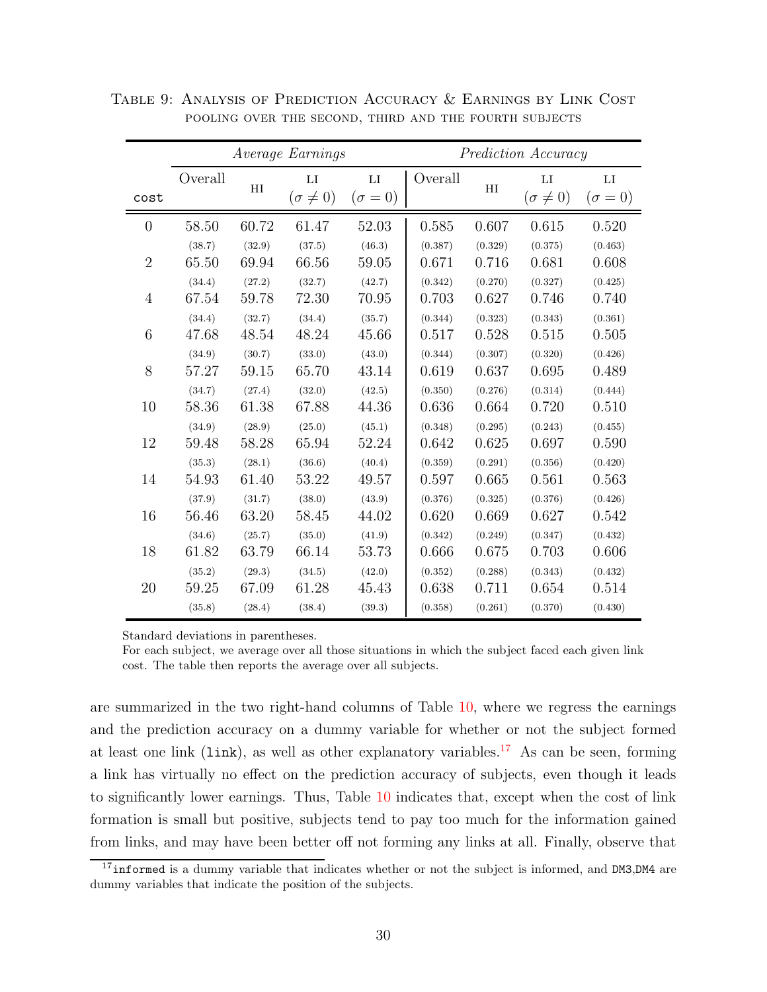|                | <i>Average Earnings</i> |        |                         |                      | Prediction Accuracy |         |                                  |                               |
|----------------|-------------------------|--------|-------------------------|----------------------|---------------------|---------|----------------------------------|-------------------------------|
| cost           | Overall                 | HI     | LI<br>$(\sigma \neq 0)$ | LI<br>$(\sigma = 0)$ | Overall             | HI      | $_{\rm LI}$<br>$(\sigma \neq 0)$ | $_{\rm LI}$<br>$(\sigma = 0)$ |
| $\overline{0}$ | 58.50                   | 60.72  | 61.47                   | 52.03                | 0.585               | 0.607   | 0.615                            | 0.520                         |
| $\overline{2}$ | (38.7)                  | (32.9) | (37.5)                  | (46.3)               | (0.387)             | (0.329) | (0.375)                          | (0.463)                       |
|                | 65.50                   | 69.94  | 66.56                   | 59.05                | 0.671               | 0.716   | 0.681                            | 0.608                         |
| $\overline{4}$ | (34.4)                  | (27.2) | (32.7)                  | (42.7)               | (0.342)             | (0.270) | (0.327)                          | (0.425)                       |
|                | 67.54                   | 59.78  | 72.30                   | 70.95                | 0.703               | 0.627   | 0.746                            | 0.740                         |
| 6              | (34.4)                  | (32.7) | (34.4)                  | (35.7)               | (0.344)             | (0.323) | (0.343)                          | (0.361)                       |
|                | 47.68                   | 48.54  | 48.24                   | 45.66                | 0.517               | 0.528   | 0.515                            | 0.505                         |
| $8\,$          | (34.9)                  | (30.7) | (33.0)                  | (43.0)               | (0.344)             | (0.307) | (0.320)                          | (0.426)                       |
|                | 57.27                   | 59.15  | 65.70                   | 43.14                | 0.619               | 0.637   | 0.695                            | 0.489                         |
| 10             | (34.7)                  | (27.4) | (32.0)                  | (42.5)               | (0.350)             | (0.276) | (0.314)                          | (0.444)                       |
|                | 58.36                   | 61.38  | 67.88                   | 44.36                | 0.636               | 0.664   | 0.720                            | 0.510                         |
| 12             | (34.9)                  | (28.9) | (25.0)                  | (45.1)               | (0.348)             | (0.295) | (0.243)                          | (0.455)                       |
|                | 59.48                   | 58.28  | 65.94                   | 52.24                | 0.642               | 0.625   | 0.697                            | 0.590                         |
| 14             | (35.3)                  | (28.1) | (36.6)                  | (40.4)               | (0.359)             | (0.291) | (0.356)                          | (0.420)                       |
|                | 54.93                   | 61.40  | 53.22                   | 49.57                | 0.597               | 0.665   | 0.561                            | 0.563                         |
| 16             | (37.9)                  | (31.7) | (38.0)                  | (43.9)               | (0.376)             | (0.325) | (0.376)                          | (0.426)                       |
|                | 56.46                   | 63.20  | 58.45                   | 44.02                | 0.620               | 0.669   | 0.627                            | 0.542                         |
| 18             | (34.6)                  | (25.7) | (35.0)                  | (41.9)               | (0.342)             | (0.249) | (0.347)                          | (0.432)                       |
|                | 61.82                   | 63.79  | 66.14                   | 53.73                | 0.666               | 0.675   | 0.703                            | 0.606                         |
| 20             | (35.2)                  | (29.3) | (34.5)                  | (42.0)               | (0.352)             | (0.288) | (0.343)                          | (0.432)                       |
|                | 59.25                   | 67.09  | 61.28                   | 45.43                | 0.638               | 0.711   | 0.654                            | 0.514                         |
|                | (35.8)                  | (28.4) | (38.4)                  | (39.3)               | (0.358)             | (0.261) | (0.370)                          | (0.430)                       |

<span id="page-29-0"></span>Table 9: Analysis of Prediction Accuracy & Earnings by Link Cost pooling over the second, third and the fourth subjects

Standard deviations in parentheses.

For each subject, we average over all those situations in which the subject faced each given link cost. The table then reports the average over all subjects.

are summarized in the two right-hand columns of Table [10,](#page-30-0) where we regress the earnings and the prediction accuracy on a dummy variable for whether or not the subject formed at least one link  $(link)$ , as well as other explanatory variables.<sup>[17](#page-29-1)</sup> As can be seen, forming a link has virtually no effect on the prediction accuracy of subjects, even though it leads to significantly lower earnings. Thus, Table [10](#page-30-0) indicates that, except when the cost of link formation is small but positive, subjects tend to pay too much for the information gained from links, and may have been better off not forming any links at all. Finally, observe that

<span id="page-29-1"></span> $17$  informed is a dummy variable that indicates whether or not the subject is informed, and DM3,DM4 are dummy variables that indicate the position of the subjects.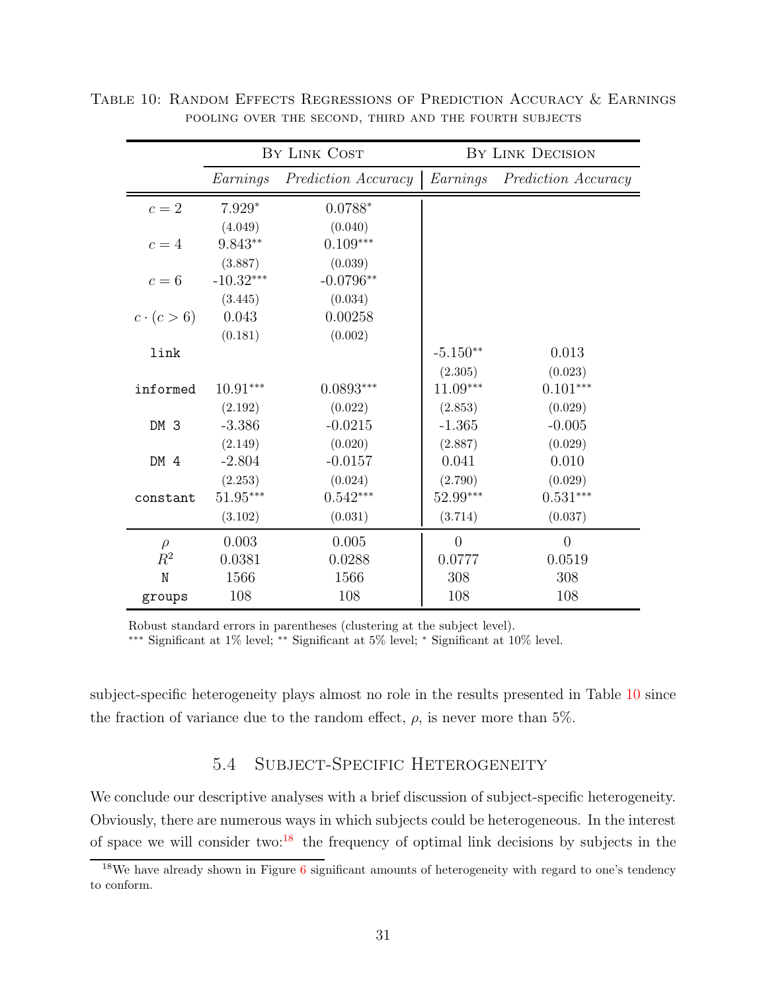|                    |             | BY LINK COST                 | BY LINK DECISION |                              |  |
|--------------------|-------------|------------------------------|------------------|------------------------------|--|
|                    |             | Earnings Prediction Accuracy |                  | Earnings Prediction Accuracy |  |
| $c=2$              | $7.929*$    | $0.0788*$                    |                  |                              |  |
|                    | (4.049)     | (0.040)                      |                  |                              |  |
| $c=4$              | $9.843**$   | $0.109***$                   |                  |                              |  |
|                    | (3.887)     | (0.039)                      |                  |                              |  |
| $c=6$              | $-10.32***$ | $-0.0796**$                  |                  |                              |  |
|                    | (3.445)     | (0.034)                      |                  |                              |  |
| $c\cdot (c>6)$     | 0.043       | 0.00258                      |                  |                              |  |
|                    | (0.181)     | (0.002)                      |                  |                              |  |
| link               |             |                              | $-5.150**$       | 0.013                        |  |
|                    |             |                              | (2.305)          | (0.023)                      |  |
| informed           | $10.91***$  | $0.0893***$                  | 11.09***         | $0.101***$                   |  |
|                    | (2.192)     | (0.022)                      | (2.853)          | (0.029)                      |  |
| DM 3               | $-3.386$    | $-0.0215$                    | $-1.365$         | $-0.005$                     |  |
|                    | (2.149)     | (0.020)                      | (2.887)          | (0.029)                      |  |
| DM 4               | $-2.804$    | $-0.0157$                    | 0.041            | 0.010                        |  |
|                    | (2.253)     | (0.024)                      | (2.790)          | (0.029)                      |  |
| constant           | $51.95***$  | $0.542***$                   | $52.99***$       | $0.531***$                   |  |
|                    | (3.102)     | (0.031)                      | (3.714)          | (0.037)                      |  |
| $\rho$             | 0.003       | 0.005                        | $\overline{0}$   | $\overline{0}$               |  |
| $R^2$              | 0.0381      | 0.0288                       | 0.0777           | 0.0519                       |  |
| $\overline{\rm N}$ | 1566        | 1566                         | 308              | 308                          |  |
| groups             | 108         | 108                          | 108              | 108                          |  |

<span id="page-30-0"></span>Table 10: Random Effects Regressions of Prediction Accuracy & Earnings pooling over the second, third and the fourth subjects

Robust standard errors in parentheses (clustering at the subject level).

∗∗∗ Significant at 1% level; ∗∗ Significant at 5% level; <sup>∗</sup> Significant at 10% level.

subject-specific heterogeneity plays almost no role in the results presented in Table [10](#page-30-0) since the fraction of variance due to the random effect,  $\rho$ , is never more than 5%.

## 5.4 Subject-Specific Heterogeneity

We conclude our descriptive analyses with a brief discussion of subject-specific heterogeneity. Obviously, there are numerous ways in which subjects could be heterogeneous. In the interest of space we will consider two: $^{18}$  $^{18}$  $^{18}$  the frequency of optimal link decisions by subjects in the

<span id="page-30-1"></span><sup>&</sup>lt;sup>18</sup>We have already shown in Figure [6](#page-25-1) significant amounts of heterogeneity with regard to one's tendency to conform.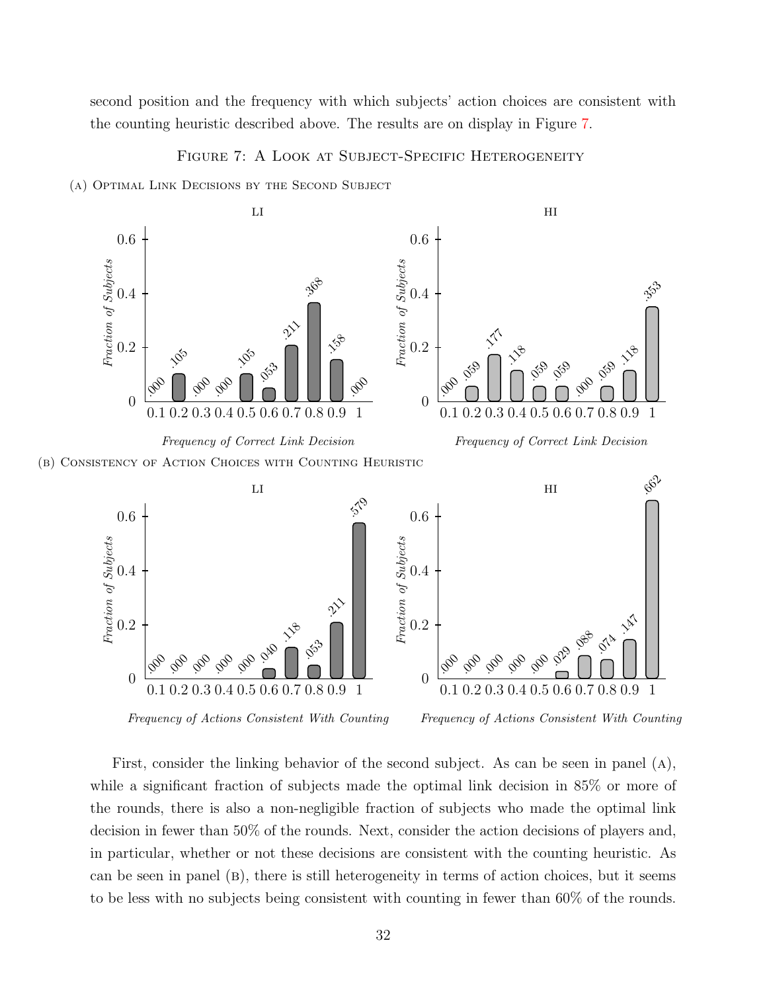<span id="page-31-0"></span>second position and the frequency with which subjects' action choices are consistent with the counting heuristic described above. The results are on display in Figure [7.](#page-31-0)



<sup>(</sup>a) Optimal Link Decisions by the Second Subject



First, consider the linking behavior of the second subject. As can be seen in panel (a), while a significant fraction of subjects made the optimal link decision in 85% or more of the rounds, there is also a non-negligible fraction of subjects who made the optimal link decision in fewer than 50% of the rounds. Next, consider the action decisions of players and, in particular, whether or not these decisions are consistent with the counting heuristic. As can be seen in panel (B), there is still heterogeneity in terms of action choices, but it seems to be less with no subjects being consistent with counting in fewer than 60% of the rounds.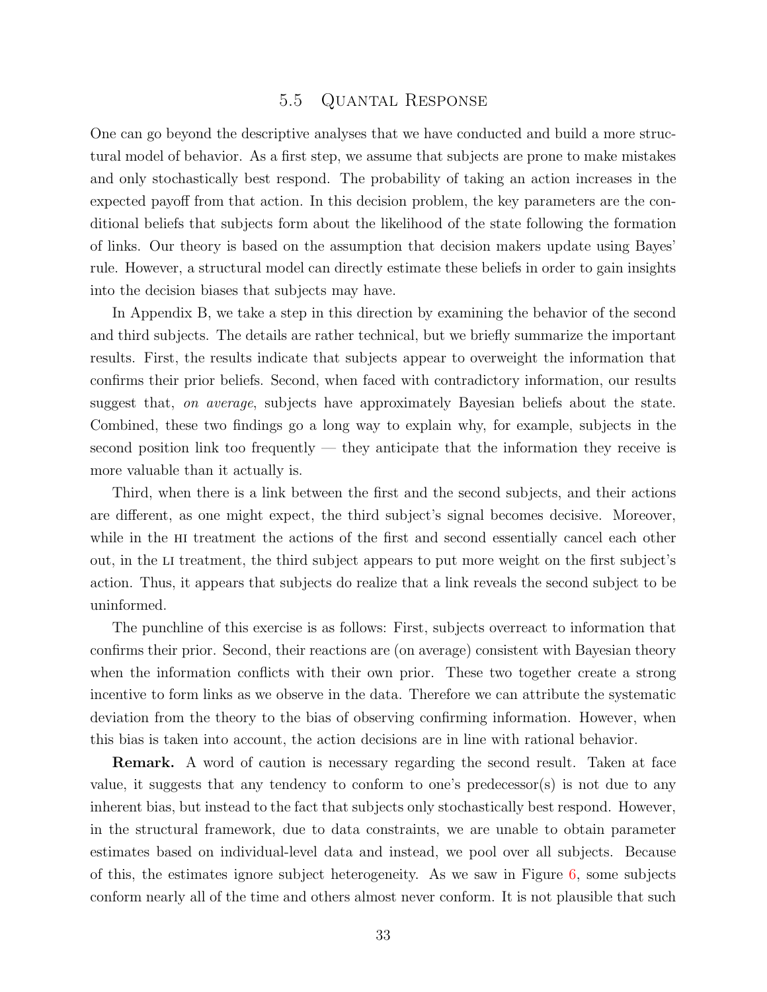## 5.5 Quantal Response

One can go beyond the descriptive analyses that we have conducted and build a more structural model of behavior. As a first step, we assume that subjects are prone to make mistakes and only stochastically best respond. The probability of taking an action increases in the expected payoff from that action. In this decision problem, the key parameters are the conditional beliefs that subjects form about the likelihood of the state following the formation of links. Our theory is based on the assumption that decision makers update using Bayes' rule. However, a structural model can directly estimate these beliefs in order to gain insights into the decision biases that subjects may have.

In Appendix B, we take a step in this direction by examining the behavior of the second and third subjects. The details are rather technical, but we briefly summarize the important results. First, the results indicate that subjects appear to overweight the information that confirms their prior beliefs. Second, when faced with contradictory information, our results suggest that, *on average*, subjects have approximately Bayesian beliefs about the state. Combined, these two findings go a long way to explain why, for example, subjects in the second position link too frequently  $-$  they anticipate that the information they receive is more valuable than it actually is.

Third, when there is a link between the first and the second subjects, and their actions are different, as one might expect, the third subject's signal becomes decisive. Moreover, while in the HI treatment the actions of the first and second essentially cancel each other out, in the li treatment, the third subject appears to put more weight on the first subject's action. Thus, it appears that subjects do realize that a link reveals the second subject to be uninformed.

The punchline of this exercise is as follows: First, subjects overreact to information that confirms their prior. Second, their reactions are (on average) consistent with Bayesian theory when the information conflicts with their own prior. These two together create a strong incentive to form links as we observe in the data. Therefore we can attribute the systematic deviation from the theory to the bias of observing confirming information. However, when this bias is taken into account, the action decisions are in line with rational behavior.

Remark. A word of caution is necessary regarding the second result. Taken at face value, it suggests that any tendency to conform to one's predecessor(s) is not due to any inherent bias, but instead to the fact that subjects only stochastically best respond. However, in the structural framework, due to data constraints, we are unable to obtain parameter estimates based on individual-level data and instead, we pool over all subjects. Because of this, the estimates ignore subject heterogeneity. As we saw in Figure [6,](#page-25-1) some subjects conform nearly all of the time and others almost never conform. It is not plausible that such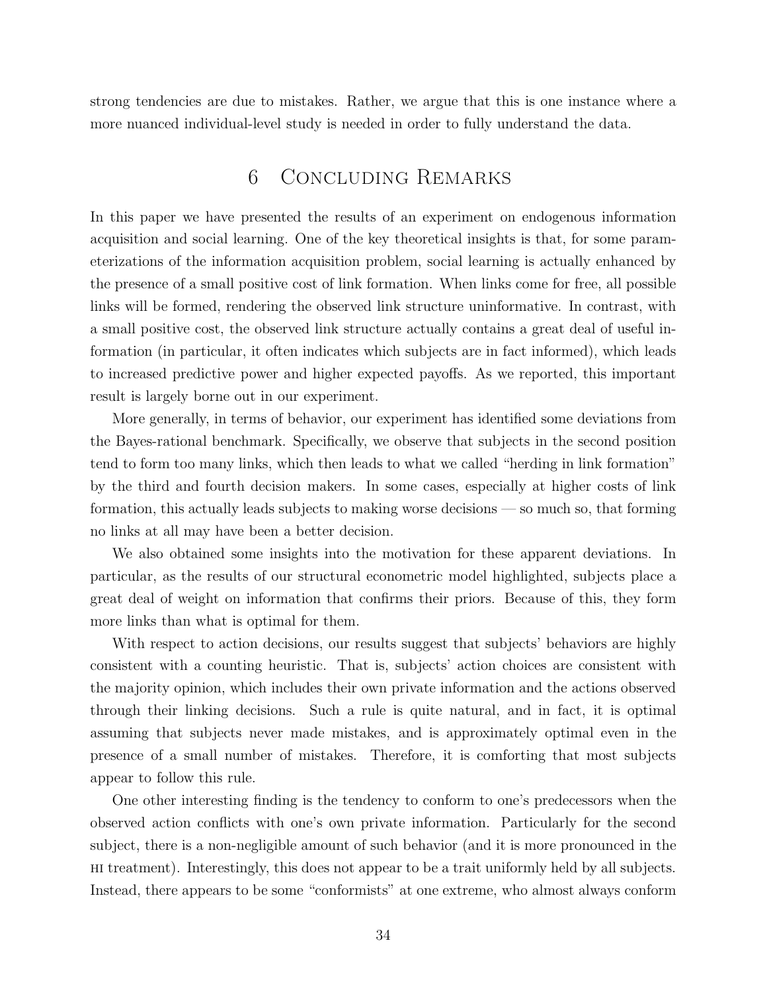<span id="page-33-0"></span>strong tendencies are due to mistakes. Rather, we argue that this is one instance where a more nuanced individual-level study is needed in order to fully understand the data.

# 6 Concluding Remarks

In this paper we have presented the results of an experiment on endogenous information acquisition and social learning. One of the key theoretical insights is that, for some parameterizations of the information acquisition problem, social learning is actually enhanced by the presence of a small positive cost of link formation. When links come for free, all possible links will be formed, rendering the observed link structure uninformative. In contrast, with a small positive cost, the observed link structure actually contains a great deal of useful information (in particular, it often indicates which subjects are in fact informed), which leads to increased predictive power and higher expected payoffs. As we reported, this important result is largely borne out in our experiment.

More generally, in terms of behavior, our experiment has identified some deviations from the Bayes-rational benchmark. Specifically, we observe that subjects in the second position tend to form too many links, which then leads to what we called "herding in link formation" by the third and fourth decision makers. In some cases, especially at higher costs of link formation, this actually leads subjects to making worse decisions — so much so, that forming no links at all may have been a better decision.

We also obtained some insights into the motivation for these apparent deviations. In particular, as the results of our structural econometric model highlighted, subjects place a great deal of weight on information that confirms their priors. Because of this, they form more links than what is optimal for them.

With respect to action decisions, our results suggest that subjects' behaviors are highly consistent with a counting heuristic. That is, subjects' action choices are consistent with the majority opinion, which includes their own private information and the actions observed through their linking decisions. Such a rule is quite natural, and in fact, it is optimal assuming that subjects never made mistakes, and is approximately optimal even in the presence of a small number of mistakes. Therefore, it is comforting that most subjects appear to follow this rule.

One other interesting finding is the tendency to conform to one's predecessors when the observed action conflicts with one's own private information. Particularly for the second subject, there is a non-negligible amount of such behavior (and it is more pronounced in the hi treatment). Interestingly, this does not appear to be a trait uniformly held by all subjects. Instead, there appears to be some "conformists" at one extreme, who almost always conform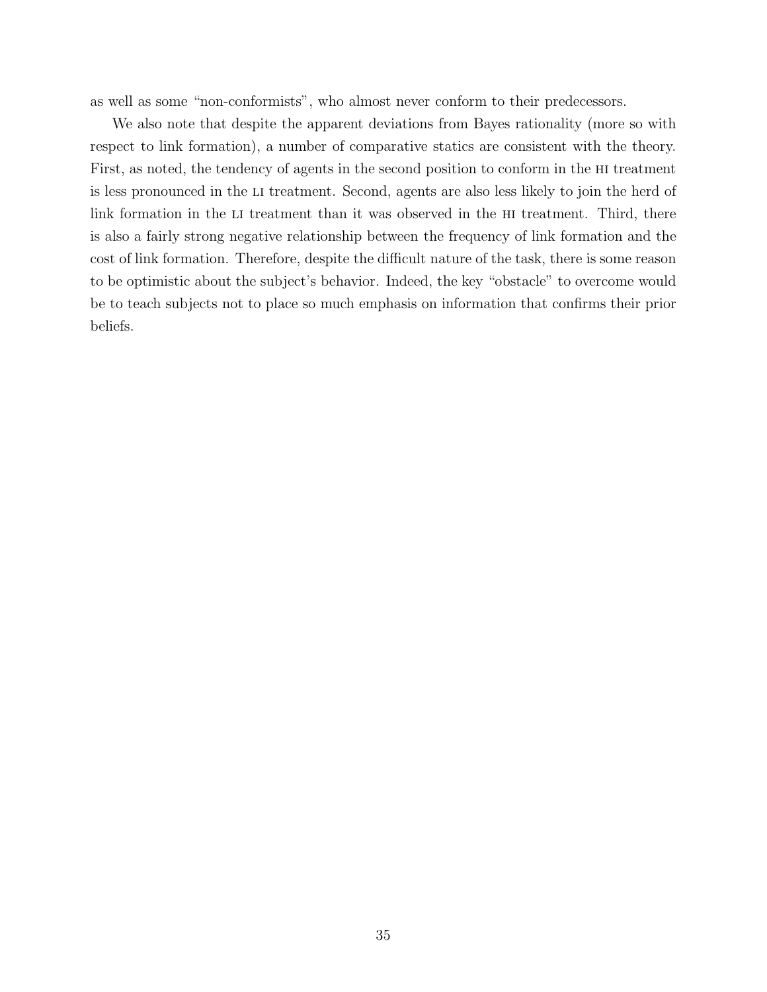as well as some "non-conformists", who almost never conform to their predecessors.

We also note that despite the apparent deviations from Bayes rationality (more so with respect to link formation), a number of comparative statics are consistent with the theory. First, as noted, the tendency of agents in the second position to conform in the hi treatment is less pronounced in the li treatment. Second, agents are also less likely to join the herd of link formation in the LI treatment than it was observed in the HI treatment. Third, there is also a fairly strong negative relationship between the frequency of link formation and the cost of link formation. Therefore, despite the difficult nature of the task, there is some reason to be optimistic about the subject's behavior. Indeed, the key "obstacle" to overcome would be to teach subjects not to place so much emphasis on information that confirms their prior beliefs.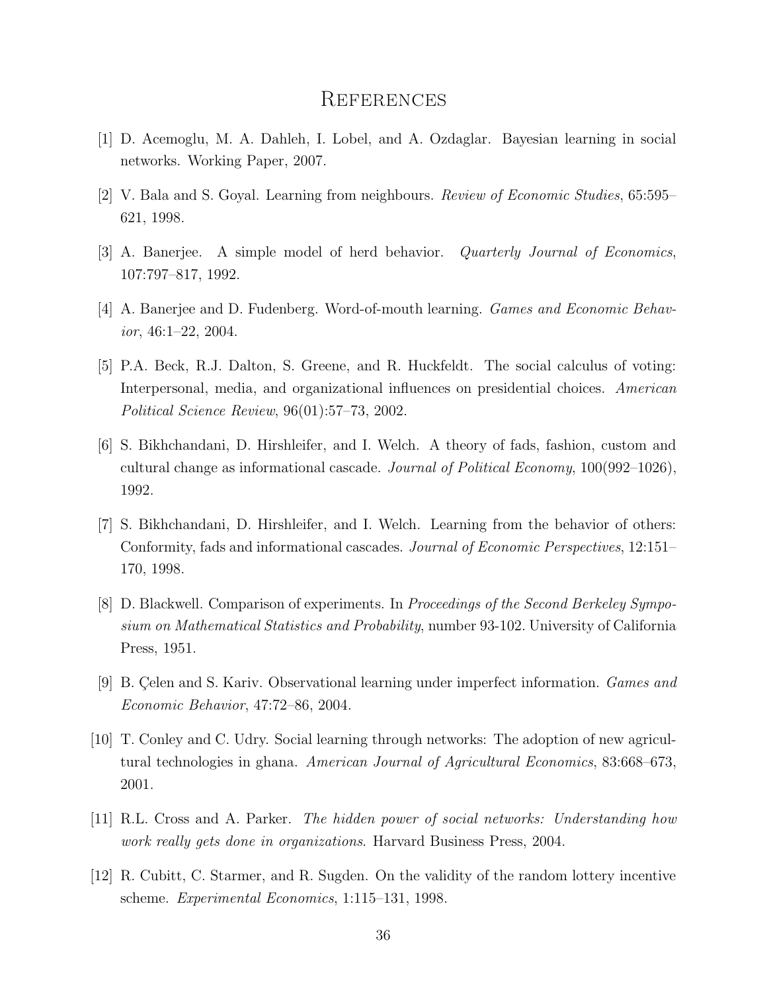# **REFERENCES**

- <span id="page-35-9"></span><span id="page-35-8"></span>[1] D. Acemoglu, M. A. Dahleh, I. Lobel, and A. Ozdaglar. Bayesian learning in social networks. Working Paper, 2007.
- <span id="page-35-2"></span>[2] V. Bala and S. Goyal. Learning from neighbours. *Review of Economic Studies*, 65:595– 621, 1998.
- <span id="page-35-7"></span>[3] A. Banerjee. A simple model of herd behavior. *Quarterly Journal of Economics*, 107:797–817, 1992.
- <span id="page-35-1"></span>[4] A. Banerjee and D. Fudenberg. Word-of-mouth learning. *Games and Economic Behavior*, 46:1–22, 2004.
- [5] P.A. Beck, R.J. Dalton, S. Greene, and R. Huckfeldt. The social calculus of voting: Interpersonal, media, and organizational influences on presidential choices. *American Political Science Review*, 96(01):57–73, 2002.
- <span id="page-35-3"></span>[6] S. Bikhchandani, D. Hirshleifer, and I. Welch. A theory of fads, fashion, custom and cultural change as informational cascade. *Journal of Political Economy*, 100(992–1026), 1992.
- <span id="page-35-4"></span>[7] S. Bikhchandani, D. Hirshleifer, and I. Welch. Learning from the behavior of others: Conformity, fads and informational cascades. *Journal of Economic Perspectives*, 12:151– 170, 1998.
- <span id="page-35-10"></span>[8] D. Blackwell. Comparison of experiments. In *Proceedings of the Second Berkeley Symposium on Mathematical Statistics and Probability*, number 93-102. University of California Press, 1951.
- <span id="page-35-6"></span><span id="page-35-0"></span>[9] B. Celen and S. Kariv. Observational learning under imperfect information. *Games and Economic Behavior*, 47:72–86, 2004.
- [10] T. Conley and C. Udry. Social learning through networks: The adoption of new agricultural technologies in ghana. *American Journal of Agricultural Economics*, 83:668–673, 2001.
- <span id="page-35-11"></span><span id="page-35-5"></span>[11] R.L. Cross and A. Parker. *The hidden power of social networks: Understanding how work really gets done in organizations*. Harvard Business Press, 2004.
- [12] R. Cubitt, C. Starmer, and R. Sugden. On the validity of the random lottery incentive scheme. *Experimental Economics*, 1:115–131, 1998.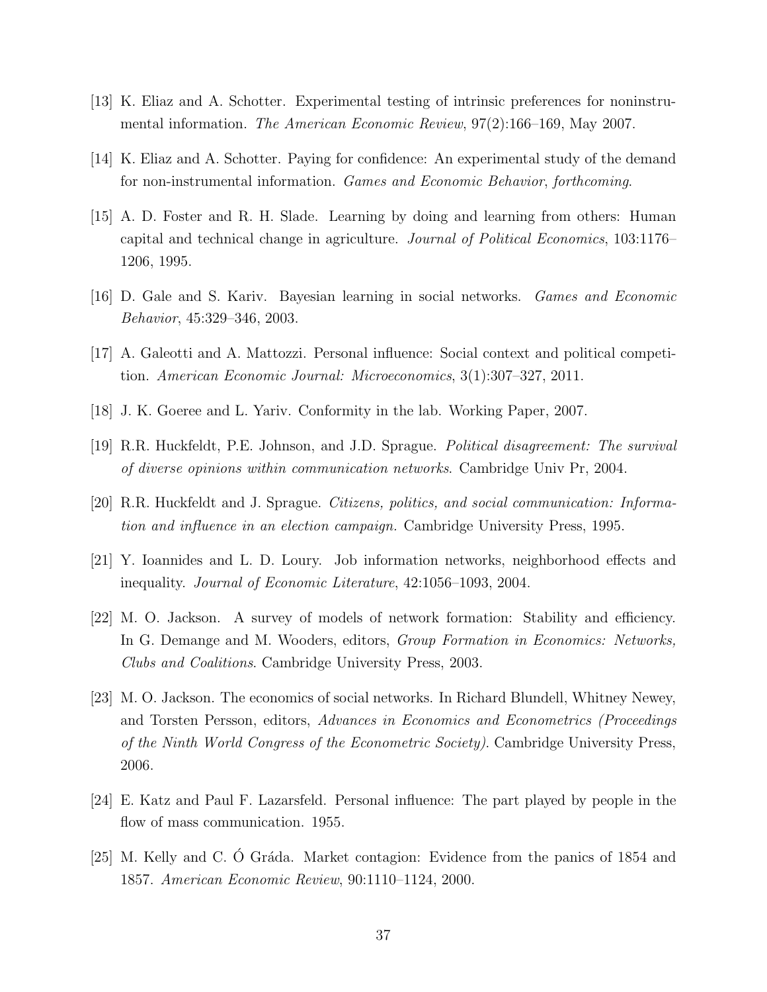- <span id="page-36-8"></span><span id="page-36-7"></span>[13] K. Eliaz and A. Schotter. Experimental testing of intrinsic preferences for noninstrumental information. *The American Economic Review*, 97(2):166–169, May 2007.
- <span id="page-36-1"></span>[14] K. Eliaz and A. Schotter. Paying for confidence: An experimental study of the demand for non-instrumental information. *Games and Economic Behavior*, *forthcoming*.
- [15] A. D. Foster and R. H. Slade. Learning by doing and learning from others: Human capital and technical change in agriculture. *Journal of Political Economics*, 103:1176– 1206, 1995.
- <span id="page-36-10"></span><span id="page-36-6"></span>[16] D. Gale and S. Kariv. Bayesian learning in social networks. *Games and Economic Behavior*, 45:329–346, 2003.
- <span id="page-36-9"></span>[17] A. Galeotti and A. Mattozzi. Personal influence: Social context and political competition. *American Economic Journal: Microeconomics*, 3(1):307–327, 2011.
- <span id="page-36-5"></span>[18] J. K. Goeree and L. Yariv. Conformity in the lab. Working Paper, 2007.
- <span id="page-36-4"></span>[19] R.R. Huckfeldt, P.E. Johnson, and J.D. Sprague. *Political disagreement: The survival of diverse opinions within communication networks*. Cambridge Univ Pr, 2004.
- <span id="page-36-2"></span>[20] R.R. Huckfeldt and J. Sprague. *Citizens, politics, and social communication: Information and influence in an election campaign.* Cambridge University Press, 1995.
- <span id="page-36-11"></span>[21] Y. Ioannides and L. D. Loury. Job information networks, neighborhood effects and inequality. *Journal of Economic Literature*, 42:1056–1093, 2004.
- [22] M. O. Jackson. A survey of models of network formation: Stability and efficiency. In G. Demange and M. Wooders, editors, *Group Formation in Economics: Networks, Clubs and Coalitions*. Cambridge University Press, 2003.
- <span id="page-36-12"></span>[23] M. O. Jackson. The economics of social networks. In Richard Blundell, Whitney Newey, and Torsten Persson, editors, *Advances in Economics and Econometrics (Proceedings of the Ninth World Congress of the Econometric Society)*. Cambridge University Press, 2006.
- <span id="page-36-3"></span><span id="page-36-0"></span>[24] E. Katz and Paul F. Lazarsfeld. Personal influence: The part played by people in the flow of mass communication. 1955.
- [25] M. Kelly and C. Ó Gráda. Market contagion: Evidence from the panics of 1854 and 1857. *American Economic Review*, 90:1110–1124, 2000.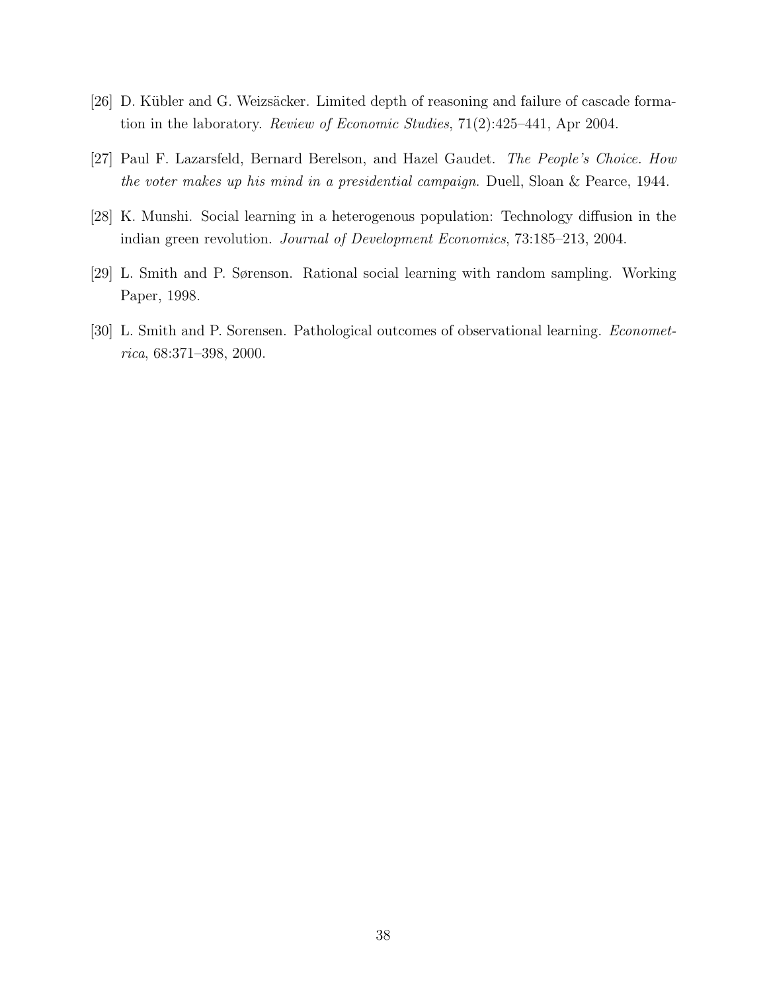- <span id="page-37-4"></span><span id="page-37-1"></span>[26] D. Kübler and G. Weizsäcker. Limited depth of reasoning and failure of cascade formation in the laboratory. *Review of Economic Studies*, 71(2):425–441, Apr 2004.
- <span id="page-37-0"></span>[27] Paul F. Lazarsfeld, Bernard Berelson, and Hazel Gaudet. *The People's Choice. How the voter makes up his mind in a presidential campaign*. Duell, Sloan & Pearce, 1944.
- <span id="page-37-3"></span>[28] K. Munshi. Social learning in a heterogenous population: Technology diffusion in the indian green revolution. *Journal of Development Economics*, 73:185–213, 2004.
- <span id="page-37-2"></span>[29] L. Smith and P. Sørenson. Rational social learning with random sampling. Working Paper, 1998.
- [30] L. Smith and P. Sorensen. Pathological outcomes of observational learning. *Econometrica*, 68:371–398, 2000.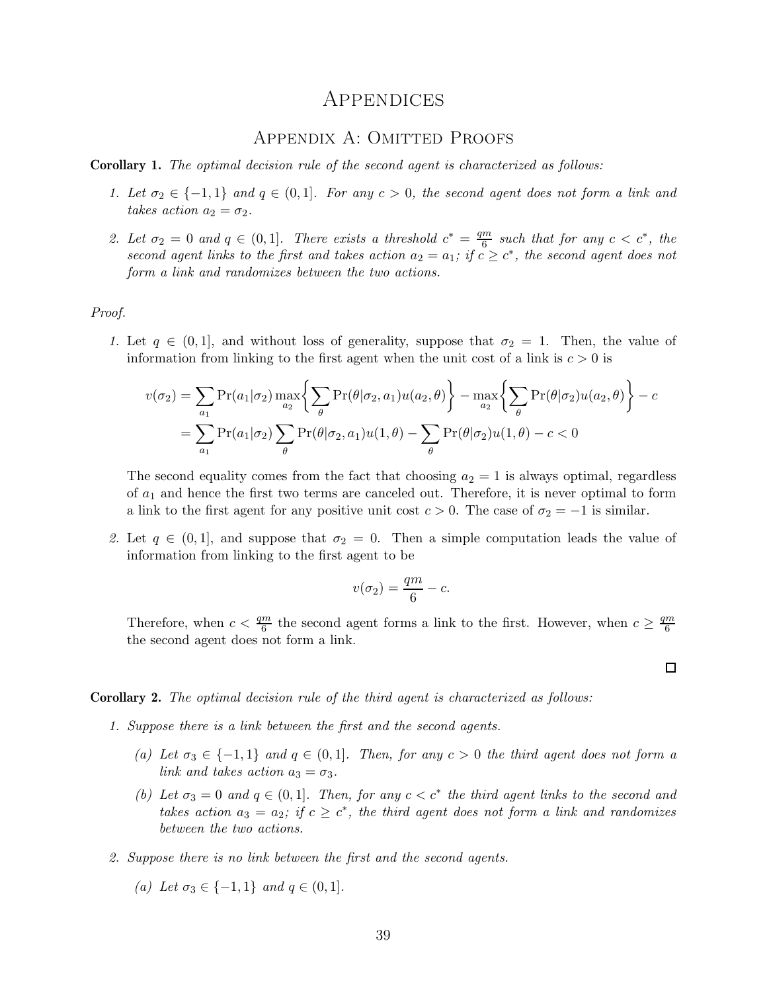## **APPENDICES**

#### Appendix A: Omitted Proofs

Corollary 1. *The optimal decision rule of the second agent is characterized as follows:*

- <span id="page-38-0"></span>*1. Let*  $\sigma_2 \in \{-1, 1\}$  *and*  $q \in (0, 1]$ *. For any*  $c > 0$ *, the second agent does not form a link and takes action*  $a_2 = \sigma_2$ .
- 2. Let  $\sigma_2 = 0$  and  $q \in (0,1]$ . There exists a threshold  $c^* = \frac{qm}{6}$  $\frac{m}{6}$  such that for any  $c < c^*$ , the *second agent links to the first and takes action*  $a_2 = a_1$ ; if  $c \geq c^*$ , the second agent does not *form a link and randomizes between the two actions.*

*Proof.* 

*1.* Let  $q \in (0,1]$ , and without loss of generality, suppose that  $\sigma_2 = 1$ . Then, the value of information from linking to the first agent when the unit cost of a link is  $c > 0$  is

$$
v(\sigma_2) = \sum_{a_1} \Pr(a_1 | \sigma_2) \max_{a_2} \left\{ \sum_{\theta} \Pr(\theta | \sigma_2, a_1) u(a_2, \theta) \right\} - \max_{a_2} \left\{ \sum_{\theta} \Pr(\theta | \sigma_2) u(a_2, \theta) \right\} - c
$$
  
= 
$$
\sum_{a_1} \Pr(a_1 | \sigma_2) \sum_{\theta} \Pr(\theta | \sigma_2, a_1) u(1, \theta) - \sum_{\theta} \Pr(\theta | \sigma_2) u(1, \theta) - c < 0
$$

The second equality comes from the fact that choosing  $a_2 = 1$  is always optimal, regardless of  $a_1$  and hence the first two terms are canceled out. Therefore, it is never optimal to form a link to the first agent for any positive unit cost  $c > 0$ . The case of  $\sigma_2 = -1$  is similar.

2. Let  $q \in (0,1]$ , and suppose that  $\sigma_2 = 0$ . Then a simple computation leads the value of information from linking to the first agent to be

$$
v(\sigma_2) = \frac{qm}{6} - c.
$$

Therefore, when  $c < \frac{qm}{6}$  the second agent forms a link to the first. However, when  $c \ge \frac{qm}{6}$ 6 the second agent does not form a link.

#### Corollary 2. *The optimal decision rule of the third agent is characterized as follows:*

- *1. Suppose there is a link between the first and the second agents.*
	- $(a)$  Let  $\sigma_3$  ∈ {-1, 1} and  $q$  ∈ (0, 1]*.* Then, for any  $c > 0$  the third agent does not form a *link and takes action*  $a_3 = \sigma_3$ .
	- *(b)* Let  $\sigma_3 = 0$  and  $q \in (0,1]$ . Then, for any  $c < c^*$  the third agent links to the second and *takes action*  $a_3 = a_2$ ; if  $c \geq c^*$ , the third agent does not form a link and randomizes *between the two actions.*
- *2. Suppose there is no link between the first and the second agents.*
	- *(a)* Let  $\sigma_3$  ∈ {-1, 1} *and*  $q$  ∈ (0, 1]*.*

 $\Box$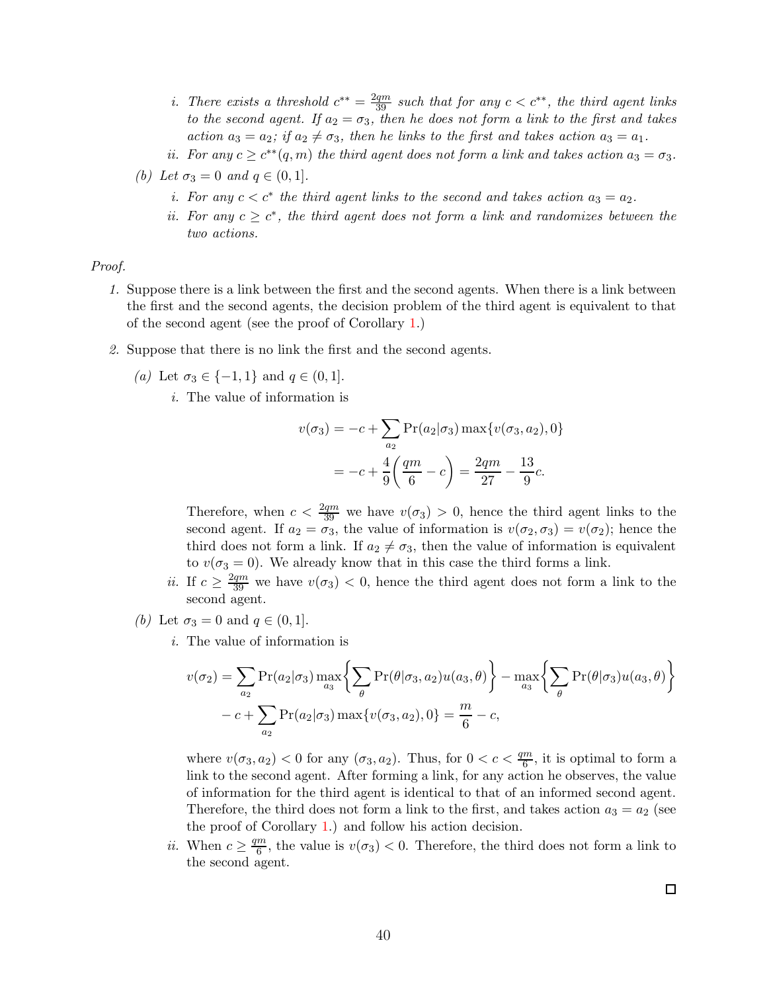- *i.* There exists a threshold  $c^{**} = \frac{2qm}{39}$  such that for any  $c < c^{**}$ , the third agent links *to the second agent. If*  $a_2 = \sigma_3$ *, then he does not form a link to the first and takes action*  $a_3 = a_2$ *;* if  $a_2 \neq \sigma_3$ *, then he links to the first and takes action*  $a_3 = a_1$ *.*
- *ii.* For any  $c \geq c^{**}(q, m)$  the third agent does not form a link and takes action  $a_3 = \sigma_3$ .
- *(b)* Let  $\sigma_3 = 0$  and  $q \in (0, 1]$ .
	- *i.* For any  $c < c^*$  the third agent links to the second and takes action  $a_3 = a_2$ .
	- *ii.* For any  $c \geq c^*$ , the third agent does not form a link and randomizes between the *two actions.*

#### *Proof.*

- *1.* Suppose there is a link between the first and the second agents. When there is a link between the first and the second agents, the decision problem of the third agent is equivalent to that of the second agent (see the proof of Corollary [1.](#page-38-0))
- *2.* Suppose that there is no link the first and the second agents.
	- *(a)* Let  $\sigma_3$  ∈ {−1, 1} and  $q \in (0, 1]$ .
		- *i.* The value of information is

$$
v(\sigma_3) = -c + \sum_{a_2} \Pr(a_2 | \sigma_3) \max\{v(\sigma_3, a_2), 0\}
$$

$$
= -c + \frac{4}{9} \left(\frac{qm}{6} - c\right) = \frac{2qm}{27} - \frac{13}{9}c.
$$

Therefore, when  $c < \frac{2qm}{39}$  we have  $v(\sigma_3) > 0$ , hence the third agent links to the second agent. If  $a_2 = \sigma_3$ , the value of information is  $v(\sigma_2, \sigma_3) = v(\sigma_2)$ ; hence the third does not form a link. If  $a_2 \neq \sigma_3$ , then the value of information is equivalent to  $v(\sigma_3 = 0)$ . We already know that in this case the third forms a link.

- *ii.* If  $c \geq \frac{2qm}{39}$  we have  $v(\sigma_3) < 0$ , hence the third agent does not form a link to the second agent.
- *(b)* Let  $\sigma_3 = 0$  and  $q \in (0, 1]$ .
	- *i.* The value of information is

$$
v(\sigma_2) = \sum_{a_2} \Pr(a_2 | \sigma_3) \max_{a_3} \left\{ \sum_{\theta} \Pr(\theta | \sigma_3, a_2) u(a_3, \theta) \right\} - \max_{a_3} \left\{ \sum_{\theta} \Pr(\theta | \sigma_3) u(a_3, \theta) \right\}
$$

$$
-c + \sum_{a_2} \Pr(a_2 | \sigma_3) \max \{ v(\sigma_3, a_2), 0 \} = \frac{m}{6} - c,
$$

where  $v(\sigma_3, a_2) < 0$  for any  $(\sigma_3, a_2)$ . Thus, for  $0 < c < \frac{qm}{6}$ , it is optimal to form a link to the second agent. After forming a link, for any action he observes, the value of information for the third agent is identical to that of an informed second agent. Therefore, the third does not form a link to the first, and takes action  $a_3 = a_2$  (see the proof of Corollary [1.](#page-38-0)) and follow his action decision.

*ii.* When  $c \geq \frac{qm}{6}$  $\frac{m}{6}$ , the value is  $v(\sigma_3) < 0$ . Therefore, the third does not form a link to the second agent.

 $\Box$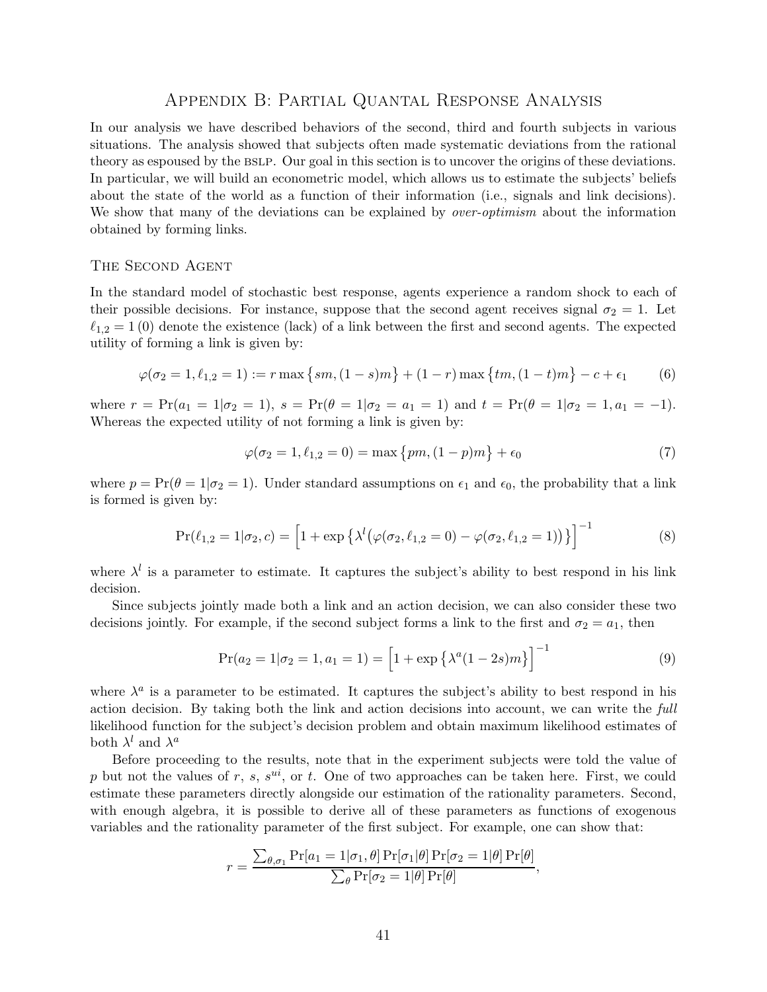#### Appendix B: Partial Quantal Response Analysis

In our analysis we have described behaviors of the second, third and fourth subjects in various situations. The analysis showed that subjects often made systematic deviations from the rational theory as espoused by the BSLP. Our goal in this section is to uncover the origins of these deviations. In particular, we will build an econometric model, which allows us to estimate the subjects' beliefs about the state of the world as a function of their information (i.e., signals and link decisions). We show that many of the deviations can be explained by *over-optimism* about the information obtained by forming links.

#### THE SECOND AGENT

In the standard model of stochastic best response, agents experience a random shock to each of their possible decisions. For instance, suppose that the second agent receives signal  $\sigma_2 = 1$ . Let  $\ell_{1,2} = 1$  (0) denote the existence (lack) of a link between the first and second agents. The expected utility of forming a link is given by:

$$
\varphi(\sigma_2 = 1, \ell_{1,2} = 1) := r \max \{ sm, (1 - s)m \} + (1 - r) \max \{ tm, (1 - t)m \} - c + \epsilon_1 \tag{6}
$$

where  $r = Pr(a_1 = 1 | \sigma_2 = 1)$ ,  $s = Pr(\theta = 1 | \sigma_2 = a_1 = 1)$  and  $t = Pr(\theta = 1 | \sigma_2 = 1, a_1 = -1)$ . Whereas the expected utility of not forming a link is given by:

$$
\varphi(\sigma_2 = 1, \ell_{1,2} = 0) = \max\{pm, (1-p)m\} + \epsilon_0 \tag{7}
$$

where  $p = Pr(\theta = 1|\sigma_2 = 1)$ . Under standard assumptions on  $\epsilon_1$  and  $\epsilon_0$ , the probability that a link is formed is given by:

$$
Pr(\ell_{1,2} = 1 | \sigma_2, c) = \left[1 + \exp\left\{\lambda^l(\varphi(\sigma_2, \ell_{1,2} = 0) - \varphi(\sigma_2, \ell_{1,2} = 1))\right\}\right]^{-1}
$$
(8)

where  $\lambda^{l}$  is a parameter to estimate. It captures the subject's ability to best respond in his link decision.

Since subjects jointly made both a link and an action decision, we can also consider these two decisions jointly. For example, if the second subject forms a link to the first and  $\sigma_2 = a_1$ , then

$$
Pr(a_2 = 1 | \sigma_2 = 1, a_1 = 1) = \left[1 + \exp\left\{\lambda^a (1 - 2s)m\right\}\right]^{-1}
$$
\n(9)

where  $\lambda^a$  is a parameter to be estimated. It captures the subject's ability to best respond in his action decision. By taking both the link and action decisions into account, we can write the *full* likelihood function for the subject's decision problem and obtain maximum likelihood estimates of both  $\lambda^l$  and  $\lambda^a$ 

Before proceeding to the results, note that in the experiment subjects were told the value of p but not the values of r, s,  $s^{ui}$ , or t. One of two approaches can be taken here. First, we could estimate these parameters directly alongside our estimation of the rationality parameters. Second, with enough algebra, it is possible to derive all of these parameters as functions of exogenous variables and the rationality parameter of the first subject. For example, one can show that:

$$
r = \frac{\sum_{\theta,\sigma_1} \Pr[a_1 = 1|\sigma_1,\theta] \Pr[\sigma_1|\theta] \Pr[\sigma_2 = 1|\theta] \Pr[\theta]}{\sum_{\theta} \Pr[\sigma_2 = 1|\theta] \Pr[\theta]},
$$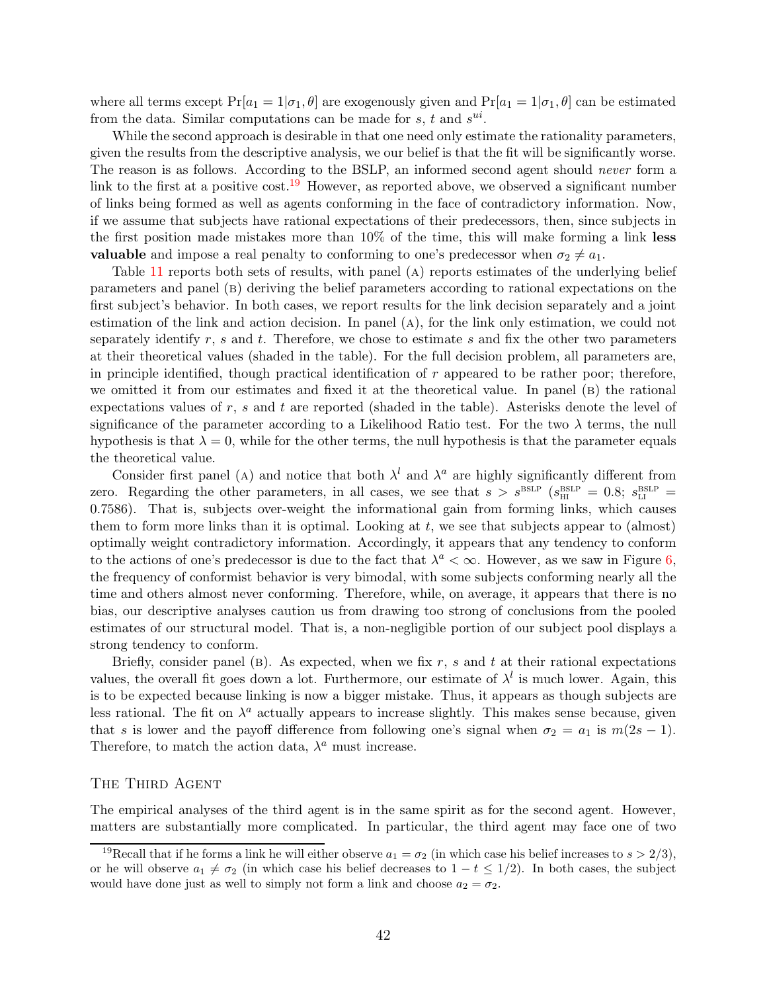where all terms except  $Pr[a_1 = 1 | \sigma_1, \theta]$  are exogenously given and  $Pr[a_1 = 1 | \sigma_1, \theta]$  can be estimated from the data. Similar computations can be made for  $s, t$  and  $s^{ui}$ .

While the second approach is desirable in that one need only estimate the rationality parameters, given the results from the descriptive analysis, we our belief is that the fit will be significantly worse. The reason is as follows. According to the BSLP, an informed second agent should *never* form a link to the first at a positive cost.<sup>[19](#page-41-0)</sup> However, as reported above, we observed a significant number of links being formed as well as agents conforming in the face of contradictory information. Now, if we assume that subjects have rational expectations of their predecessors, then, since subjects in the first position made mistakes more than 10% of the time, this will make forming a link less **valuable** and impose a real penalty to conforming to one's predecessor when  $\sigma_2 \neq a_1$ .

Table [11](#page-42-0) reports both sets of results, with panel (A) reports estimates of the underlying belief parameters and panel (b) deriving the belief parameters according to rational expectations on the first subject's behavior. In both cases, we report results for the link decision separately and a joint estimation of the link and action decision. In panel (a), for the link only estimation, we could not separately identify r, s and t. Therefore, we chose to estimate s and fix the other two parameters at their theoretical values (shaded in the table). For the full decision problem, all parameters are, in principle identified, though practical identification of  $r$  appeared to be rather poor; therefore, we omitted it from our estimates and fixed it at the theoretical value. In panel (B) the rational expectations values of r, s and t are reported (shaded in the table). Asterisks denote the level of significance of the parameter according to a Likelihood Ratio test. For the two  $\lambda$  terms, the null hypothesis is that  $\lambda = 0$ , while for the other terms, the null hypothesis is that the parameter equals the theoretical value.

Consider first panel (A) and notice that both  $\lambda^{l}$  and  $\lambda^{a}$  are highly significantly different from zero. Regarding the other parameters, in all cases, we see that  $s > s^{\text{BSLP}}$  ( $s^{\text{BSLP}}_{\text{HI}} = 0.8$ ;  $s^{\text{BSLP}}_{\text{LI}} =$ 0.7586). That is, subjects over-weight the informational gain from forming links, which causes them to form more links than it is optimal. Looking at  $t$ , we see that subjects appear to (almost) optimally weight contradictory information. Accordingly, it appears that any tendency to conform to the actions of one's predecessor is due to the fact that  $\lambda^a < \infty$ . However, as we saw in Figure [6,](#page-25-1) the frequency of conformist behavior is very bimodal, with some subjects conforming nearly all the time and others almost never conforming. Therefore, while, on average, it appears that there is no bias, our descriptive analyses caution us from drawing too strong of conclusions from the pooled estimates of our structural model. That is, a non-negligible portion of our subject pool displays a strong tendency to conform.

Briefly, consider panel (B). As expected, when we fix  $r$ ,  $s$  and  $t$  at their rational expectations values, the overall fit goes down a lot. Furthermore, our estimate of  $\lambda^l$  is much lower. Again, this is to be expected because linking is now a bigger mistake. Thus, it appears as though subjects are less rational. The fit on  $\lambda^a$  actually appears to increase slightly. This makes sense because, given that s is lower and the payoff difference from following one's signal when  $\sigma_2 = a_1$  is  $m(2s - 1)$ . Therefore, to match the action data,  $\lambda^a$  must increase.

#### THE THIRD AGENT

The empirical analyses of the third agent is in the same spirit as for the second agent. However, matters are substantially more complicated. In particular, the third agent may face one of two

<span id="page-41-0"></span><sup>&</sup>lt;sup>19</sup>Recall that if he forms a link he will either observe  $a_1 = \sigma_2$  (in which case his belief increases to  $s > 2/3$ ), or he will observe  $a_1 \neq \sigma_2$  (in which case his belief decreases to  $1 - t \leq 1/2$ ). In both cases, the subject would have done just as well to simply not form a link and choose  $a_2 = \sigma_2$ .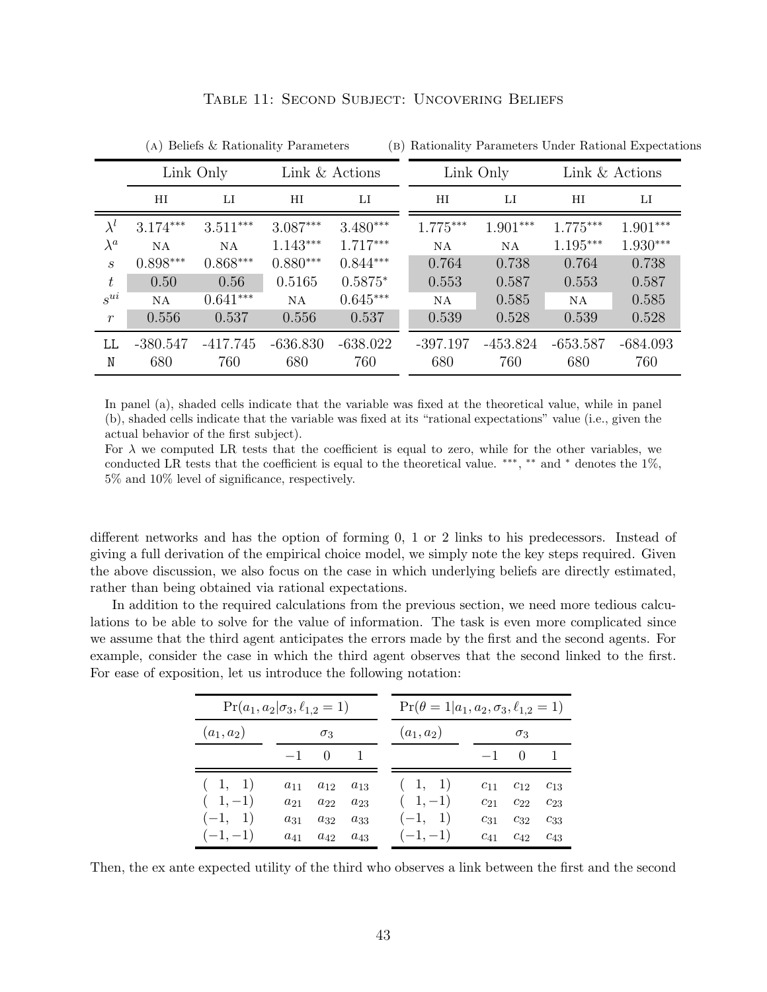<span id="page-42-0"></span>

|                   |            |             | (A) Beliefs & Rationality Parameters |             | (B) Rationality Parameters Under Rational Expectations |            |             |                |
|-------------------|------------|-------------|--------------------------------------|-------------|--------------------------------------------------------|------------|-------------|----------------|
|                   | Link Only  |             | Link & Actions                       |             |                                                        | Link Only  |             | Link & Actions |
|                   | НI         | $_{\rm LI}$ | HI                                   | $_{\rm LI}$ | $_{\rm HI}$                                            | Ы          | $_{\rm HI}$ | LI             |
| $\lambda^l$       | $3.174***$ | $3.511***$  | $3.087***$                           | $3.480***$  | $1.775***$                                             | 1.901***   | $1.775***$  | $1.901***$     |
| $\lambda^a$       | <b>NA</b>  | NA          | $1.143***$                           | $1.717***$  | NA                                                     | <b>NA</b>  | $1.195***$  | $1.930***$     |
| $\mathcal{S}_{0}$ | $0.898***$ | $0.868***$  | $0.880***$                           | $0.844***$  | 0.764                                                  | 0.738      | 0.764       | 0.738          |
| t                 | 0.50       | 0.56        | 0.5165                               | $0.5875*$   | 0.553                                                  | 0.587      | 0.553       | 0.587          |
| $s^{ui}$          | NA         | $0.641***$  | <b>NA</b>                            | $0.645***$  | <b>NA</b>                                              | 0.585      | <b>NA</b>   | 0.585          |
| $\mathcal{r}$     | 0.556      | 0.537       | 0.556                                | 0.537       | 0.539                                                  | 0.528      | 0.539       | 0.528          |
| LL                | $-380.547$ | $-417.745$  | $-636.830$                           | $-638.022$  | $-397.197$                                             | $-453.824$ | $-653.587$  | $-684.093$     |
| $\rm N$           | 680        | 760         | 680                                  | 760         | 680                                                    | 760        | 680         | 760            |

Table 11: Second Subject: Uncovering Beliefs

In panel (a), shaded cells indicate that the variable was fixed at the theoretical value, while in panel (b), shaded cells indicate that the variable was fixed at its "rational expectations" value (i.e., given the

actual behavior of the first subject). For  $\lambda$  we computed LR tests that the coefficient is equal to zero, while for the other variables, we conducted LR tests that the coefficient is equal to the theoretical value. \*\*\*, \*\* and \* denotes the 1%, 5% and 10% level of significance, respectively.

different networks and has the option of forming 0, 1 or 2 links to his predecessors. Instead of giving a full derivation of the empirical choice model, we simply note the key steps required. Given the above discussion, we also focus on the case in which underlying beliefs are directly estimated, rather than being obtained via rational expectations.

In addition to the required calculations from the previous section, we need more tedious calculations to be able to solve for the value of information. The task is even more complicated since we assume that the third agent anticipates the errors made by the first and the second agents. For example, consider the case in which the third agent observes that the second linked to the first. For ease of exposition, let us introduce the following notation:

| $Pr(a_1, a_2   \sigma_3, \ell_{1,2} = 1)$ |            |                            |                | $Pr(\theta = 1 a_1, a_2, \sigma_3, \ell_{1,2} = 1)$ |            |          |                |
|-------------------------------------------|------------|----------------------------|----------------|-----------------------------------------------------|------------|----------|----------------|
| $(a_1, a_2)$                              | $\sigma_3$ |                            |                | $(a_1, a_2)$                                        | $\sigma_3$ |          |                |
|                                           | $-1 \ 0$   |                            | $\overline{1}$ |                                                     | $-1 \ 0$   |          | $\overline{1}$ |
| (1, 1)                                    |            | $a_{11}$ $a_{12}$ $a_{13}$ |                | (1, 1)                                              | $c_{11}$   | $c_{12}$ | $c_{13}$       |
| $(1,-1)$                                  | $a_{21}$   | $a_{22}$                   | $a_{23}$       | $(1,-1)$                                            | $c_{21}$   | $c_{22}$ | $C_{2,3}$      |
| $(-1, 1)$                                 | $a_{31}$   | $a_{32}$                   | $a_{33}$       | $(-1, 1)$                                           | $c_{31}$   | $c_{32}$ | $c_{33}$       |
| $(-1,-1)$                                 | $a_{41}$   | $a_{42}$                   | $a_{43}$       | $(-1,-1)$                                           | $c_{41}$   | $c_{42}$ | $c_{43}$       |

Then, the ex ante expected utility of the third who observes a link between the first and the second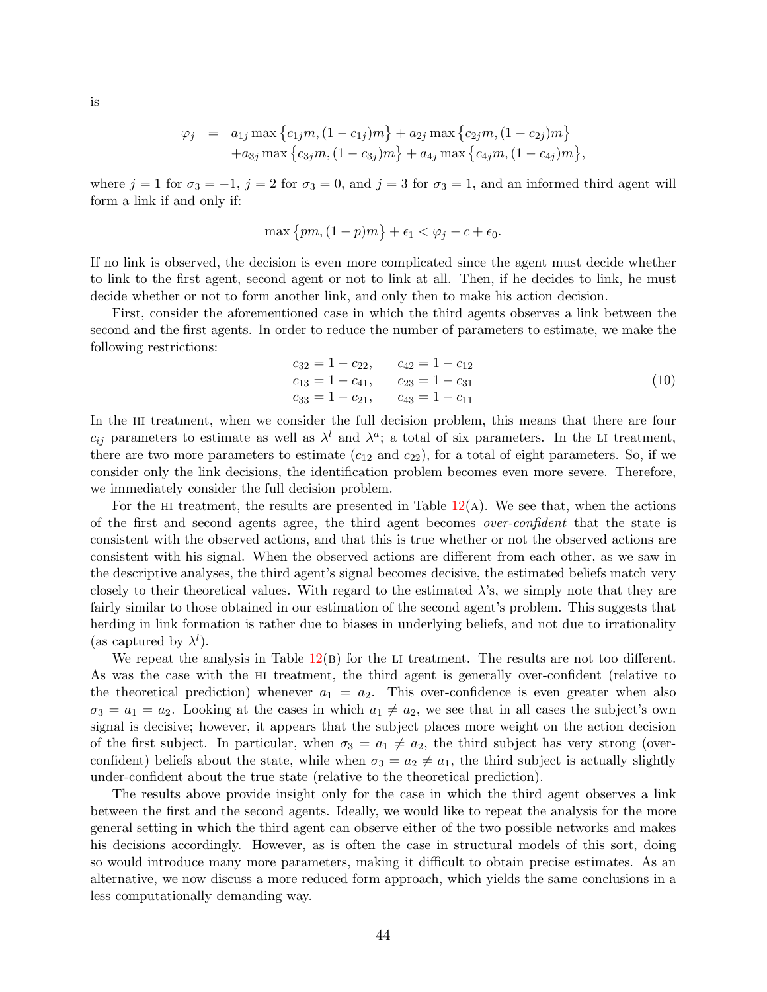is

$$
\varphi_j = a_{1j} \max \left\{ c_{1j}m, (1 - c_{1j})m \right\} + a_{2j} \max \left\{ c_{2j}m, (1 - c_{2j})m \right\} + a_{3j} \max \left\{ c_{3j}m, (1 - c_{3j})m \right\} + a_{4j} \max \left\{ c_{4j}m, (1 - c_{4j})m \right\},
$$

where  $j = 1$  for  $\sigma_3 = -1$ ,  $j = 2$  for  $\sigma_3 = 0$ , and  $j = 3$  for  $\sigma_3 = 1$ , and an informed third agent will form a link if and only if:

$$
\max\left\{pm, (1-p)m\right\} + \epsilon_1 < \varphi_j - c + \epsilon_0.
$$

If no link is observed, the decision is even more complicated since the agent must decide whether to link to the first agent, second agent or not to link at all. Then, if he decides to link, he must decide whether or not to form another link, and only then to make his action decision.

First, consider the aforementioned case in which the third agents observes a link between the second and the first agents. In order to reduce the number of parameters to estimate, we make the following restrictions:

$$
c_{32} = 1 - c_{22}, \t c_{42} = 1 - c_{12}
$$
  
\n
$$
c_{13} = 1 - c_{41}, \t c_{23} = 1 - c_{31}
$$
  
\n
$$
c_{33} = 1 - c_{21}, \t c_{43} = 1 - c_{11}
$$
\n(10)

In the HI treatment, when we consider the full decision problem, this means that there are four  $c_{ij}$  parameters to estimate as well as  $\lambda^l$  and  $\lambda^a$ ; a total of six parameters. In the LI treatment, there are two more parameters to estimate  $(c_{12}$  and  $c_{22})$ , for a total of eight parameters. So, if we consider only the link decisions, the identification problem becomes even more severe. Therefore, we immediately consider the full decision problem.

For the HI treatment, the results are presented in Table  $12(A)$  $12(A)$ . We see that, when the actions of the first and second agents agree, the third agent becomes *over-confident* that the state is consistent with the observed actions, and that this is true whether or not the observed actions are consistent with his signal. When the observed actions are different from each other, as we saw in the descriptive analyses, the third agent's signal becomes decisive, the estimated beliefs match very closely to their theoretical values. With regard to the estimated  $\lambda$ 's, we simply note that they are fairly similar to those obtained in our estimation of the second agent's problem. This suggests that herding in link formation is rather due to biases in underlying beliefs, and not due to irrationality (as captured by  $\lambda^l$ ).

We repeat the analysis in Table  $12(B)$  $12(B)$  for the LI treatment. The results are not too different. As was the case with the HI treatment, the third agent is generally over-confident (relative to the theoretical prediction) whenever  $a_1 = a_2$ . This over-confidence is even greater when also  $\sigma_3 = a_1 = a_2$ . Looking at the cases in which  $a_1 \neq a_2$ , we see that in all cases the subject's own signal is decisive; however, it appears that the subject places more weight on the action decision of the first subject. In particular, when  $\sigma_3 = a_1 \neq a_2$ , the third subject has very strong (overconfident) beliefs about the state, while when  $\sigma_3 = a_2 \neq a_1$ , the third subject is actually slightly under-confident about the true state (relative to the theoretical prediction).

The results above provide insight only for the case in which the third agent observes a link between the first and the second agents. Ideally, we would like to repeat the analysis for the more general setting in which the third agent can observe either of the two possible networks and makes his decisions accordingly. However, as is often the case in structural models of this sort, doing so would introduce many more parameters, making it difficult to obtain precise estimates. As an alternative, we now discuss a more reduced form approach, which yields the same conclusions in a less computationally demanding way.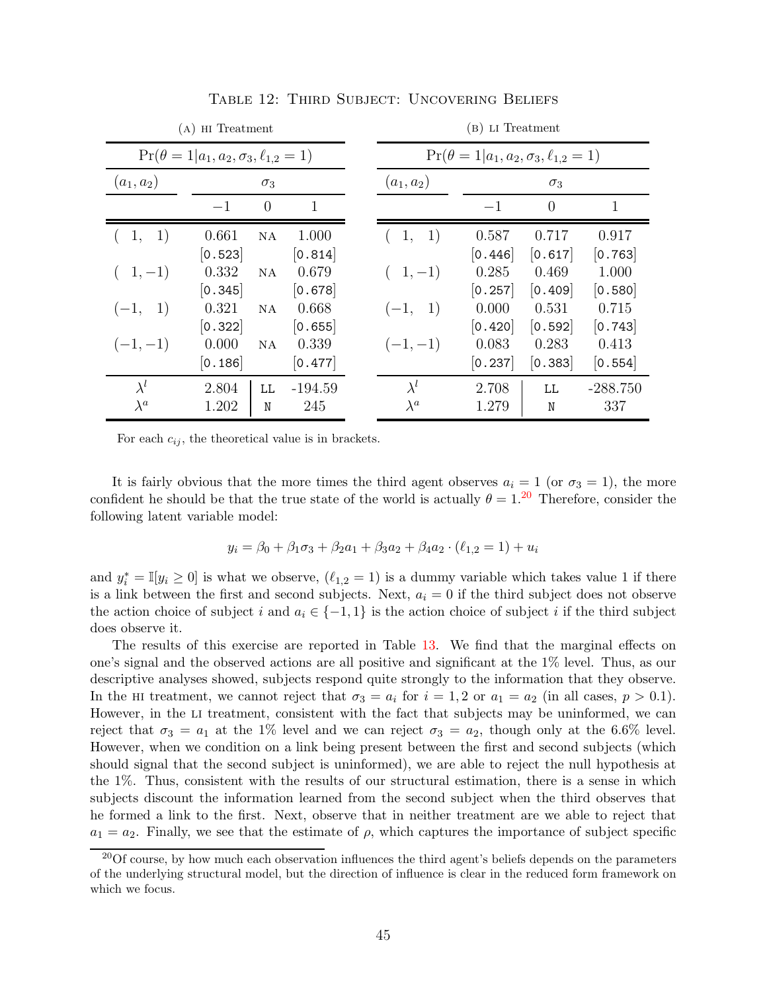<span id="page-44-0"></span>

| (A) HI Treatment                                       |                                                     |            | (B) LI Treatment |  |              |                                                     |            |                     |
|--------------------------------------------------------|-----------------------------------------------------|------------|------------------|--|--------------|-----------------------------------------------------|------------|---------------------|
|                                                        | $Pr(\theta = 1 a_1, a_2, \sigma_3, \ell_{1,2} = 1)$ |            |                  |  |              | $Pr(\theta = 1 a_1, a_2, \sigma_3, \ell_{1,2} = 1)$ |            |                     |
| $(a_1, a_2)$                                           |                                                     | $\sigma_3$ |                  |  | $(a_1, a_2)$ |                                                     | $\sigma_3$ |                     |
|                                                        | $-1$                                                | $\theta$   | $\mathbf{1}$     |  |              | $-1$                                                | $\theta$   | $\mathbf{1}$        |
| $\left( \begin{array}{c} 1 \end{array} \right)$<br>(1, | 0.661                                               | NA         | 1.000            |  | (1, 1)       | 0.587                                               | 0.717      | 0.917               |
|                                                        | [0.523]                                             |            | [0.814]          |  |              | [0.446]                                             | [0.617]    | [0.763]             |
| $(1,-1)$                                               | 0.332                                               | NA         | 0.679            |  | $(1,-1)$     | 0.285                                               | 0.469      | 1.000               |
|                                                        | [0.345]                                             |            | [0.678]          |  |              | [0.257]                                             | [0.409]    | [0.580]             |
| $(-1, 1)$                                              | 0.321                                               | NA         | 0.668            |  | $(-1, 1)$    | 0.000                                               | 0.531      | 0.715               |
|                                                        | [0.322]                                             |            | [0.655]          |  |              | [0.420]                                             | [0.592]    | [0.743]             |
| $(-1,-1)$                                              | 0.000                                               | NA         | 0.339            |  | $(-1,-1)$    | 0.083                                               | 0.283      | 0.413               |
|                                                        | [0.186]                                             |            | [0.477]          |  |              | [0.237]                                             | [0.383]    | $\vert 0.554 \vert$ |
| $\lambda^l$                                            | 2.804                                               | LL         | $-194.59$        |  | $\lambda^l$  | 2.708                                               | LL         | $-288.750$          |
| $\lambda^a$                                            | 1.202                                               | N          | 245              |  | $\lambda^a$  | 1.279                                               | N          | 337                 |

Table 12: Third Subject: Uncovering Beliefs

For each  $c_{ij}$ , the theoretical value is in brackets.

It is fairly obvious that the more times the third agent observes  $a_i = 1$  (or  $\sigma_3 = 1$ ), the more confident he should be that the true state of the world is actually  $\theta = 1$ .<sup>[20](#page-44-1)</sup> Therefore, consider the following latent variable model:

$$
y_i = \beta_0 + \beta_1 \sigma_3 + \beta_2 a_1 + \beta_3 a_2 + \beta_4 a_2 \cdot (\ell_{1,2} = 1) + u_i
$$

and  $y_i^* = \mathbb{I}[y_i \geq 0]$  is what we observe,  $(\ell_{1,2} = 1)$  is a dummy variable which takes value 1 if there is a link between the first and second subjects. Next,  $a_i = 0$  if the third subject does not observe the action choice of subject i and  $a_i \in \{-1,1\}$  is the action choice of subject i if the third subject does observe it.

The results of this exercise are reported in Table [13.](#page-45-0) We find that the marginal effects on one's signal and the observed actions are all positive and significant at the 1% level. Thus, as our descriptive analyses showed, subjects respond quite strongly to the information that they observe. In the HI treatment, we cannot reject that  $\sigma_3 = a_i$  for  $i = 1, 2$  or  $a_1 = a_2$  (in all cases,  $p > 0.1$ ). However, in the li treatment, consistent with the fact that subjects may be uninformed, we can reject that  $\sigma_3 = a_1$  at the 1% level and we can reject  $\sigma_3 = a_2$ , though only at the 6.6% level. However, when we condition on a link being present between the first and second subjects (which should signal that the second subject is uninformed), we are able to reject the null hypothesis at the 1%. Thus, consistent with the results of our structural estimation, there is a sense in which subjects discount the information learned from the second subject when the third observes that he formed a link to the first. Next, observe that in neither treatment are we able to reject that  $a_1 = a_2$ . Finally, we see that the estimate of  $\rho$ , which captures the importance of subject specific

<span id="page-44-1"></span><sup>20</sup>Of course, by how much each observation influences the third agent's beliefs depends on the parameters of the underlying structural model, but the direction of influence is clear in the reduced form framework on which we focus.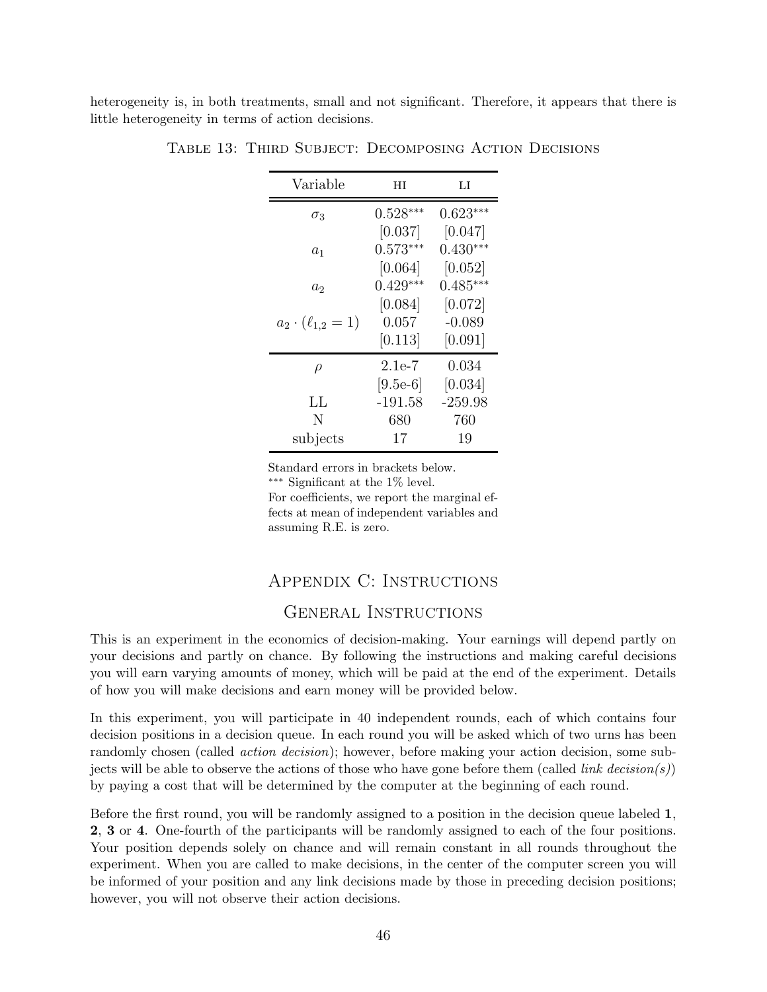<span id="page-45-0"></span>heterogeneity is, in both treatments, small and not significant. Therefore, it appears that there is little heterogeneity in terms of action decisions.

| Variable                     | HІ                    | LI                    |  |  |
|------------------------------|-----------------------|-----------------------|--|--|
| $\sigma_3$                   | $0.528***$            | $0.623***$            |  |  |
|                              | [0.037]               | [0.047]               |  |  |
| $a_1$                        | $0.573***$<br>[0.064] | $0.430***$<br>[0.052] |  |  |
| $a_2$                        | $0.429***$            | $0.485***$            |  |  |
|                              | [0.084]               | [0.072]               |  |  |
| $a_2 \cdot (\ell_{1,2} = 1)$ | 0.057                 | -0.089                |  |  |
|                              | [0.113]               | [0.091]               |  |  |
| ρ                            | 2.1e-7                | 0.034                 |  |  |
|                              | $[9.5e-6]$            | [0.034]               |  |  |
| LL                           | $-191.58$             | $-259.98$             |  |  |
| N                            | 680                   | 760                   |  |  |
| subjects                     | 17                    | 19                    |  |  |

Table 13: Third Subject: Decomposing Action Decisions

Standard errors in brackets below.

∗∗∗ Significant at the 1% level.

For coefficients, we report the marginal effects at mean of independent variables and assuming R.E. is zero.

# Appendix C: Instructions

## General Instructions

This is an experiment in the economics of decision-making. Your earnings will depend partly on your decisions and partly on chance. By following the instructions and making careful decisions you will earn varying amounts of money, which will be paid at the end of the experiment. Details of how you will make decisions and earn money will be provided below.

In this experiment, you will participate in 40 independent rounds, each of which contains four decision positions in a decision queue. In each round you will be asked which of two urns has been randomly chosen (called *action decision*); however, before making your action decision, some subjects will be able to observe the actions of those who have gone before them (called *link decision(s)*) by paying a cost that will be determined by the computer at the beginning of each round.

Before the first round, you will be randomly assigned to a position in the decision queue labeled 1, 2, 3 or 4. One-fourth of the participants will be randomly assigned to each of the four positions. Your position depends solely on chance and will remain constant in all rounds throughout the experiment. When you are called to make decisions, in the center of the computer screen you will be informed of your position and any link decisions made by those in preceding decision positions; however, you will not observe their action decisions.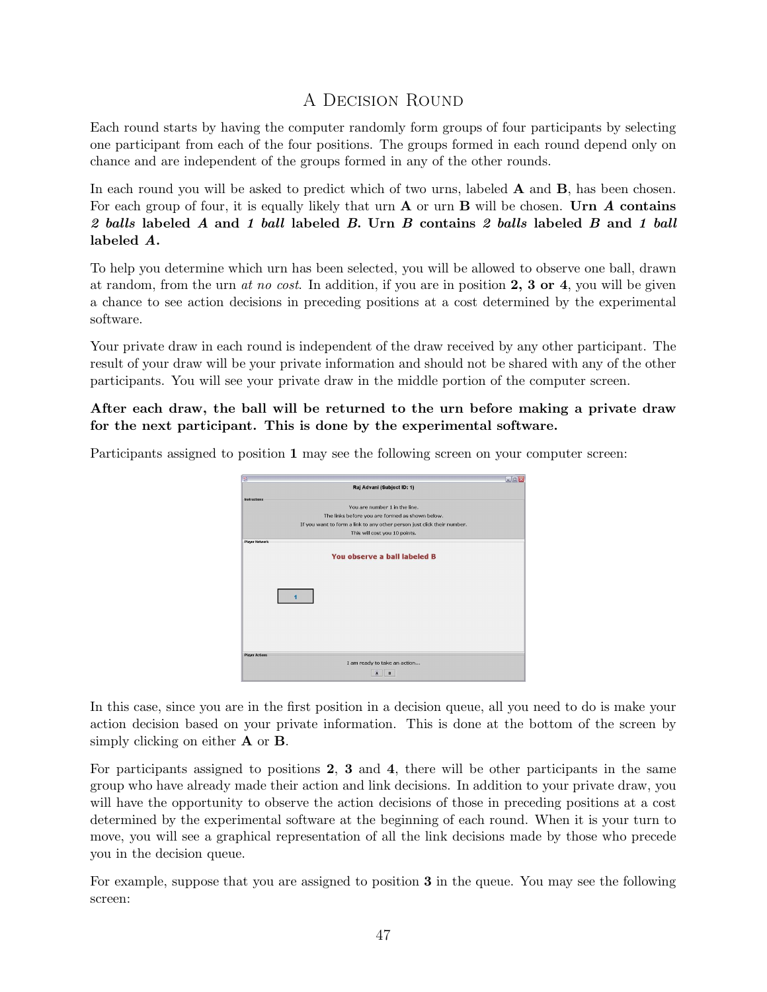# A Decision Round

Each round starts by having the computer randomly form groups of four participants by selecting one participant from each of the four positions. The groups formed in each round depend only on chance and are independent of the groups formed in any of the other rounds.

In each round you will be asked to predict which of two urns, labeled **A** and **B**, has been chosen. For each group of four, it is equally likely that urn  $A$  or urn  $B$  will be chosen. Urn  $A$  contains 2 balls labeled A and 1 ball labeled B. Urn B contains 2 balls labeled B and 1 ball labeled A.

To help you determine which urn has been selected, you will be allowed to observe one ball, drawn at random, from the urn *at no cost*. In addition, if you are in position 2, 3 or 4, you will be given a chance to see action decisions in preceding positions at a cost determined by the experimental software.

Your private draw in each round is independent of the draw received by any other participant. The result of your draw will be your private information and should not be shared with any of the other participants. You will see your private draw in the middle portion of the computer screen.

After each draw, the ball will be returned to the urn before making a private draw for the next participant. This is done by the experimental software.

Participants assigned to position 1 may see the following screen on your computer screen:



In this case, since you are in the first position in a decision queue, all you need to do is make your action decision based on your private information. This is done at the bottom of the screen by simply clicking on either A or B.

For participants assigned to positions 2, 3 and 4, there will be other participants in the same group who have already made their action and link decisions. In addition to your private draw, you will have the opportunity to observe the action decisions of those in preceding positions at a cost determined by the experimental software at the beginning of each round. When it is your turn to move, you will see a graphical representation of all the link decisions made by those who precede you in the decision queue.

For example, suppose that you are assigned to position 3 in the queue. You may see the following screen: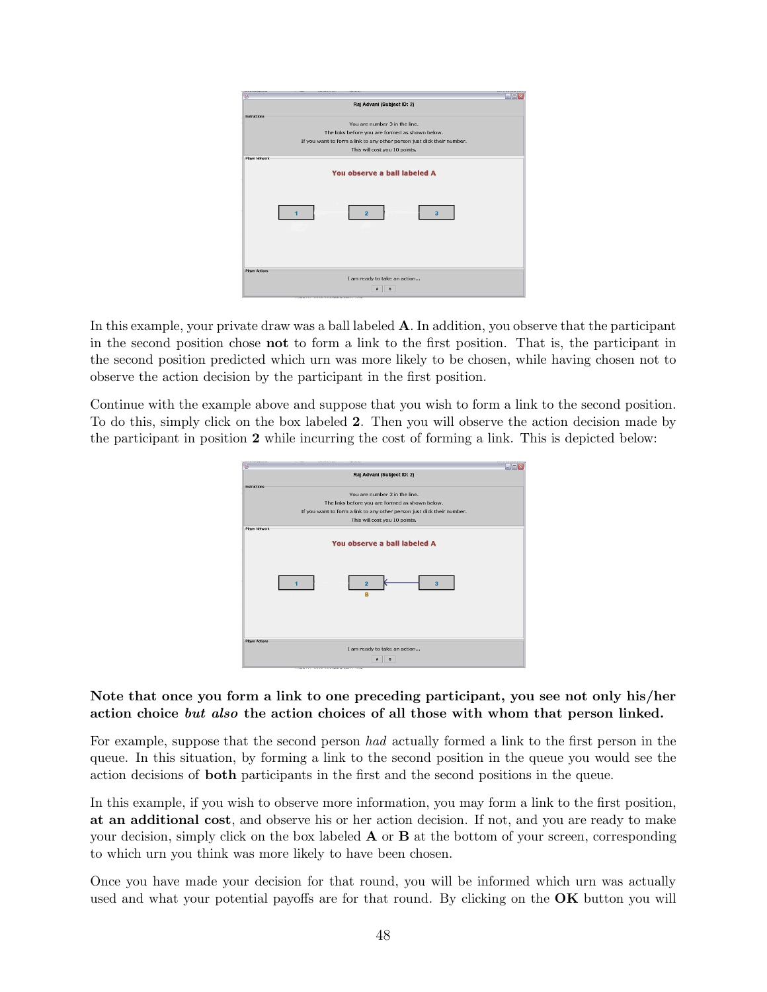

In this example, your private draw was a ball labeled A. In addition, you observe that the participant in the second position chose not to form a link to the first position. That is, the participant in the second position predicted which urn was more likely to be chosen, while having chosen not to observe the action decision by the participant in the first position.

Continue with the example above and suppose that you wish to form a link to the second position. To do this, simply click on the box labeled 2. Then you will observe the action decision made by the participant in position 2 while incurring the cost of forming a link. This is depicted below:



## Note that once you form a link to one preceding participant, you see not only his/her action choice but also the action choices of all those with whom that person linked.

For example, suppose that the second person *had* actually formed a link to the first person in the queue. In this situation, by forming a link to the second position in the queue you would see the action decisions of both participants in the first and the second positions in the queue.

In this example, if you wish to observe more information, you may form a link to the first position, at an additional cost, and observe his or her action decision. If not, and you are ready to make your decision, simply click on the box labeled  $\bf{A}$  or  $\bf{B}$  at the bottom of your screen, corresponding to which urn you think was more likely to have been chosen.

Once you have made your decision for that round, you will be informed which urn was actually used and what your potential payoffs are for that round. By clicking on the  $\overrightarrow{OK}$  button you will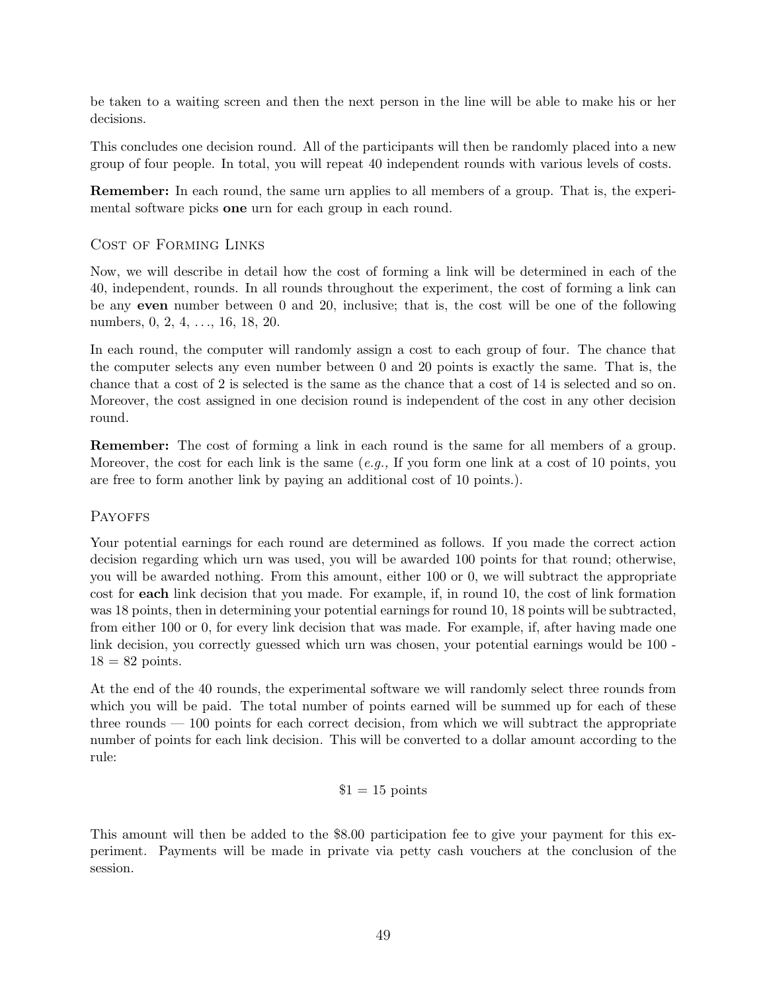be taken to a waiting screen and then the next person in the line will be able to make his or her decisions.

This concludes one decision round. All of the participants will then be randomly placed into a new group of four people. In total, you will repeat 40 independent rounds with various levels of costs.

Remember: In each round, the same urn applies to all members of a group. That is, the experimental software picks one urn for each group in each round.

## Cost of Forming Links

Now, we will describe in detail how the cost of forming a link will be determined in each of the 40, independent, rounds. In all rounds throughout the experiment, the cost of forming a link can be any even number between 0 and 20, inclusive; that is, the cost will be one of the following numbers, 0, 2, 4, ..., 16, 18, 20.

In each round, the computer will randomly assign a cost to each group of four. The chance that the computer selects any even number between 0 and 20 points is exactly the same. That is, the chance that a cost of 2 is selected is the same as the chance that a cost of 14 is selected and so on. Moreover, the cost assigned in one decision round is independent of the cost in any other decision round.

Remember: The cost of forming a link in each round is the same for all members of a group. Moreover, the cost for each link is the same (*e.g.,* If you form one link at a cost of 10 points, you are free to form another link by paying an additional cost of 10 points.).

#### **PAYOFFS**

Your potential earnings for each round are determined as follows. If you made the correct action decision regarding which urn was used, you will be awarded 100 points for that round; otherwise, you will be awarded nothing. From this amount, either 100 or 0, we will subtract the appropriate cost for each link decision that you made. For example, if, in round 10, the cost of link formation was 18 points, then in determining your potential earnings for round 10, 18 points will be subtracted, from either 100 or 0, for every link decision that was made. For example, if, after having made one link decision, you correctly guessed which urn was chosen, your potential earnings would be 100 -  $18 = 82$  points.

At the end of the 40 rounds, the experimental software we will randomly select three rounds from which you will be paid. The total number of points earned will be summed up for each of these three rounds  $-100$  points for each correct decision, from which we will subtract the appropriate number of points for each link decision. This will be converted to a dollar amount according to the rule:

#### $$1 = 15$  points

This amount will then be added to the \$8.00 participation fee to give your payment for this experiment. Payments will be made in private via petty cash vouchers at the conclusion of the session.